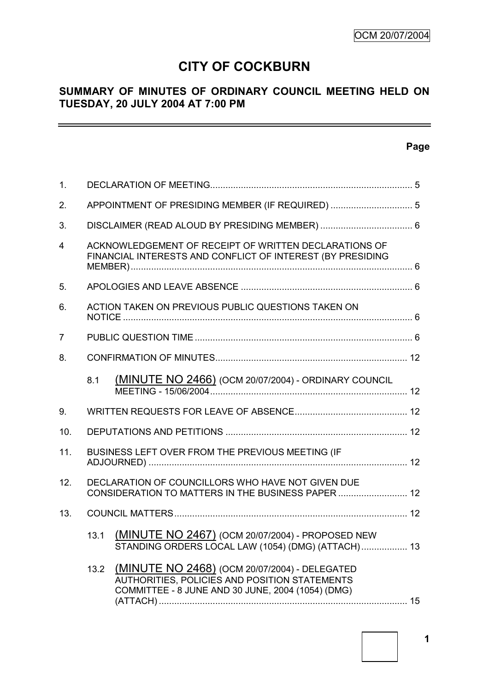# **CITY OF COCKBURN**

# **SUMMARY OF MINUTES OF ORDINARY COUNCIL MEETING HELD ON TUESDAY, 20 JULY 2004 AT 7:00 PM**

# **Page**

 $\equiv$ 

| 1.             |                                                    |                                                                                                                                                     |  |
|----------------|----------------------------------------------------|-----------------------------------------------------------------------------------------------------------------------------------------------------|--|
| 2 <sub>1</sub> |                                                    |                                                                                                                                                     |  |
| 3.             |                                                    |                                                                                                                                                     |  |
| 4              |                                                    | ACKNOWLEDGEMENT OF RECEIPT OF WRITTEN DECLARATIONS OF<br>FINANCIAL INTERESTS AND CONFLICT OF INTEREST (BY PRESIDING                                 |  |
| 5.             |                                                    |                                                                                                                                                     |  |
| 6.             | ACTION TAKEN ON PREVIOUS PUBLIC QUESTIONS TAKEN ON |                                                                                                                                                     |  |
| 7              |                                                    |                                                                                                                                                     |  |
| 8.             |                                                    |                                                                                                                                                     |  |
|                | 8.1                                                | (MINUTE NO 2466) (OCM 20/07/2004) - ORDINARY COUNCIL                                                                                                |  |
| 9.             |                                                    |                                                                                                                                                     |  |
| 10.            |                                                    |                                                                                                                                                     |  |
| 11.            | BUSINESS LEFT OVER FROM THE PREVIOUS MEETING (IF   |                                                                                                                                                     |  |
| 12.            |                                                    | DECLARATION OF COUNCILLORS WHO HAVE NOT GIVEN DUE<br>CONSIDERATION TO MATTERS IN THE BUSINESS PAPER  12                                             |  |
| 13.            |                                                    |                                                                                                                                                     |  |
|                | 13.1                                               | (MINUTE NO 2467) (OCM 20/07/2004) - PROPOSED NEW<br>STANDING ORDERS LOCAL LAW (1054) (DMG) (ATTACH) 13                                              |  |
|                | 13.2                                               | (MINUTE NO 2468) (OCM 20/07/2004) - DELEGATED<br>AUTHORITIES, POLICIES AND POSITION STATEMENTS<br>COMMITTEE - 8 JUNE AND 30 JUNE, 2004 (1054) (DMG) |  |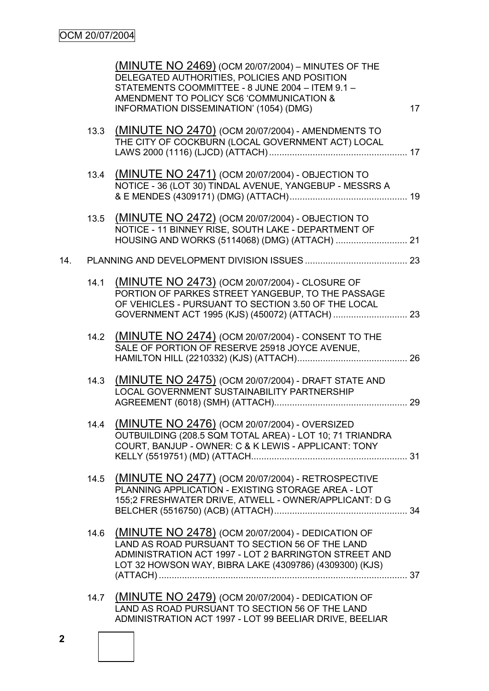|     |      | (MINUTE NO 2469) (OCM 20/07/2004) - MINUTES OF THE<br>DELEGATED AUTHORITIES, POLICIES AND POSITION<br>STATEMENTS COOMMITTEE - 8 JUNE 2004 - ITEM 9.1 -<br>AMENDMENT TO POLICY SC6 'COMMUNICATION &<br>INFORMATION DISSEMINATION' (1054) (DMG) | 17 |
|-----|------|-----------------------------------------------------------------------------------------------------------------------------------------------------------------------------------------------------------------------------------------------|----|
|     |      | 13.3 (MINUTE NO 2470) (OCM 20/07/2004) - AMENDMENTS TO<br>THE CITY OF COCKBURN (LOCAL GOVERNMENT ACT) LOCAL                                                                                                                                   |    |
|     | 13.4 | (MINUTE NO 2471) (OCM 20/07/2004) - OBJECTION TO<br>NOTICE - 36 (LOT 30) TINDAL AVENUE, YANGEBUP - MESSRS A                                                                                                                                   |    |
|     | 13.5 | (MINUTE NO 2472) (OCM 20/07/2004) - OBJECTION TO<br>NOTICE - 11 BINNEY RISE, SOUTH LAKE - DEPARTMENT OF                                                                                                                                       |    |
| 14. |      |                                                                                                                                                                                                                                               |    |
|     | 14.1 | (MINUTE NO 2473) (OCM 20/07/2004) - CLOSURE OF<br>PORTION OF PARKES STREET YANGEBUP, TO THE PASSAGE<br>OF VEHICLES - PURSUANT TO SECTION 3.50 OF THE LOCAL                                                                                    |    |
|     |      | 14.2 (MINUTE NO 2474) (OCM 20/07/2004) - CONSENT TO THE<br>SALE OF PORTION OF RESERVE 25918 JOYCE AVENUE,                                                                                                                                     |    |
|     | 14.3 | (MINUTE NO 2475) (OCM 20/07/2004) - DRAFT STATE AND<br>LOCAL GOVERNMENT SUSTAINABILITY PARTNERSHIP                                                                                                                                            |    |
|     | 14.4 | (MINUTE NO 2476) (OCM 20/07/2004) - OVERSIZED<br>OUTBUILDING (208.5 SQM TOTAL AREA) - LOT 10; 71 TRIANDRA<br>COURT, BANJUP - OWNER: C & K LEWIS - APPLICANT: TONY                                                                             |    |
|     | 14.5 | (MINUTE NO 2477) (OCM 20/07/2004) - RETROSPECTIVE<br>PLANNING APPLICATION - EXISTING STORAGE AREA - LOT<br>155;2 FRESHWATER DRIVE, ATWELL - OWNER/APPLICANT: D G                                                                              |    |
|     | 14.6 | (MINUTE NO 2478) (OCM 20/07/2004) - DEDICATION OF<br>LAND AS ROAD PURSUANT TO SECTION 56 OF THE LAND<br>ADMINISTRATION ACT 1997 - LOT 2 BARRINGTON STREET AND<br>LOT 32 HOWSON WAY, BIBRA LAKE (4309786) (4309300) (KJS)                      |    |
|     | 14.7 | (MINUTE NO 2479) (OCM 20/07/2004) - DEDICATION OF<br>LAND AS ROAD PURSUANT TO SECTION 56 OF THE LAND<br>ADMINISTRATION ACT 1997 - LOT 99 BEELIAR DRIVE, BEELIAR                                                                               |    |

**2**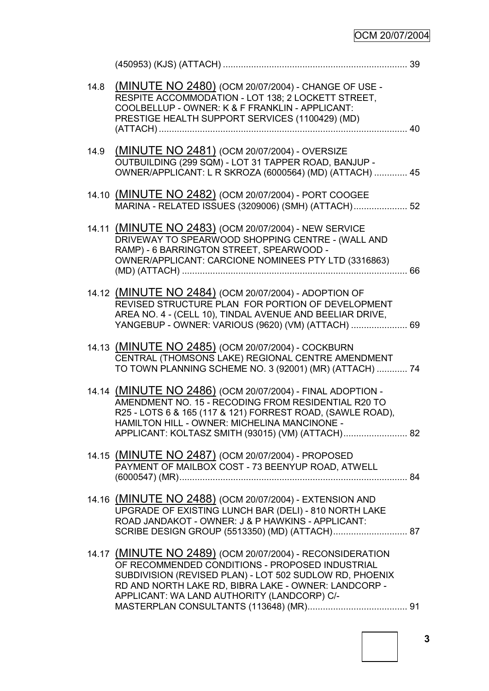# OCM 20/07/2004

| 14.8 | (MINUTE NO 2480) (OCM 20/07/2004) - CHANGE OF USE -<br>RESPITE ACCOMMODATION - LOT 138; 2 LOCKETT STREET,<br>COOLBELLUP - OWNER: K & F FRANKLIN - APPLICANT:<br>PRESTIGE HEALTH SUPPORT SERVICES (1100429) (MD)                                                                      |  |
|------|--------------------------------------------------------------------------------------------------------------------------------------------------------------------------------------------------------------------------------------------------------------------------------------|--|
| 14.9 | (MINUTE NO 2481) (OCM 20/07/2004) - OVERSIZE<br>OUTBUILDING (299 SQM) - LOT 31 TAPPER ROAD, BANJUP -<br>OWNER/APPLICANT: L R SKROZA (6000564) (MD) (ATTACH)  45                                                                                                                      |  |
|      | 14.10 (MINUTE NO 2482) (OCM 20/07/2004) - PORT COOGEE<br>MARINA - RELATED ISSUES (3209006) (SMH) (ATTACH) 52                                                                                                                                                                         |  |
|      | 14.11 (MINUTE NO 2483) (OCM 20/07/2004) - NEW SERVICE<br>DRIVEWAY TO SPEARWOOD SHOPPING CENTRE - (WALL AND<br>RAMP) - 6 BARRINGTON STREET, SPEARWOOD -<br>OWNER/APPLICANT: CARCIONE NOMINEES PTY LTD (3316863)                                                                       |  |
|      | 14.12 (MINUTE NO 2484) (OCM 20/07/2004) - ADOPTION OF<br>REVISED STRUCTURE PLAN FOR PORTION OF DEVELOPMENT<br>AREA NO. 4 - (CELL 10), TINDAL AVENUE AND BEELIAR DRIVE,<br>YANGEBUP - OWNER: VARIOUS (9620) (VM) (ATTACH)  69                                                         |  |
|      | 14.13 (MINUTE NO 2485) (OCM 20/07/2004) - COCKBURN<br>CENTRAL (THOMSONS LAKE) REGIONAL CENTRE AMENDMENT<br>TO TOWN PLANNING SCHEME NO. 3 (92001) (MR) (ATTACH)  74                                                                                                                   |  |
|      | 14.14 (MINUTE NO 2486) (OCM 20/07/2004) - FINAL ADOPTION -<br>AMENDMENT NO. 15 - RECODING FROM RESIDENTIAL R20 TO<br>R25 - LOTS 6 & 165 (117 & 121) FORREST ROAD, (SAWLE ROAD),<br>HAMILTON HILL - OWNER: MICHELINA MANCINONE -<br>APPLICANT: KOLTASZ SMITH (93015) (VM) (ATTACH) 82 |  |
|      | 14.15 (MINUTE NO 2487) (OCM 20/07/2004) - PROPOSED<br>PAYMENT OF MAILBOX COST - 73 BEENYUP ROAD, ATWELL                                                                                                                                                                              |  |
|      | 14.16 (MINUTE NO 2488) (OCM 20/07/2004) - EXTENSION AND<br>UPGRADE OF EXISTING LUNCH BAR (DELI) - 810 NORTH LAKE<br>ROAD JANDAKOT - OWNER: J & P HAWKINS - APPLICANT:                                                                                                                |  |
|      | 14.17 (MINUTE NO 2489) (OCM 20/07/2004) - RECONSIDERATION<br>OF RECOMMENDED CONDITIONS - PROPOSED INDUSTRIAL<br>SUBDIVISION (REVISED PLAN) - LOT 502 SUDLOW RD, PHOENIX<br>RD AND NORTH LAKE RD, BIBRA LAKE - OWNER: LANDCORP -<br>APPLICANT: WA LAND AUTHORITY (LANDCORP) C/-       |  |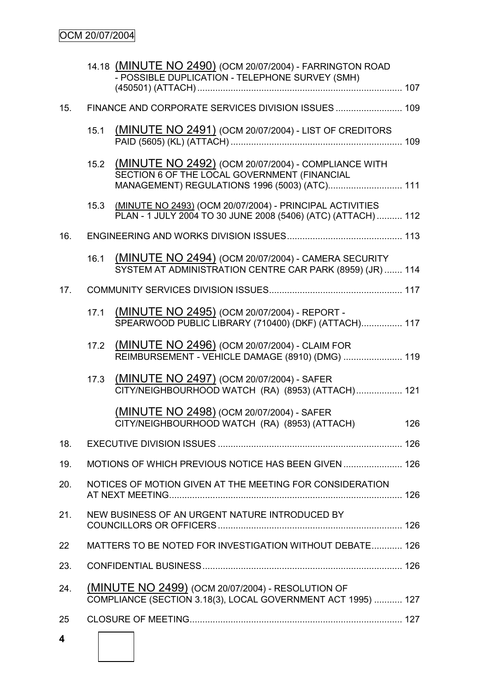|     |      | 14.18 (MINUTE NO 2490) (OCM 20/07/2004) - FARRINGTON ROAD<br>- POSSIBLE DUPLICATION - TELEPHONE SURVEY (SMH)                                         |     |
|-----|------|------------------------------------------------------------------------------------------------------------------------------------------------------|-----|
| 15. |      |                                                                                                                                                      |     |
|     | 15.1 | (MINUTE NO 2491) (OCM 20/07/2004) - LIST OF CREDITORS                                                                                                |     |
|     | 15.2 | (MINUTE NO 2492) (OCM 20/07/2004) - COMPLIANCE WITH<br>SECTION 6 OF THE LOCAL GOVERNMENT (FINANCIAL<br>MANAGEMENT) REGULATIONS 1996 (5003) (ATC) 111 |     |
|     | 15.3 | (MINUTE NO 2493) (OCM 20/07/2004) - PRINCIPAL ACTIVITIES<br>PLAN - 1 JULY 2004 TO 30 JUNE 2008 (5406) (ATC) (ATTACH)  112                            |     |
| 16. |      |                                                                                                                                                      |     |
|     | 16.1 | (MINUTE NO 2494) (OCM 20/07/2004) - CAMERA SECURITY<br>SYSTEM AT ADMINISTRATION CENTRE CAR PARK (8959) (JR)  114                                     |     |
| 17. |      |                                                                                                                                                      |     |
|     | 17.1 | (MINUTE NO 2495) (OCM 20/07/2004) - REPORT -<br>SPEARWOOD PUBLIC LIBRARY (710400) (DKF) (ATTACH) 117                                                 |     |
|     | 17.2 | (MINUTE NO 2496) (OCM 20/07/2004) - CLAIM FOR<br>REIMBURSEMENT - VEHICLE DAMAGE (8910) (DMG)  119                                                    |     |
|     | 17.3 | (MINUTE NO 2497) (OCM 20/07/2004) - SAFER<br>CITY/NEIGHBOURHOOD WATCH (RA) (8953) (ATTACH) 121                                                       |     |
|     |      | (MINUTE NO 2498) (OCM 20/07/2004) - SAFER<br>CITY/NEIGHBOURHOOD WATCH (RA) (8953) (ATTACH)                                                           | 126 |
| 18. |      |                                                                                                                                                      |     |
| 19. |      | MOTIONS OF WHICH PREVIOUS NOTICE HAS BEEN GIVEN  126                                                                                                 |     |
| 20. |      | NOTICES OF MOTION GIVEN AT THE MEETING FOR CONSIDERATION                                                                                             |     |
| 21. |      | NEW BUSINESS OF AN URGENT NATURE INTRODUCED BY                                                                                                       |     |
| 22  |      | MATTERS TO BE NOTED FOR INVESTIGATION WITHOUT DEBATE 126                                                                                             |     |
| 23. |      |                                                                                                                                                      |     |
| 24. |      | (MINUTE NO 2499) (OCM 20/07/2004) - RESOLUTION OF<br>COMPLIANCE (SECTION 3.18(3), LOCAL GOVERNMENT ACT 1995)  127                                    |     |
| 25  |      |                                                                                                                                                      |     |
| 4   |      |                                                                                                                                                      |     |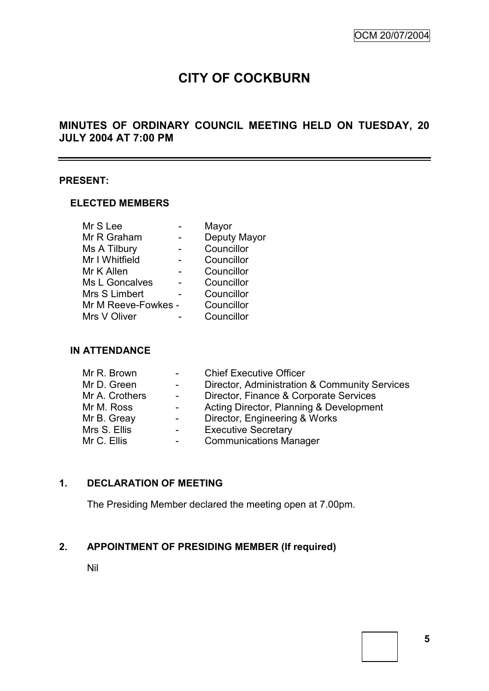# **CITY OF COCKBURN**

# **MINUTES OF ORDINARY COUNCIL MEETING HELD ON TUESDAY, 20 JULY 2004 AT 7:00 PM**

#### **PRESENT:**

## **ELECTED MEMBERS**

|                     | Mayor        |
|---------------------|--------------|
|                     | Deputy Mayor |
|                     | Councillor   |
|                     | Councillor   |
|                     | Councillor   |
|                     | Councillor   |
|                     | Councillor   |
| Mr M Reeve-Fowkes - | Councillor   |
|                     | Councillor   |
|                     |              |

#### **IN ATTENDANCE**

| $\sim 100$               | <b>Chief Executive Officer</b>                |
|--------------------------|-----------------------------------------------|
| $\sim$ 10 $\pm$          | Director, Administration & Community Services |
| $\overline{\phantom{0}}$ | Director, Finance & Corporate Services        |
| $\sim$                   | Acting Director, Planning & Development       |
| $\sim$ 100 $\mu$         | Director, Engineering & Works                 |
| $\sim 100$               | <b>Executive Secretary</b>                    |
| $\sim 100$               | <b>Communications Manager</b>                 |
|                          |                                               |

# **1. DECLARATION OF MEETING**

The Presiding Member declared the meeting open at 7.00pm.

# **2. APPOINTMENT OF PRESIDING MEMBER (If required)**

Nil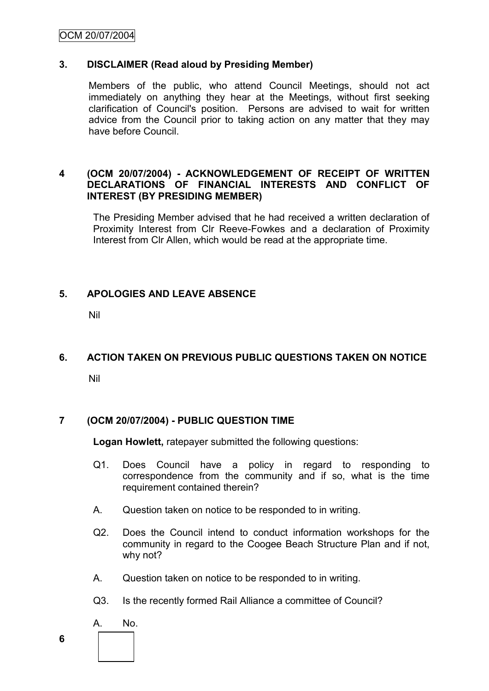# OCM 20/07/2004

#### **3. DISCLAIMER (Read aloud by Presiding Member)**

Members of the public, who attend Council Meetings, should not act immediately on anything they hear at the Meetings, without first seeking clarification of Council's position. Persons are advised to wait for written advice from the Council prior to taking action on any matter that they may have before Council.

#### **4 (OCM 20/07/2004) - ACKNOWLEDGEMENT OF RECEIPT OF WRITTEN DECLARATIONS OF FINANCIAL INTERESTS AND CONFLICT OF INTEREST (BY PRESIDING MEMBER)**

The Presiding Member advised that he had received a written declaration of Proximity Interest from Clr Reeve-Fowkes and a declaration of Proximity Interest from Clr Allen, which would be read at the appropriate time.

#### **5. APOLOGIES AND LEAVE ABSENCE**

Nil

#### **6. ACTION TAKEN ON PREVIOUS PUBLIC QUESTIONS TAKEN ON NOTICE**

Nil

#### **7 (OCM 20/07/2004) - PUBLIC QUESTION TIME**

**Logan Howlett,** ratepayer submitted the following questions:

- Q1. Does Council have a policy in regard to responding to correspondence from the community and if so, what is the time requirement contained therein?
- A. Question taken on notice to be responded to in writing.
- Q2. Does the Council intend to conduct information workshops for the community in regard to the Coogee Beach Structure Plan and if not, why not?
- A. Question taken on notice to be responded to in writing.
- Q3. Is the recently formed Rail Alliance a committee of Council?
- A. No.
- **6**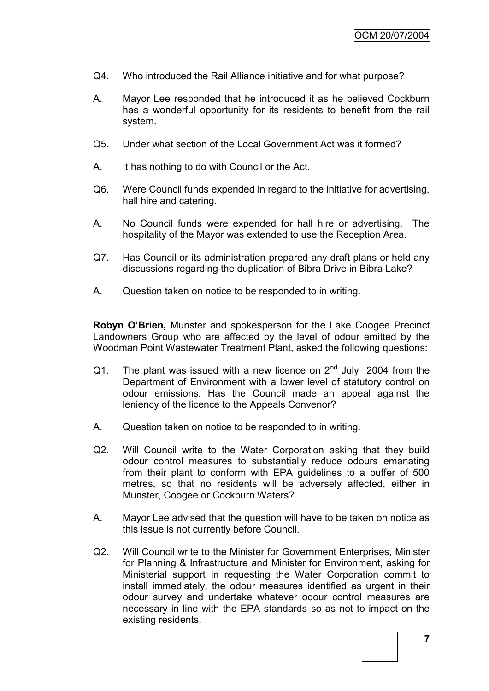- Q4. Who introduced the Rail Alliance initiative and for what purpose?
- A. Mayor Lee responded that he introduced it as he believed Cockburn has a wonderful opportunity for its residents to benefit from the rail system.
- Q5. Under what section of the Local Government Act was it formed?
- A. It has nothing to do with Council or the Act.
- Q6. Were Council funds expended in regard to the initiative for advertising, hall hire and catering.
- A. No Council funds were expended for hall hire or advertising. The hospitality of the Mayor was extended to use the Reception Area.
- Q7. Has Council or its administration prepared any draft plans or held any discussions regarding the duplication of Bibra Drive in Bibra Lake?
- A. Question taken on notice to be responded to in writing.

**Robyn O'Brien,** Munster and spokesperson for the Lake Coogee Precinct Landowners Group who are affected by the level of odour emitted by the Woodman Point Wastewater Treatment Plant, asked the following questions:

- Q1. The plant was issued with a new licence on  $2<sup>nd</sup>$  July 2004 from the Department of Environment with a lower level of statutory control on odour emissions. Has the Council made an appeal against the leniency of the licence to the Appeals Convenor?
- A. Question taken on notice to be responded to in writing.
- Q2. Will Council write to the Water Corporation asking that they build odour control measures to substantially reduce odours emanating from their plant to conform with EPA guidelines to a buffer of 500 metres, so that no residents will be adversely affected, either in Munster, Coogee or Cockburn Waters?
- A. Mayor Lee advised that the question will have to be taken on notice as this issue is not currently before Council.
- Q2. Will Council write to the Minister for Government Enterprises, Minister for Planning & Infrastructure and Minister for Environment, asking for Ministerial support in requesting the Water Corporation commit to install immediately, the odour measures identified as urgent in their odour survey and undertake whatever odour control measures are necessary in line with the EPA standards so as not to impact on the existing residents.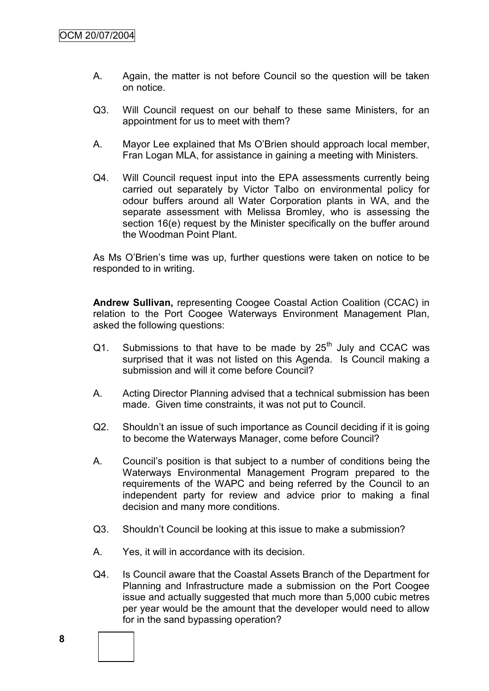- A. Again, the matter is not before Council so the question will be taken on notice.
- Q3. Will Council request on our behalf to these same Ministers, for an appointment for us to meet with them?
- A. Mayor Lee explained that Ms O"Brien should approach local member, Fran Logan MLA, for assistance in gaining a meeting with Ministers.
- Q4. Will Council request input into the EPA assessments currently being carried out separately by Victor Talbo on environmental policy for odour buffers around all Water Corporation plants in WA, and the separate assessment with Melissa Bromley, who is assessing the section 16(e) request by the Minister specifically on the buffer around the Woodman Point Plant.

As Ms O"Brien"s time was up, further questions were taken on notice to be responded to in writing.

**Andrew Sullivan,** representing Coogee Coastal Action Coalition (CCAC) in relation to the Port Coogee Waterways Environment Management Plan, asked the following questions:

- $Q1.$  Submissions to that have to be made by  $25<sup>th</sup>$  July and CCAC was surprised that it was not listed on this Agenda. Is Council making a submission and will it come before Council?
- A. Acting Director Planning advised that a technical submission has been made. Given time constraints, it was not put to Council.
- Q2. Shouldn"t an issue of such importance as Council deciding if it is going to become the Waterways Manager, come before Council?
- A. Council"s position is that subject to a number of conditions being the Waterways Environmental Management Program prepared to the requirements of the WAPC and being referred by the Council to an independent party for review and advice prior to making a final decision and many more conditions.
- Q3. Shouldn"t Council be looking at this issue to make a submission?
- A. Yes, it will in accordance with its decision.
- Q4. Is Council aware that the Coastal Assets Branch of the Department for Planning and Infrastructure made a submission on the Port Coogee issue and actually suggested that much more than 5,000 cubic metres per year would be the amount that the developer would need to allow for in the sand bypassing operation?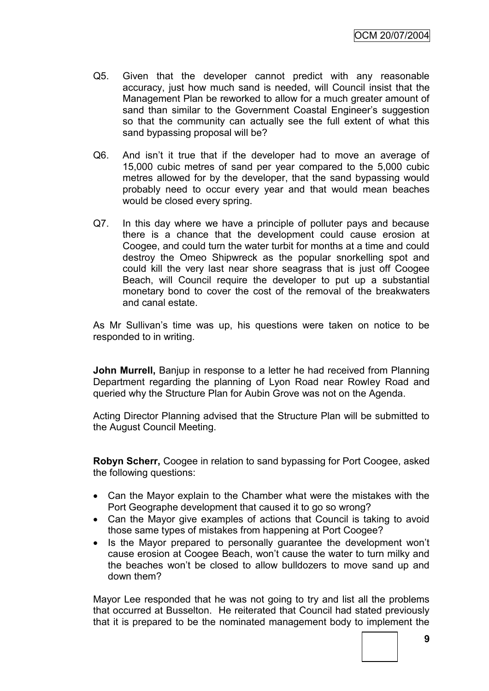- Q5. Given that the developer cannot predict with any reasonable accuracy, just how much sand is needed, will Council insist that the Management Plan be reworked to allow for a much greater amount of sand than similar to the Government Coastal Engineer"s suggestion so that the community can actually see the full extent of what this sand bypassing proposal will be?
- Q6. And isn't it true that if the developer had to move an average of 15,000 cubic metres of sand per year compared to the 5,000 cubic metres allowed for by the developer, that the sand bypassing would probably need to occur every year and that would mean beaches would be closed every spring.
- Q7. In this day where we have a principle of polluter pays and because there is a chance that the development could cause erosion at Coogee, and could turn the water turbit for months at a time and could destroy the Omeo Shipwreck as the popular snorkelling spot and could kill the very last near shore seagrass that is just off Coogee Beach, will Council require the developer to put up a substantial monetary bond to cover the cost of the removal of the breakwaters and canal estate.

As Mr Sullivan"s time was up, his questions were taken on notice to be responded to in writing.

**John Murrell,** Banjup in response to a letter he had received from Planning Department regarding the planning of Lyon Road near Rowley Road and queried why the Structure Plan for Aubin Grove was not on the Agenda.

Acting Director Planning advised that the Structure Plan will be submitted to the August Council Meeting.

**Robyn Scherr,** Coogee in relation to sand bypassing for Port Coogee, asked the following questions:

- Can the Mayor explain to the Chamber what were the mistakes with the Port Geographe development that caused it to go so wrong?
- Can the Mayor give examples of actions that Council is taking to avoid those same types of mistakes from happening at Port Coogee?
- Is the Mayor prepared to personally guarantee the development won't cause erosion at Coogee Beach, won"t cause the water to turn milky and the beaches won"t be closed to allow bulldozers to move sand up and down them?

Mayor Lee responded that he was not going to try and list all the problems that occurred at Busselton. He reiterated that Council had stated previously that it is prepared to be the nominated management body to implement the

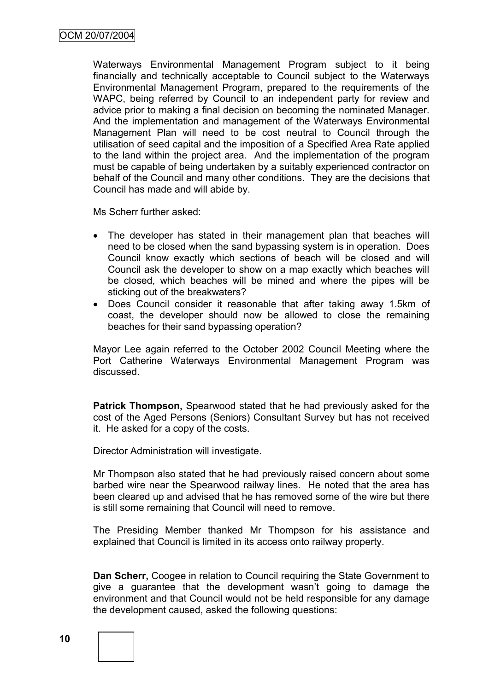Waterways Environmental Management Program subject to it being financially and technically acceptable to Council subject to the Waterways Environmental Management Program, prepared to the requirements of the WAPC, being referred by Council to an independent party for review and advice prior to making a final decision on becoming the nominated Manager. And the implementation and management of the Waterways Environmental Management Plan will need to be cost neutral to Council through the utilisation of seed capital and the imposition of a Specified Area Rate applied to the land within the project area. And the implementation of the program must be capable of being undertaken by a suitably experienced contractor on behalf of the Council and many other conditions. They are the decisions that Council has made and will abide by.

Ms Scherr further asked:

- The developer has stated in their management plan that beaches will need to be closed when the sand bypassing system is in operation. Does Council know exactly which sections of beach will be closed and will Council ask the developer to show on a map exactly which beaches will be closed, which beaches will be mined and where the pipes will be sticking out of the breakwaters?
- Does Council consider it reasonable that after taking away 1.5km of coast, the developer should now be allowed to close the remaining beaches for their sand bypassing operation?

Mayor Lee again referred to the October 2002 Council Meeting where the Port Catherine Waterways Environmental Management Program was discussed.

**Patrick Thompson,** Spearwood stated that he had previously asked for the cost of the Aged Persons (Seniors) Consultant Survey but has not received it. He asked for a copy of the costs.

Director Administration will investigate.

Mr Thompson also stated that he had previously raised concern about some barbed wire near the Spearwood railway lines. He noted that the area has been cleared up and advised that he has removed some of the wire but there is still some remaining that Council will need to remove.

The Presiding Member thanked Mr Thompson for his assistance and explained that Council is limited in its access onto railway property.

**Dan Scherr,** Coogee in relation to Council requiring the State Government to give a guarantee that the development wasn"t going to damage the environment and that Council would not be held responsible for any damage the development caused, asked the following questions:



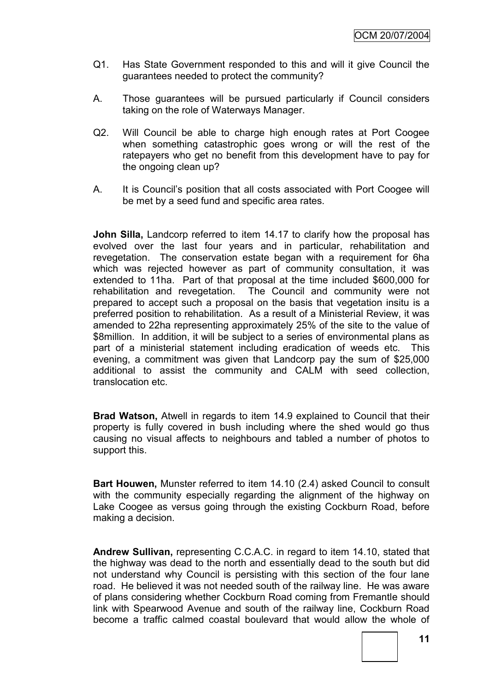- Q1. Has State Government responded to this and will it give Council the guarantees needed to protect the community?
- A. Those guarantees will be pursued particularly if Council considers taking on the role of Waterways Manager.
- Q2. Will Council be able to charge high enough rates at Port Coogee when something catastrophic goes wrong or will the rest of the ratepayers who get no benefit from this development have to pay for the ongoing clean up?
- A. It is Council"s position that all costs associated with Port Coogee will be met by a seed fund and specific area rates.

**John Silla,** Landcorp referred to item 14.17 to clarify how the proposal has evolved over the last four years and in particular, rehabilitation and revegetation. The conservation estate began with a requirement for 6ha which was rejected however as part of community consultation, it was extended to 11ha. Part of that proposal at the time included \$600,000 for rehabilitation and revegetation. The Council and community were not prepared to accept such a proposal on the basis that vegetation insitu is a preferred position to rehabilitation. As a result of a Ministerial Review, it was amended to 22ha representing approximately 25% of the site to the value of \$8million. In addition, it will be subject to a series of environmental plans as part of a ministerial statement including eradication of weeds etc. This evening, a commitment was given that Landcorp pay the sum of \$25,000 additional to assist the community and CALM with seed collection, translocation etc.

**Brad Watson,** Atwell in regards to item 14.9 explained to Council that their property is fully covered in bush including where the shed would go thus causing no visual affects to neighbours and tabled a number of photos to support this.

**Bart Houwen,** Munster referred to item 14.10 (2.4) asked Council to consult with the community especially regarding the alignment of the highway on Lake Coogee as versus going through the existing Cockburn Road, before making a decision.

**Andrew Sullivan,** representing C.C.A.C. in regard to item 14.10, stated that the highway was dead to the north and essentially dead to the south but did not understand why Council is persisting with this section of the four lane road. He believed it was not needed south of the railway line. He was aware of plans considering whether Cockburn Road coming from Fremantle should link with Spearwood Avenue and south of the railway line, Cockburn Road become a traffic calmed coastal boulevard that would allow the whole of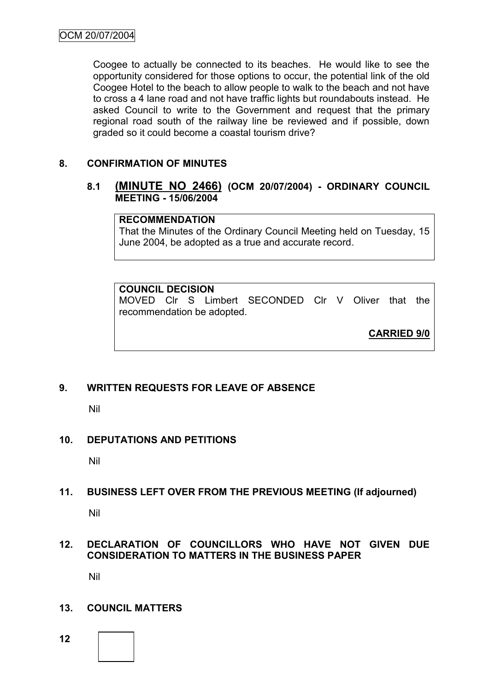Coogee to actually be connected to its beaches. He would like to see the opportunity considered for those options to occur, the potential link of the old Coogee Hotel to the beach to allow people to walk to the beach and not have to cross a 4 lane road and not have traffic lights but roundabouts instead. He asked Council to write to the Government and request that the primary regional road south of the railway line be reviewed and if possible, down graded so it could become a coastal tourism drive?

# **8. CONFIRMATION OF MINUTES**

# **8.1 (MINUTE NO 2466) (OCM 20/07/2004) - ORDINARY COUNCIL MEETING - 15/06/2004**

#### **RECOMMENDATION**

That the Minutes of the Ordinary Council Meeting held on Tuesday, 15 June 2004, be adopted as a true and accurate record.

#### **COUNCIL DECISION**

MOVED Clr S Limbert SECONDED Clr V Oliver that the recommendation be adopted.

**CARRIED 9/0**

#### **9. WRITTEN REQUESTS FOR LEAVE OF ABSENCE**

Nil

#### **10. DEPUTATIONS AND PETITIONS**

Nil

#### **11. BUSINESS LEFT OVER FROM THE PREVIOUS MEETING (If adjourned)**

Nil

# **12. DECLARATION OF COUNCILLORS WHO HAVE NOT GIVEN DUE CONSIDERATION TO MATTERS IN THE BUSINESS PAPER**

Nil

#### **13. COUNCIL MATTERS**

**12**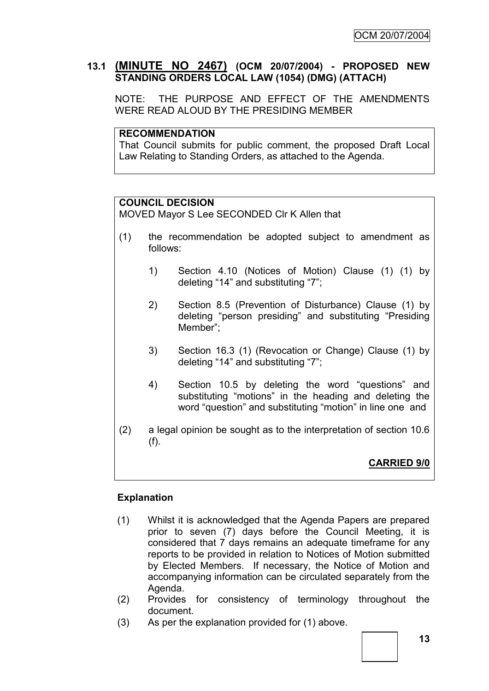# **13.1 (MINUTE NO 2467) (OCM 20/07/2004) - PROPOSED NEW STANDING ORDERS LOCAL LAW (1054) (DMG) (ATTACH)**

NOTE: THE PURPOSE AND EFFECT OF THE AMENDMENTS WERE READ ALOUD BY THE PRESIDING MEMBER

#### **RECOMMENDATION**

That Council submits for public comment, the proposed Draft Local Law Relating to Standing Orders, as attached to the Agenda.

#### **COUNCIL DECISION**

MOVED Mayor S Lee SECONDED Clr K Allen that

- (1) the recommendation be adopted subject to amendment as follows:
	- 1) Section 4.10 (Notices of Motion) Clause (1) (1) by deleting "14" and substituting "7";
	- 2) Section 8.5 (Prevention of Disturbance) Clause (1) by deleting "person presiding" and substituting "Presiding Member";
	- 3) Section 16.3 (1) (Revocation or Change) Clause (1) by deleting "14" and substituting "7";
	- 4) Section 10.5 by deleting the word "questions" and substituting "motions" in the heading and deleting the word "question" and substituting "motion" in line one and
- (2) a legal opinion be sought as to the interpretation of section 10.6 (f).

# **CARRIED 9/0**

#### **Explanation**

- (1) Whilst it is acknowledged that the Agenda Papers are prepared prior to seven (7) days before the Council Meeting, it is considered that 7 days remains an adequate timeframe for any reports to be provided in relation to Notices of Motion submitted by Elected Members. If necessary, the Notice of Motion and accompanying information can be circulated separately from the Agenda.
- (2) Provides for consistency of terminology throughout the document.
- (3) As per the explanation provided for (1) above.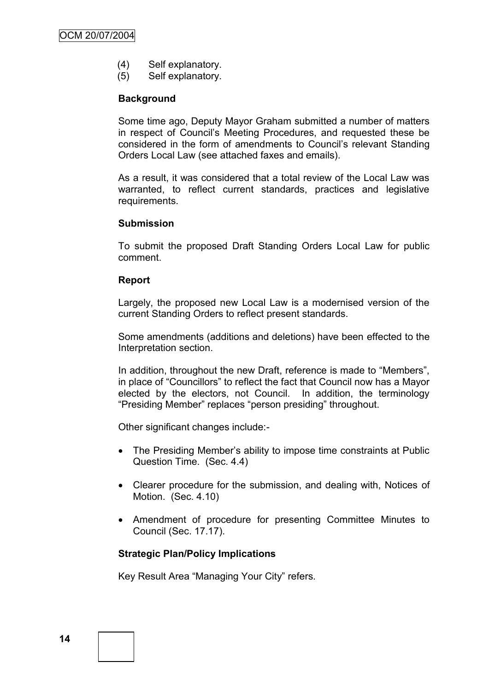- (4) Self explanatory.
- (5) Self explanatory.

#### **Background**

Some time ago, Deputy Mayor Graham submitted a number of matters in respect of Council"s Meeting Procedures, and requested these be considered in the form of amendments to Council"s relevant Standing Orders Local Law (see attached faxes and emails).

As a result, it was considered that a total review of the Local Law was warranted, to reflect current standards, practices and legislative requirements.

#### **Submission**

To submit the proposed Draft Standing Orders Local Law for public comment.

#### **Report**

Largely, the proposed new Local Law is a modernised version of the current Standing Orders to reflect present standards.

Some amendments (additions and deletions) have been effected to the Interpretation section.

In addition, throughout the new Draft, reference is made to "Members", in place of "Councillors" to reflect the fact that Council now has a Mayor elected by the electors, not Council. In addition, the terminology "Presiding Member" replaces "person presiding" throughout.

Other significant changes include:-

- The Presiding Member's ability to impose time constraints at Public Question Time. (Sec. 4.4)
- Clearer procedure for the submission, and dealing with, Notices of Motion. (Sec. 4.10)
- Amendment of procedure for presenting Committee Minutes to Council (Sec. 17.17).

#### **Strategic Plan/Policy Implications**

Key Result Area "Managing Your City" refers.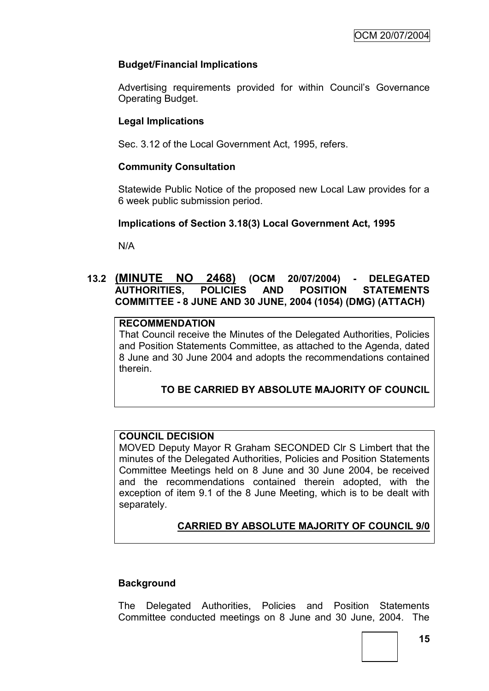# **Budget/Financial Implications**

Advertising requirements provided for within Council's Governance Operating Budget.

# **Legal Implications**

Sec. 3.12 of the Local Government Act, 1995, refers.

#### **Community Consultation**

Statewide Public Notice of the proposed new Local Law provides for a 6 week public submission period.

#### **Implications of Section 3.18(3) Local Government Act, 1995**

N/A

# **13.2 (MINUTE NO 2468) (OCM 20/07/2004) - DELEGATED AUTHORITIES, POLICIES AND POSITION STATEMENTS COMMITTEE - 8 JUNE AND 30 JUNE, 2004 (1054) (DMG) (ATTACH)**

## **RECOMMENDATION**

That Council receive the Minutes of the Delegated Authorities, Policies and Position Statements Committee, as attached to the Agenda, dated 8 June and 30 June 2004 and adopts the recommendations contained therein.

#### **TO BE CARRIED BY ABSOLUTE MAJORITY OF COUNCIL**

## **COUNCIL DECISION**

MOVED Deputy Mayor R Graham SECONDED Clr S Limbert that the minutes of the Delegated Authorities, Policies and Position Statements Committee Meetings held on 8 June and 30 June 2004, be received and the recommendations contained therein adopted, with the exception of item 9.1 of the 8 June Meeting, which is to be dealt with separately.

# **CARRIED BY ABSOLUTE MAJORITY OF COUNCIL 9/0**

#### **Background**

The Delegated Authorities, Policies and Position Statements Committee conducted meetings on 8 June and 30 June, 2004. The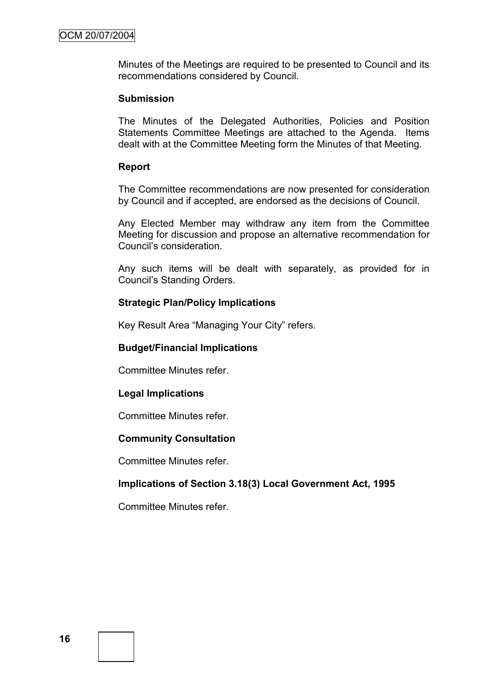Minutes of the Meetings are required to be presented to Council and its recommendations considered by Council.

#### **Submission**

The Minutes of the Delegated Authorities, Policies and Position Statements Committee Meetings are attached to the Agenda. Items dealt with at the Committee Meeting form the Minutes of that Meeting.

#### **Report**

The Committee recommendations are now presented for consideration by Council and if accepted, are endorsed as the decisions of Council.

Any Elected Member may withdraw any item from the Committee Meeting for discussion and propose an alternative recommendation for Council"s consideration.

Any such items will be dealt with separately, as provided for in Council"s Standing Orders.

#### **Strategic Plan/Policy Implications**

Key Result Area "Managing Your City" refers.

#### **Budget/Financial Implications**

Committee Minutes refer.

#### **Legal Implications**

Committee Minutes refer.

#### **Community Consultation**

Committee Minutes refer.

#### **Implications of Section 3.18(3) Local Government Act, 1995**

Committee Minutes refer.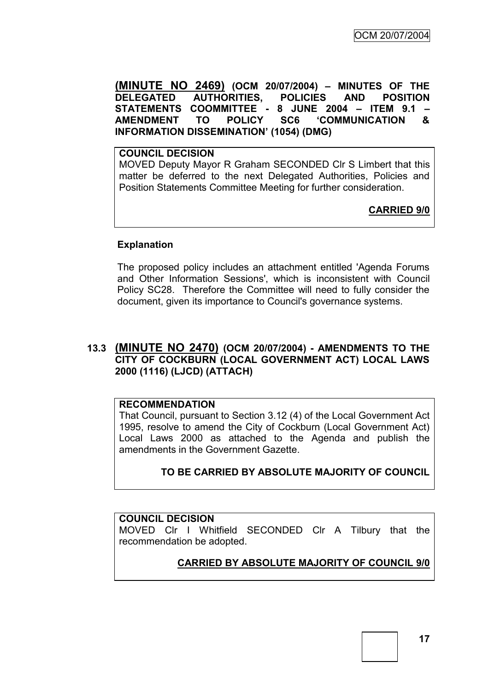**(MINUTE NO 2469) (OCM 20/07/2004) – MINUTES OF THE DELEGATED AUTHORITIES, POLICIES AND POSITION STATEMENTS COOMMITTEE - 8 JUNE 2004 – ITEM 9.1 – AMENDMENT TO POLICY SC6 'COMMUNICATION & INFORMATION DISSEMINATION' (1054) (DMG)**

**COUNCIL DECISION** MOVED Deputy Mayor R Graham SECONDED Clr S Limbert that this matter be deferred to the next Delegated Authorities, Policies and Position Statements Committee Meeting for further consideration.

**CARRIED 9/0**

# **Explanation**

The proposed policy includes an attachment entitled 'Agenda Forums and Other Information Sessions', which is inconsistent with Council Policy SC28. Therefore the Committee will need to fully consider the document, given its importance to Council's governance systems.

# **13.3 (MINUTE NO 2470) (OCM 20/07/2004) - AMENDMENTS TO THE CITY OF COCKBURN (LOCAL GOVERNMENT ACT) LOCAL LAWS 2000 (1116) (LJCD) (ATTACH)**

#### **RECOMMENDATION**

That Council, pursuant to Section 3.12 (4) of the Local Government Act 1995, resolve to amend the City of Cockburn (Local Government Act) Local Laws 2000 as attached to the Agenda and publish the amendments in the Government Gazette.

# **TO BE CARRIED BY ABSOLUTE MAJORITY OF COUNCIL**

#### **COUNCIL DECISION**

MOVED Clr I Whitfield SECONDED Clr A Tilbury that the recommendation be adopted.

#### **CARRIED BY ABSOLUTE MAJORITY OF COUNCIL 9/0**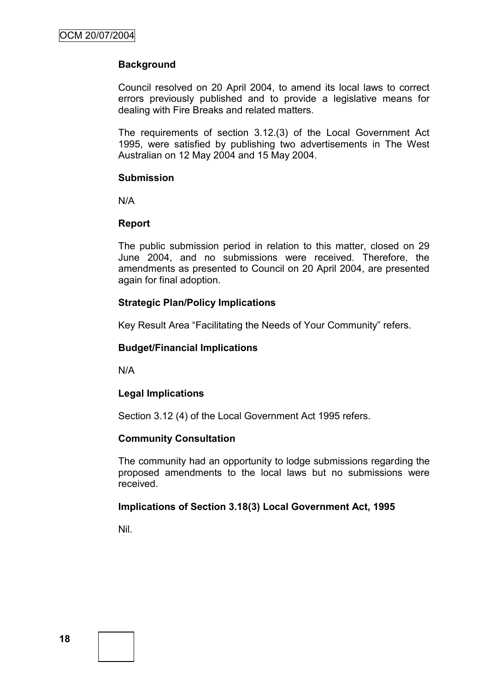# **Background**

Council resolved on 20 April 2004, to amend its local laws to correct errors previously published and to provide a legislative means for dealing with Fire Breaks and related matters.

The requirements of section 3.12.(3) of the Local Government Act 1995, were satisfied by publishing two advertisements in The West Australian on 12 May 2004 and 15 May 2004.

#### **Submission**

N/A

#### **Report**

The public submission period in relation to this matter, closed on 29 June 2004, and no submissions were received. Therefore, the amendments as presented to Council on 20 April 2004, are presented again for final adoption.

# **Strategic Plan/Policy Implications**

Key Result Area "Facilitating the Needs of Your Community" refers.

#### **Budget/Financial Implications**

N/A

#### **Legal Implications**

Section 3.12 (4) of the Local Government Act 1995 refers.

#### **Community Consultation**

The community had an opportunity to lodge submissions regarding the proposed amendments to the local laws but no submissions were received.

#### **Implications of Section 3.18(3) Local Government Act, 1995**

Nil.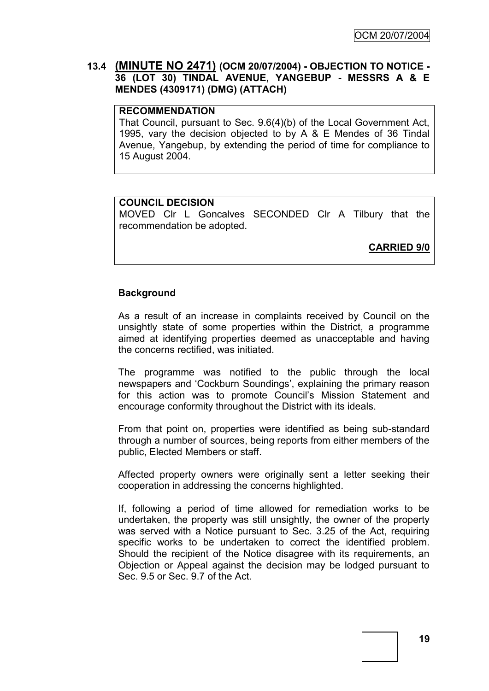## **13.4 (MINUTE NO 2471) (OCM 20/07/2004) - OBJECTION TO NOTICE - 36 (LOT 30) TINDAL AVENUE, YANGEBUP - MESSRS A & E MENDES (4309171) (DMG) (ATTACH)**

#### **RECOMMENDATION**

That Council, pursuant to Sec. 9.6(4)(b) of the Local Government Act, 1995, vary the decision objected to by A & E Mendes of 36 Tindal Avenue, Yangebup, by extending the period of time for compliance to 15 August 2004.

#### **COUNCIL DECISION**

MOVED Clr L Goncalves SECONDED Clr A Tilbury that the recommendation be adopted.

**CARRIED 9/0**

#### **Background**

As a result of an increase in complaints received by Council on the unsightly state of some properties within the District, a programme aimed at identifying properties deemed as unacceptable and having the concerns rectified, was initiated.

The programme was notified to the public through the local newspapers and 'Cockburn Soundings', explaining the primary reason for this action was to promote Council's Mission Statement and encourage conformity throughout the District with its ideals.

From that point on, properties were identified as being sub-standard through a number of sources, being reports from either members of the public, Elected Members or staff.

Affected property owners were originally sent a letter seeking their cooperation in addressing the concerns highlighted.

If, following a period of time allowed for remediation works to be undertaken, the property was still unsightly, the owner of the property was served with a Notice pursuant to Sec. 3.25 of the Act, requiring specific works to be undertaken to correct the identified problem. Should the recipient of the Notice disagree with its requirements, an Objection or Appeal against the decision may be lodged pursuant to Sec. 9.5 or Sec. 9.7 of the Act.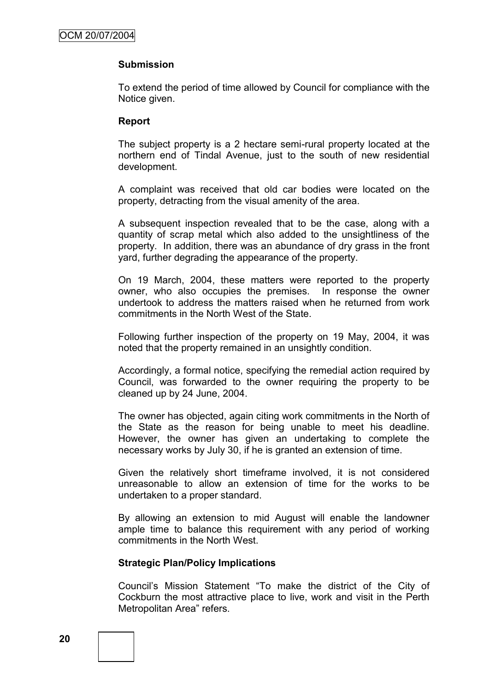#### **Submission**

To extend the period of time allowed by Council for compliance with the Notice given.

#### **Report**

The subject property is a 2 hectare semi-rural property located at the northern end of Tindal Avenue, just to the south of new residential development.

A complaint was received that old car bodies were located on the property, detracting from the visual amenity of the area.

A subsequent inspection revealed that to be the case, along with a quantity of scrap metal which also added to the unsightliness of the property. In addition, there was an abundance of dry grass in the front yard, further degrading the appearance of the property.

On 19 March, 2004, these matters were reported to the property owner, who also occupies the premises. In response the owner undertook to address the matters raised when he returned from work commitments in the North West of the State.

Following further inspection of the property on 19 May, 2004, it was noted that the property remained in an unsightly condition.

Accordingly, a formal notice, specifying the remedial action required by Council, was forwarded to the owner requiring the property to be cleaned up by 24 June, 2004.

The owner has objected, again citing work commitments in the North of the State as the reason for being unable to meet his deadline. However, the owner has given an undertaking to complete the necessary works by July 30, if he is granted an extension of time.

Given the relatively short timeframe involved, it is not considered unreasonable to allow an extension of time for the works to be undertaken to a proper standard.

By allowing an extension to mid August will enable the landowner ample time to balance this requirement with any period of working commitments in the North West.

#### **Strategic Plan/Policy Implications**

Council"s Mission Statement "To make the district of the City of Cockburn the most attractive place to live, work and visit in the Perth Metropolitan Area" refers.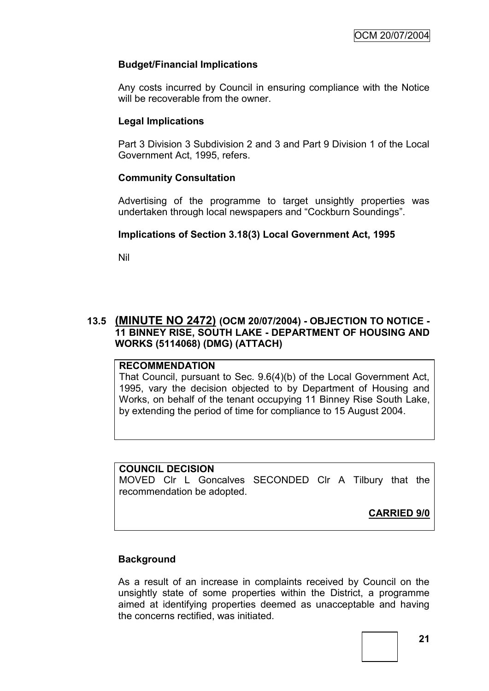# **Budget/Financial Implications**

Any costs incurred by Council in ensuring compliance with the Notice will be recoverable from the owner.

# **Legal Implications**

Part 3 Division 3 Subdivision 2 and 3 and Part 9 Division 1 of the Local Government Act, 1995, refers.

# **Community Consultation**

Advertising of the programme to target unsightly properties was undertaken through local newspapers and "Cockburn Soundings".

# **Implications of Section 3.18(3) Local Government Act, 1995**

Nil

# **13.5 (MINUTE NO 2472) (OCM 20/07/2004) - OBJECTION TO NOTICE - 11 BINNEY RISE, SOUTH LAKE - DEPARTMENT OF HOUSING AND WORKS (5114068) (DMG) (ATTACH)**

#### **RECOMMENDATION**

That Council, pursuant to Sec. 9.6(4)(b) of the Local Government Act, 1995, vary the decision objected to by Department of Housing and Works, on behalf of the tenant occupying 11 Binney Rise South Lake, by extending the period of time for compliance to 15 August 2004.

#### **COUNCIL DECISION**

MOVED Clr L Goncalves SECONDED Clr A Tilbury that the recommendation be adopted.

**CARRIED 9/0**

#### **Background**

As a result of an increase in complaints received by Council on the unsightly state of some properties within the District, a programme aimed at identifying properties deemed as unacceptable and having the concerns rectified, was initiated.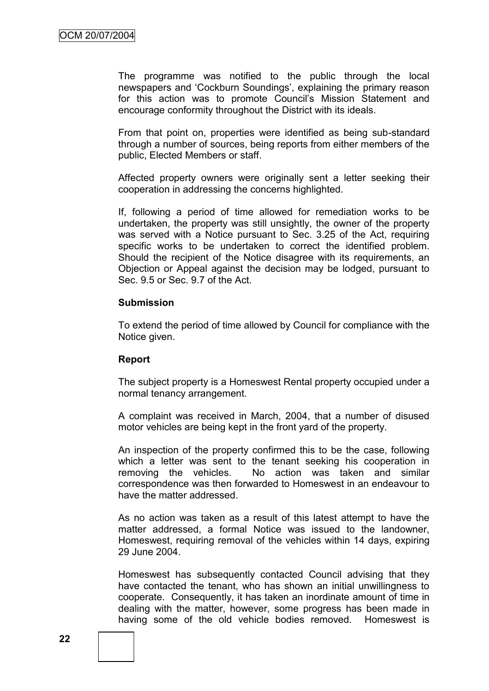The programme was notified to the public through the local newspapers and 'Cockburn Soundings', explaining the primary reason for this action was to promote Council's Mission Statement and encourage conformity throughout the District with its ideals.

From that point on, properties were identified as being sub-standard through a number of sources, being reports from either members of the public, Elected Members or staff.

Affected property owners were originally sent a letter seeking their cooperation in addressing the concerns highlighted.

If, following a period of time allowed for remediation works to be undertaken, the property was still unsightly, the owner of the property was served with a Notice pursuant to Sec. 3.25 of the Act, requiring specific works to be undertaken to correct the identified problem. Should the recipient of the Notice disagree with its requirements, an Objection or Appeal against the decision may be lodged, pursuant to Sec. 9.5 or Sec. 9.7 of the Act.

#### **Submission**

To extend the period of time allowed by Council for compliance with the Notice given.

#### **Report**

The subject property is a Homeswest Rental property occupied under a normal tenancy arrangement.

A complaint was received in March, 2004, that a number of disused motor vehicles are being kept in the front yard of the property.

An inspection of the property confirmed this to be the case, following which a letter was sent to the tenant seeking his cooperation in removing the vehicles. No action was taken and similar correspondence was then forwarded to Homeswest in an endeavour to have the matter addressed.

As no action was taken as a result of this latest attempt to have the matter addressed, a formal Notice was issued to the landowner, Homeswest, requiring removal of the vehicles within 14 days, expiring 29 June 2004.

Homeswest has subsequently contacted Council advising that they have contacted the tenant, who has shown an initial unwillingness to cooperate. Consequently, it has taken an inordinate amount of time in dealing with the matter, however, some progress has been made in having some of the old vehicle bodies removed. Homeswest is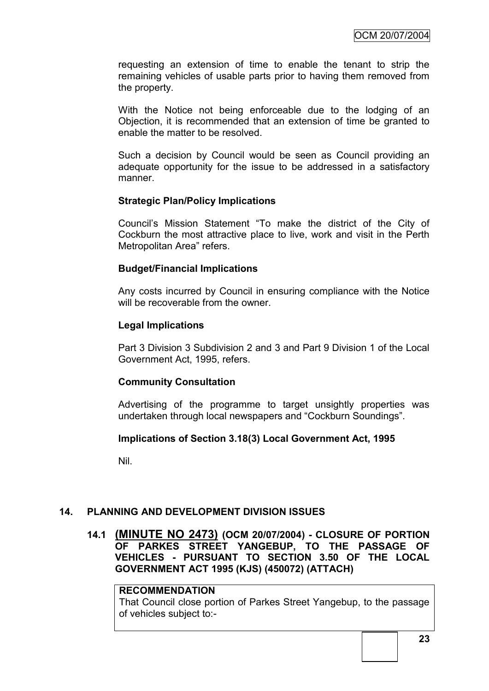requesting an extension of time to enable the tenant to strip the remaining vehicles of usable parts prior to having them removed from the property.

With the Notice not being enforceable due to the lodging of an Objection, it is recommended that an extension of time be granted to enable the matter to be resolved.

Such a decision by Council would be seen as Council providing an adequate opportunity for the issue to be addressed in a satisfactory manner.

#### **Strategic Plan/Policy Implications**

Council"s Mission Statement "To make the district of the City of Cockburn the most attractive place to live, work and visit in the Perth Metropolitan Area" refers.

#### **Budget/Financial Implications**

Any costs incurred by Council in ensuring compliance with the Notice will be recoverable from the owner.

#### **Legal Implications**

Part 3 Division 3 Subdivision 2 and 3 and Part 9 Division 1 of the Local Government Act, 1995, refers.

#### **Community Consultation**

Advertising of the programme to target unsightly properties was undertaken through local newspapers and "Cockburn Soundings".

#### **Implications of Section 3.18(3) Local Government Act, 1995**

Nil.

#### **14. PLANNING AND DEVELOPMENT DIVISION ISSUES**

### **14.1 (MINUTE NO 2473) (OCM 20/07/2004) - CLOSURE OF PORTION OF PARKES STREET YANGEBUP, TO THE PASSAGE OF VEHICLES - PURSUANT TO SECTION 3.50 OF THE LOCAL GOVERNMENT ACT 1995 (KJS) (450072) (ATTACH)**

#### **RECOMMENDATION**

That Council close portion of Parkes Street Yangebup, to the passage of vehicles subject to:-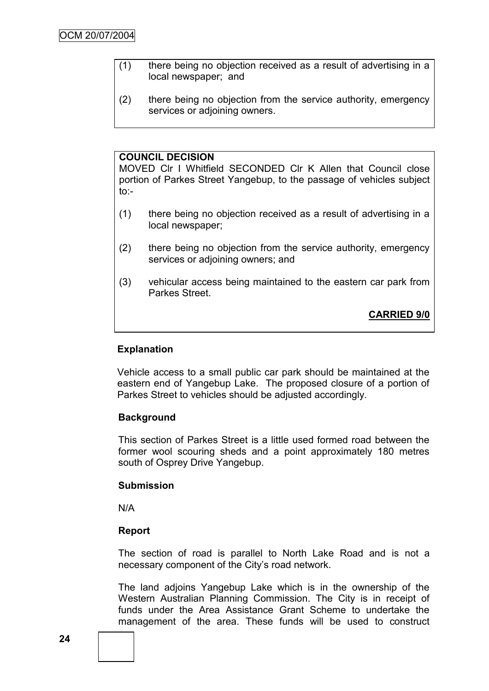- (1) there being no objection received as a result of advertising in a local newspaper; and
- (2) there being no objection from the service authority, emergency services or adioining owners.

## **COUNCIL DECISION**

MOVED Clr I Whitfield SECONDED Clr K Allen that Council close portion of Parkes Street Yangebup, to the passage of vehicles subject to:-

- (1) there being no objection received as a result of advertising in a local newspaper;
- (2) there being no objection from the service authority, emergency services or adjoining owners; and
- (3) vehicular access being maintained to the eastern car park from Parkes Street.

**CARRIED 9/0**

## **Explanation**

Vehicle access to a small public car park should be maintained at the eastern end of Yangebup Lake. The proposed closure of a portion of Parkes Street to vehicles should be adjusted accordingly.

#### **Background**

This section of Parkes Street is a little used formed road between the former wool scouring sheds and a point approximately 180 metres south of Osprey Drive Yangebup.

#### **Submission**

N/A

#### **Report**

The section of road is parallel to North Lake Road and is not a necessary component of the City"s road network.

The land adjoins Yangebup Lake which is in the ownership of the Western Australian Planning Commission. The City is in receipt of funds under the Area Assistance Grant Scheme to undertake the management of the area. These funds will be used to construct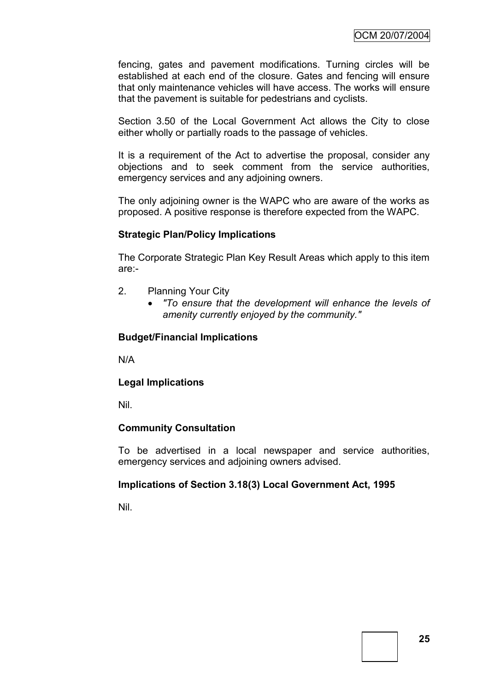fencing, gates and pavement modifications. Turning circles will be established at each end of the closure. Gates and fencing will ensure that only maintenance vehicles will have access. The works will ensure that the pavement is suitable for pedestrians and cyclists.

Section 3.50 of the Local Government Act allows the City to close either wholly or partially roads to the passage of vehicles.

It is a requirement of the Act to advertise the proposal, consider any objections and to seek comment from the service authorities, emergency services and any adjoining owners.

The only adjoining owner is the WAPC who are aware of the works as proposed. A positive response is therefore expected from the WAPC.

#### **Strategic Plan/Policy Implications**

The Corporate Strategic Plan Key Result Areas which apply to this item are:-

- 2. Planning Your City
	- *"To ensure that the development will enhance the levels of amenity currently enjoyed by the community."*

#### **Budget/Financial Implications**

N/A

#### **Legal Implications**

Nil.

#### **Community Consultation**

To be advertised in a local newspaper and service authorities, emergency services and adjoining owners advised.

#### **Implications of Section 3.18(3) Local Government Act, 1995**

Nil.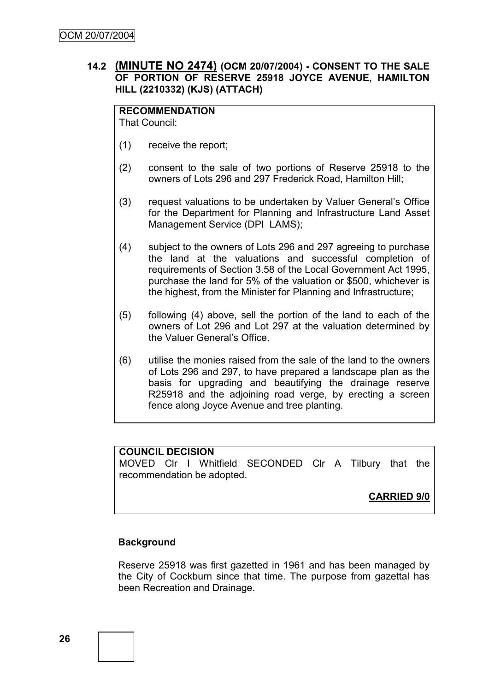# **14.2 (MINUTE NO 2474) (OCM 20/07/2004) - CONSENT TO THE SALE OF PORTION OF RESERVE 25918 JOYCE AVENUE, HAMILTON HILL (2210332) (KJS) (ATTACH)**

**RECOMMENDATION** That Council:

- (1) receive the report;
- (2) consent to the sale of two portions of Reserve 25918 to the owners of Lots 296 and 297 Frederick Road, Hamilton Hill;
- (3) request valuations to be undertaken by Valuer General"s Office for the Department for Planning and Infrastructure Land Asset Management Service (DPI LAMS);
- (4) subject to the owners of Lots 296 and 297 agreeing to purchase the land at the valuations and successful completion of requirements of Section 3.58 of the Local Government Act 1995, purchase the land for 5% of the valuation or \$500, whichever is the highest, from the Minister for Planning and Infrastructure;
- (5) following (4) above, sell the portion of the land to each of the owners of Lot 296 and Lot 297 at the valuation determined by the Valuer General's Office.
- (6) utilise the monies raised from the sale of the land to the owners of Lots 296 and 297, to have prepared a landscape plan as the basis for upgrading and beautifying the drainage reserve R25918 and the adjoining road verge, by erecting a screen fence along Joyce Avenue and tree planting.

# **COUNCIL DECISION**

MOVED Clr I Whitfield SECONDED Clr A Tilbury that the recommendation be adopted.

**CARRIED 9/0**

# **Background**

Reserve 25918 was first gazetted in 1961 and has been managed by the City of Cockburn since that time. The purpose from gazettal has been Recreation and Drainage.

**26**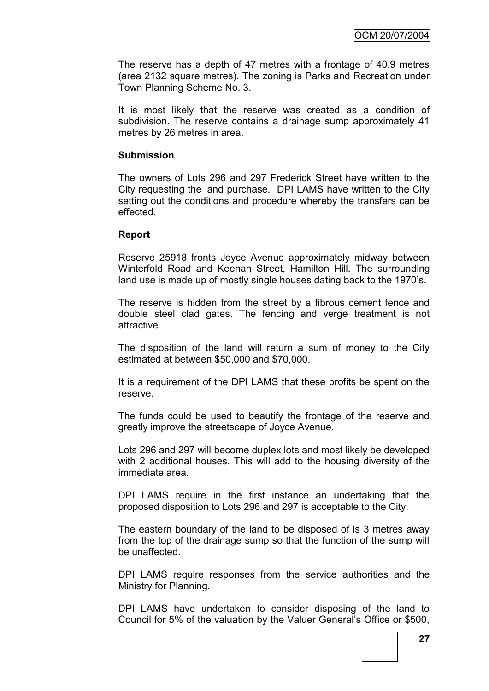The reserve has a depth of 47 metres with a frontage of 40.9 metres (area 2132 square metres). The zoning is Parks and Recreation under Town Planning Scheme No. 3.

It is most likely that the reserve was created as a condition of subdivision. The reserve contains a drainage sump approximately 41 metres by 26 metres in area.

#### **Submission**

The owners of Lots 296 and 297 Frederick Street have written to the City requesting the land purchase. DPI LAMS have written to the City setting out the conditions and procedure whereby the transfers can be effected.

#### **Report**

Reserve 25918 fronts Joyce Avenue approximately midway between Winterfold Road and Keenan Street, Hamilton Hill. The surrounding land use is made up of mostly single houses dating back to the 1970's.

The reserve is hidden from the street by a fibrous cement fence and double steel clad gates. The fencing and verge treatment is not attractive.

The disposition of the land will return a sum of money to the City estimated at between \$50,000 and \$70,000.

It is a requirement of the DPI LAMS that these profits be spent on the reserve.

The funds could be used to beautify the frontage of the reserve and greatly improve the streetscape of Joyce Avenue.

Lots 296 and 297 will become duplex lots and most likely be developed with 2 additional houses. This will add to the housing diversity of the immediate area.

DPI LAMS require in the first instance an undertaking that the proposed disposition to Lots 296 and 297 is acceptable to the City.

The eastern boundary of the land to be disposed of is 3 metres away from the top of the drainage sump so that the function of the sump will be unaffected.

DPI LAMS require responses from the service authorities and the Ministry for Planning.

DPI LAMS have undertaken to consider disposing of the land to Council for 5% of the valuation by the Valuer General"s Office or \$500,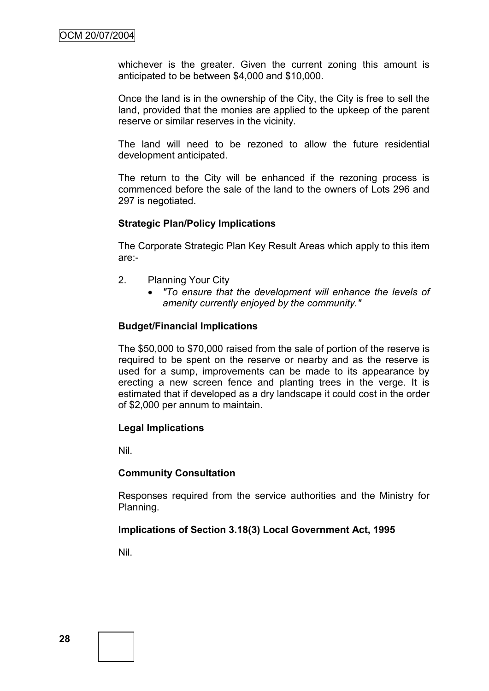whichever is the greater. Given the current zoning this amount is anticipated to be between \$4,000 and \$10,000.

Once the land is in the ownership of the City, the City is free to sell the land, provided that the monies are applied to the upkeep of the parent reserve or similar reserves in the vicinity.

The land will need to be rezoned to allow the future residential development anticipated.

The return to the City will be enhanced if the rezoning process is commenced before the sale of the land to the owners of Lots 296 and 297 is negotiated.

#### **Strategic Plan/Policy Implications**

The Corporate Strategic Plan Key Result Areas which apply to this item are:-

- 2. Planning Your City
	- *"To ensure that the development will enhance the levels of amenity currently enjoyed by the community."*

#### **Budget/Financial Implications**

The \$50,000 to \$70,000 raised from the sale of portion of the reserve is required to be spent on the reserve or nearby and as the reserve is used for a sump, improvements can be made to its appearance by erecting a new screen fence and planting trees in the verge. It is estimated that if developed as a dry landscape it could cost in the order of \$2,000 per annum to maintain.

#### **Legal Implications**

Nil.

#### **Community Consultation**

Responses required from the service authorities and the Ministry for Planning.

#### **Implications of Section 3.18(3) Local Government Act, 1995**

Nil.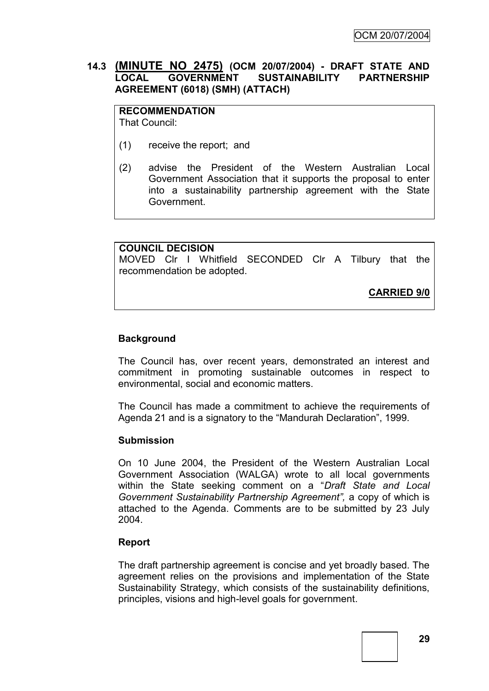# **14.3 (MINUTE NO 2475) (OCM 20/07/2004) - DRAFT STATE AND LOCAL GOVERNMENT SUSTAINABILITY PARTNERSHIP AGREEMENT (6018) (SMH) (ATTACH)**

**RECOMMENDATION** That Council:

- (1) receive the report; and
- (2) advise the President of the Western Australian Local Government Association that it supports the proposal to enter into a sustainability partnership agreement with the State Government.

#### **COUNCIL DECISION**

MOVED Clr I Whitfield SECONDED Clr A Tilbury that the recommendation be adopted.

**CARRIED 9/0**

#### **Background**

The Council has, over recent years, demonstrated an interest and commitment in promoting sustainable outcomes in respect to environmental, social and economic matters.

The Council has made a commitment to achieve the requirements of Agenda 21 and is a signatory to the "Mandurah Declaration", 1999.

#### **Submission**

On 10 June 2004, the President of the Western Australian Local Government Association (WALGA) wrote to all local governments within the State seeking comment on a "*Draft State and Local Government Sustainability Partnership Agreement",* a copy of which is attached to the Agenda. Comments are to be submitted by 23 July 2004.

#### **Report**

The draft partnership agreement is concise and yet broadly based. The agreement relies on the provisions and implementation of the State Sustainability Strategy, which consists of the sustainability definitions, principles, visions and high-level goals for government.

**29**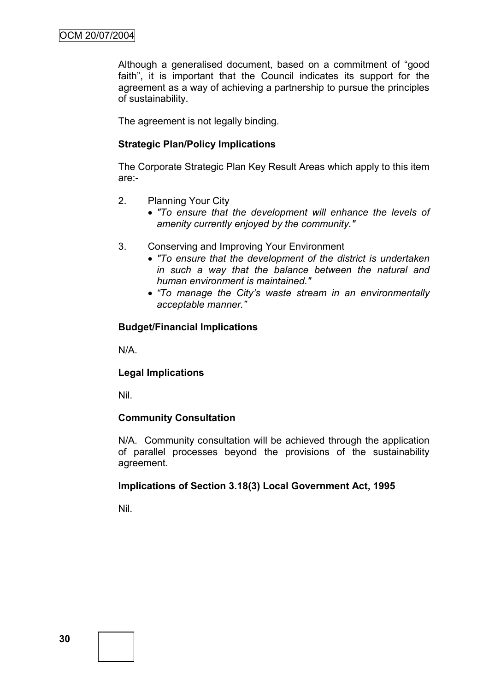Although a generalised document, based on a commitment of "good faith", it is important that the Council indicates its support for the agreement as a way of achieving a partnership to pursue the principles of sustainability.

The agreement is not legally binding.

# **Strategic Plan/Policy Implications**

The Corporate Strategic Plan Key Result Areas which apply to this item are:-

- 2. Planning Your City
	- *"To ensure that the development will enhance the levels of amenity currently enjoyed by the community."*
- 3. Conserving and Improving Your Environment
	- *"To ensure that the development of the district is undertaken in such a way that the balance between the natural and human environment is maintained."*
	- *"To manage the City"s waste stream in an environmentally acceptable manner."*

# **Budget/Financial Implications**

N/A.

# **Legal Implications**

Nil.

#### **Community Consultation**

N/A. Community consultation will be achieved through the application of parallel processes beyond the provisions of the sustainability agreement.

# **Implications of Section 3.18(3) Local Government Act, 1995**

Nil.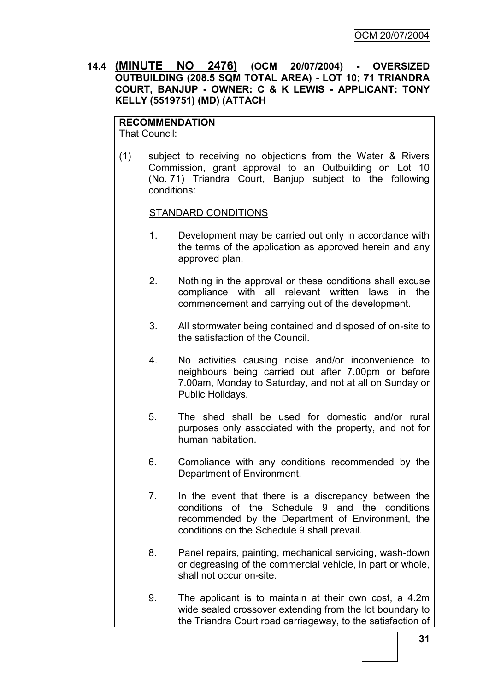**14.4 (MINUTE NO 2476) (OCM 20/07/2004) - OVERSIZED OUTBUILDING (208.5 SQM TOTAL AREA) - LOT 10; 71 TRIANDRA COURT, BANJUP - OWNER: C & K LEWIS - APPLICANT: TONY KELLY (5519751) (MD) (ATTACH**

# **RECOMMENDATION**

That Council:

(1) subject to receiving no objections from the Water & Rivers Commission, grant approval to an Outbuilding on Lot 10 (No. 71) Triandra Court, Banjup subject to the following conditions:

#### STANDARD CONDITIONS

- 1. Development may be carried out only in accordance with the terms of the application as approved herein and any approved plan.
- 2. Nothing in the approval or these conditions shall excuse compliance with all relevant written laws in the commencement and carrying out of the development.
- 3. All stormwater being contained and disposed of on-site to the satisfaction of the Council.
- 4. No activities causing noise and/or inconvenience to neighbours being carried out after 7.00pm or before 7.00am, Monday to Saturday, and not at all on Sunday or Public Holidays.
- 5. The shed shall be used for domestic and/or rural purposes only associated with the property, and not for human habitation.
- 6. Compliance with any conditions recommended by the Department of Environment.
- 7. In the event that there is a discrepancy between the conditions of the Schedule 9 and the conditions recommended by the Department of Environment, the conditions on the Schedule 9 shall prevail.
- 8. Panel repairs, painting, mechanical servicing, wash-down or degreasing of the commercial vehicle, in part or whole, shall not occur on-site.
- 9. The applicant is to maintain at their own cost, a 4.2m wide sealed crossover extending from the lot boundary to the Triandra Court road carriageway, to the satisfaction of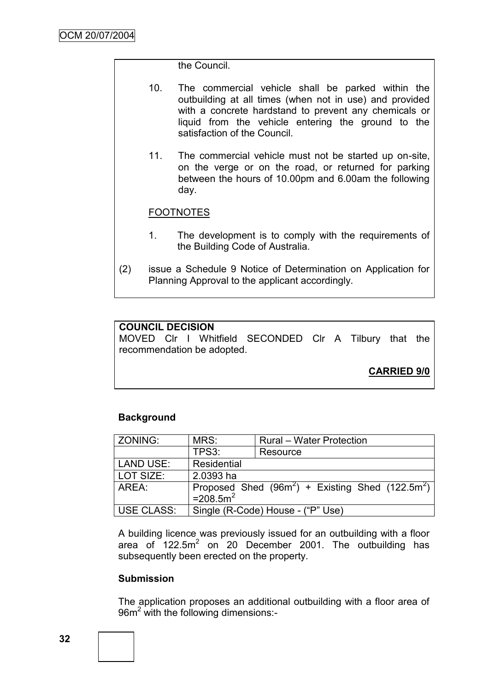the Council.

- 10. The commercial vehicle shall be parked within the outbuilding at all times (when not in use) and provided with a concrete hardstand to prevent any chemicals or liquid from the vehicle entering the ground to the satisfaction of the Council.
- 11. The commercial vehicle must not be started up on-site, on the verge or on the road, or returned for parking between the hours of 10.00pm and 6.00am the following day.

# FOOTNOTES

- 1. The development is to comply with the requirements of the Building Code of Australia.
- (2) issue a Schedule 9 Notice of Determination on Application for Planning Approval to the applicant accordingly.

#### **COUNCIL DECISION**

MOVED Clr I Whitfield SECONDED Clr A Tilbury that the recommendation be adopted.

**CARRIED 9/0**

#### **Background**

| ZONING:                                                                                          | MRS:<br><b>Rural – Water Protection</b> |                                   |
|--------------------------------------------------------------------------------------------------|-----------------------------------------|-----------------------------------|
|                                                                                                  | TPS3:                                   | Resource                          |
| <b>LAND USE:</b>                                                                                 | Residential                             |                                   |
| LOT SIZE:                                                                                        | 2.0393 ha                               |                                   |
| Proposed Shed (96m <sup>2</sup> ) + Existing Shed (122.5m <sup>2</sup> )<br>AREA:<br>$=208.5m^2$ |                                         |                                   |
| USE CLASS:                                                                                       |                                         | Single (R-Code) House - ("P" Use) |

A building licence was previously issued for an outbuilding with a floor area of  $122.5m^2$  on 20 December 2001. The outbuilding has subsequently been erected on the property.

#### **Submission**

The application proposes an additional outbuilding with a floor area of 96m<sup>2</sup> with the following dimensions:-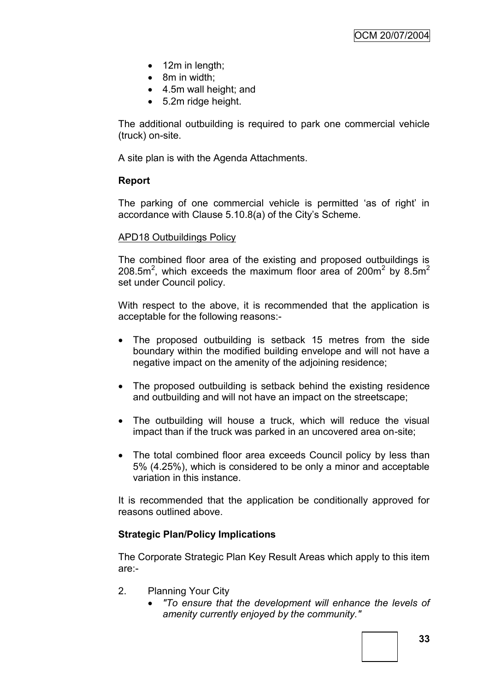- 12m in length;
- 8m in width:
- 4.5m wall height; and
- 5.2m ridge height.

The additional outbuilding is required to park one commercial vehicle (truck) on-site.

A site plan is with the Agenda Attachments.

#### **Report**

The parking of one commercial vehicle is permitted 'as of right' in accordance with Clause 5.10.8(a) of the City"s Scheme.

#### APD18 Outbuildings Policy

The combined floor area of the existing and proposed outbuildings is 208.5m<sup>2</sup>, which exceeds the maximum floor area of 200m<sup>2</sup> by 8.5m<sup>2</sup> set under Council policy.

With respect to the above, it is recommended that the application is acceptable for the following reasons:-

- The proposed outbuilding is setback 15 metres from the side boundary within the modified building envelope and will not have a negative impact on the amenity of the adjoining residence;
- The proposed outbuilding is setback behind the existing residence and outbuilding and will not have an impact on the streetscape;
- The outbuilding will house a truck, which will reduce the visual impact than if the truck was parked in an uncovered area on-site;
- The total combined floor area exceeds Council policy by less than 5% (4.25%), which is considered to be only a minor and acceptable variation in this instance.

It is recommended that the application be conditionally approved for reasons outlined above.

#### **Strategic Plan/Policy Implications**

The Corporate Strategic Plan Key Result Areas which apply to this item are:-

- 2. Planning Your City
	- *"To ensure that the development will enhance the levels of amenity currently enjoyed by the community."*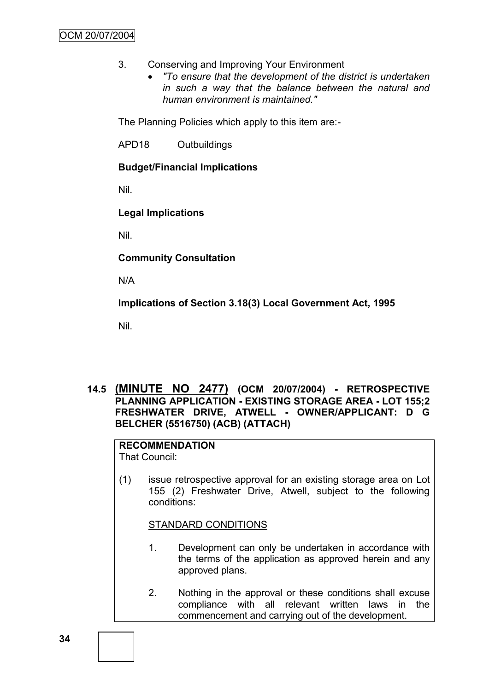- 3. Conserving and Improving Your Environment
	- *"To ensure that the development of the district is undertaken in such a way that the balance between the natural and human environment is maintained."*

The Planning Policies which apply to this item are:-

APD18 Outbuildings

# **Budget/Financial Implications**

Nil.

# **Legal Implications**

Nil.

**Community Consultation**

N/A

**Implications of Section 3.18(3) Local Government Act, 1995**

Nil.

## **14.5 (MINUTE NO 2477) (OCM 20/07/2004) - RETROSPECTIVE PLANNING APPLICATION - EXISTING STORAGE AREA - LOT 155;2 FRESHWATER DRIVE, ATWELL - OWNER/APPLICANT: D G BELCHER (5516750) (ACB) (ATTACH)**

# **RECOMMENDATION**

That Council:

(1) issue retrospective approval for an existing storage area on Lot 155 (2) Freshwater Drive, Atwell, subject to the following conditions:

#### STANDARD CONDITIONS

- 1. Development can only be undertaken in accordance with the terms of the application as approved herein and any approved plans.
- 2. Nothing in the approval or these conditions shall excuse compliance with all relevant written laws in the commencement and carrying out of the development.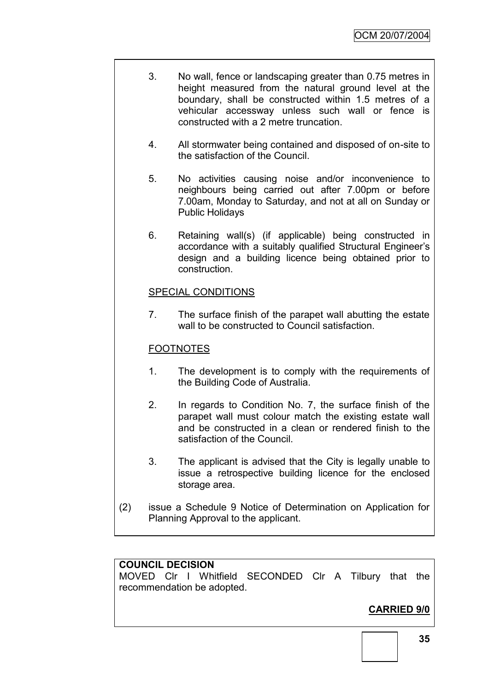- 3. No wall, fence or landscaping greater than 0.75 metres in height measured from the natural ground level at the boundary, shall be constructed within 1.5 metres of a vehicular accessway unless such wall or fence is constructed with a 2 metre truncation.
- 4. All stormwater being contained and disposed of on-site to the satisfaction of the Council.
- 5. No activities causing noise and/or inconvenience to neighbours being carried out after 7.00pm or before 7.00am, Monday to Saturday, and not at all on Sunday or Public Holidays
- 6. Retaining wall(s) (if applicable) being constructed in accordance with a suitably qualified Structural Engineer"s design and a building licence being obtained prior to construction.

# SPECIAL CONDITIONS

7. The surface finish of the parapet wall abutting the estate wall to be constructed to Council satisfaction.

## FOOTNOTES

- 1. The development is to comply with the requirements of the Building Code of Australia.
- 2. In regards to Condition No. 7, the surface finish of the parapet wall must colour match the existing estate wall and be constructed in a clean or rendered finish to the satisfaction of the Council.
- 3. The applicant is advised that the City is legally unable to issue a retrospective building licence for the enclosed storage area.
- (2) issue a Schedule 9 Notice of Determination on Application for Planning Approval to the applicant.

#### **COUNCIL DECISION**

MOVED Clr I Whitfield SECONDED Clr A Tilbury that the recommendation be adopted.

# **CARRIED 9/0**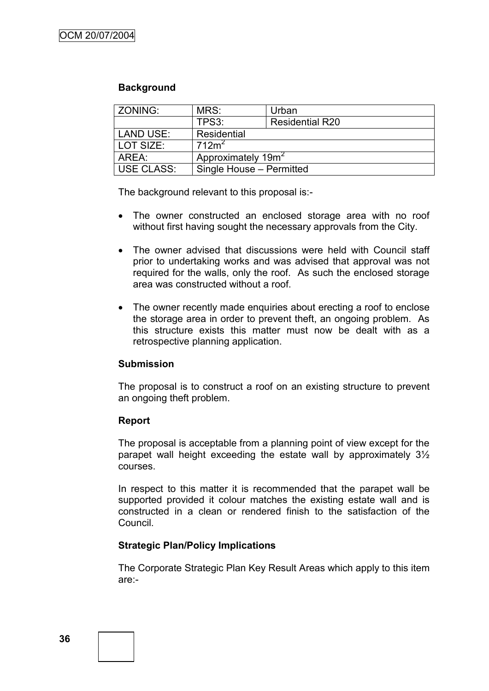#### **Background**

| <b>ZONING:</b>   | MRS:                           | Urban                  |  |
|------------------|--------------------------------|------------------------|--|
|                  | TPS3:                          | <b>Residential R20</b> |  |
| <b>LAND USE:</b> | Residential                    |                        |  |
| LOT SIZE:        | 712m <sup>2</sup>              |                        |  |
| AREA:            | Approximately 19m <sup>2</sup> |                        |  |
| USE CLASS:       | Single House - Permitted       |                        |  |

The background relevant to this proposal is:-

- The owner constructed an enclosed storage area with no roof without first having sought the necessary approvals from the City.
- The owner advised that discussions were held with Council staff prior to undertaking works and was advised that approval was not required for the walls, only the roof. As such the enclosed storage area was constructed without a roof.
- The owner recently made enquiries about erecting a roof to enclose the storage area in order to prevent theft, an ongoing problem. As this structure exists this matter must now be dealt with as a retrospective planning application.

#### **Submission**

The proposal is to construct a roof on an existing structure to prevent an ongoing theft problem.

# **Report**

The proposal is acceptable from a planning point of view except for the parapet wall height exceeding the estate wall by approximately 3½ courses.

In respect to this matter it is recommended that the parapet wall be supported provided it colour matches the existing estate wall and is constructed in a clean or rendered finish to the satisfaction of the Council.

# **Strategic Plan/Policy Implications**

The Corporate Strategic Plan Key Result Areas which apply to this item are:-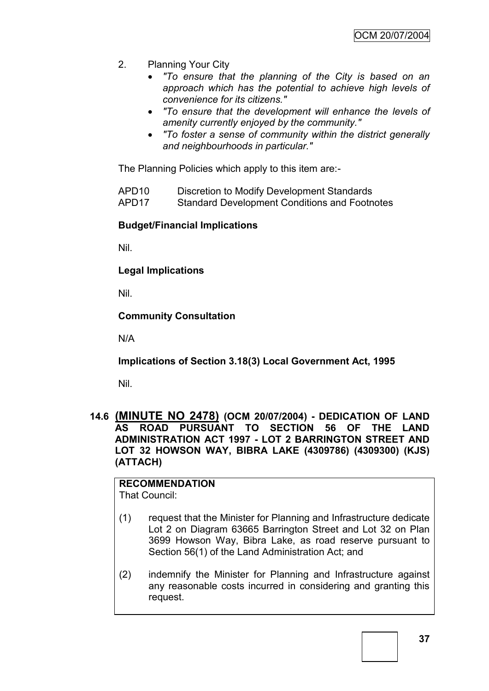- 2. Planning Your City
	- *"To ensure that the planning of the City is based on an approach which has the potential to achieve high levels of convenience for its citizens."*
	- *"To ensure that the development will enhance the levels of amenity currently enjoyed by the community."*
	- *"To foster a sense of community within the district generally and neighbourhoods in particular."*

The Planning Policies which apply to this item are:-

| APD <sub>10</sub> | Discretion to Modify Development Standards |  |
|-------------------|--------------------------------------------|--|
|                   |                                            |  |

APD17 Standard Development Conditions and Footnotes

### **Budget/Financial Implications**

Nil.

**Legal Implications**

Nil.

**Community Consultation**

N/A

**Implications of Section 3.18(3) Local Government Act, 1995**

Nil.

### **14.6 (MINUTE NO 2478) (OCM 20/07/2004) - DEDICATION OF LAND AS ROAD PURSUANT TO SECTION 56 OF THE LAND ADMINISTRATION ACT 1997 - LOT 2 BARRINGTON STREET AND LOT 32 HOWSON WAY, BIBRA LAKE (4309786) (4309300) (KJS) (ATTACH)**

**RECOMMENDATION** That Council:

- (1) request that the Minister for Planning and Infrastructure dedicate Lot 2 on Diagram 63665 Barrington Street and Lot 32 on Plan 3699 Howson Way, Bibra Lake, as road reserve pursuant to Section 56(1) of the Land Administration Act; and
- (2) indemnify the Minister for Planning and Infrastructure against any reasonable costs incurred in considering and granting this request.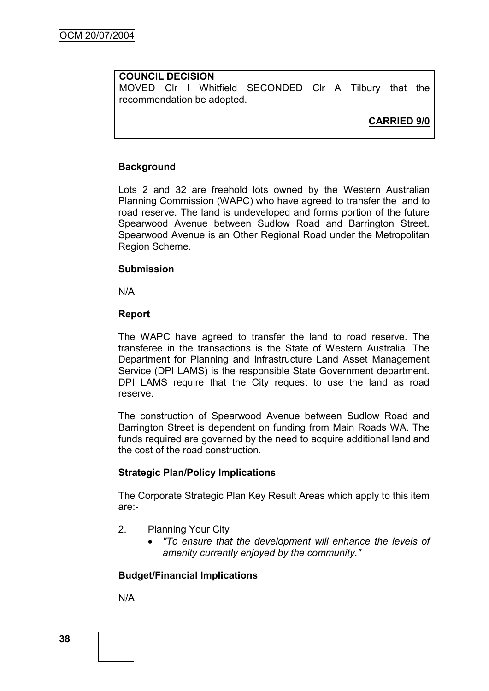### **COUNCIL DECISION**

MOVED Clr I Whitfield SECONDED Clr A Tilbury that the recommendation be adopted.

**CARRIED 9/0**

### **Background**

Lots 2 and 32 are freehold lots owned by the Western Australian Planning Commission (WAPC) who have agreed to transfer the land to road reserve. The land is undeveloped and forms portion of the future Spearwood Avenue between Sudlow Road and Barrington Street. Spearwood Avenue is an Other Regional Road under the Metropolitan Region Scheme.

### **Submission**

N/A

### **Report**

The WAPC have agreed to transfer the land to road reserve. The transferee in the transactions is the State of Western Australia. The Department for Planning and Infrastructure Land Asset Management Service (DPI LAMS) is the responsible State Government department. DPI LAMS require that the City request to use the land as road reserve.

The construction of Spearwood Avenue between Sudlow Road and Barrington Street is dependent on funding from Main Roads WA. The funds required are governed by the need to acquire additional land and the cost of the road construction.

### **Strategic Plan/Policy Implications**

The Corporate Strategic Plan Key Result Areas which apply to this item are:-

- 2. Planning Your City
	- *"To ensure that the development will enhance the levels of amenity currently enjoyed by the community."*

# **Budget/Financial Implications**

N/A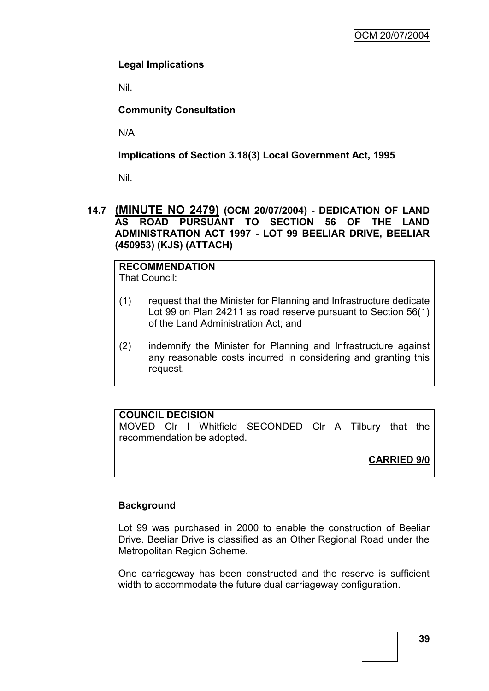# **Legal Implications**

Nil.

# **Community Consultation**

N/A

### **Implications of Section 3.18(3) Local Government Act, 1995**

Nil.

### **14.7 (MINUTE NO 2479) (OCM 20/07/2004) - DEDICATION OF LAND AS ROAD PURSUANT TO SECTION 56 OF THE LAND ADMINISTRATION ACT 1997 - LOT 99 BEELIAR DRIVE, BEELIAR (450953) (KJS) (ATTACH)**

#### **RECOMMENDATION** That Council:

- (1) request that the Minister for Planning and Infrastructure dedicate Lot 99 on Plan 24211 as road reserve pursuant to Section 56(1) of the Land Administration Act; and
- (2) indemnify the Minister for Planning and Infrastructure against any reasonable costs incurred in considering and granting this request.

# **COUNCIL DECISION**

MOVED Clr I Whitfield SECONDED Clr A Tilbury that the recommendation be adopted.

# **CARRIED 9/0**

# **Background**

Lot 99 was purchased in 2000 to enable the construction of Beeliar Drive. Beeliar Drive is classified as an Other Regional Road under the Metropolitan Region Scheme.

One carriageway has been constructed and the reserve is sufficient width to accommodate the future dual carriageway configuration.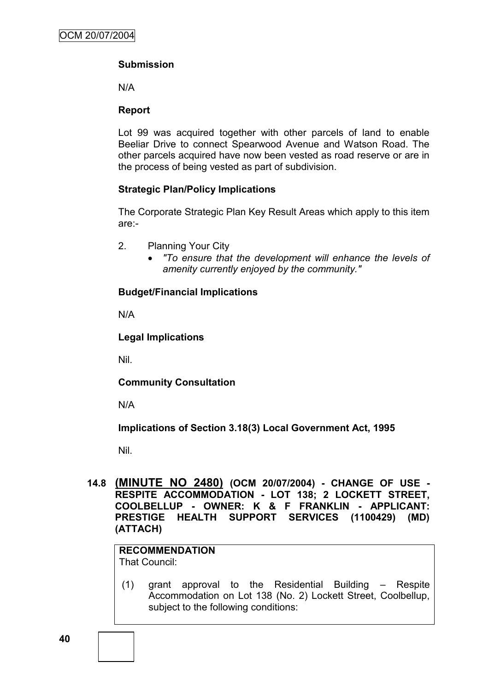# **Submission**

N/A

### **Report**

Lot 99 was acquired together with other parcels of land to enable Beeliar Drive to connect Spearwood Avenue and Watson Road. The other parcels acquired have now been vested as road reserve or are in the process of being vested as part of subdivision.

### **Strategic Plan/Policy Implications**

The Corporate Strategic Plan Key Result Areas which apply to this item are:-

- 2. Planning Your City
	- *"To ensure that the development will enhance the levels of amenity currently enjoyed by the community."*

### **Budget/Financial Implications**

N/A

### **Legal Implications**

Nil.

**Community Consultation**

N/A

**Implications of Section 3.18(3) Local Government Act, 1995**

Nil.

### **14.8 (MINUTE NO 2480) (OCM 20/07/2004) - CHANGE OF USE - RESPITE ACCOMMODATION - LOT 138; 2 LOCKETT STREET, COOLBELLUP - OWNER: K & F FRANKLIN - APPLICANT: PRESTIGE HEALTH SUPPORT SERVICES (1100429) (MD) (ATTACH)**

#### **RECOMMENDATION** That Council:

(1) grant approval to the Residential Building – Respite Accommodation on Lot 138 (No. 2) Lockett Street, Coolbellup, subject to the following conditions: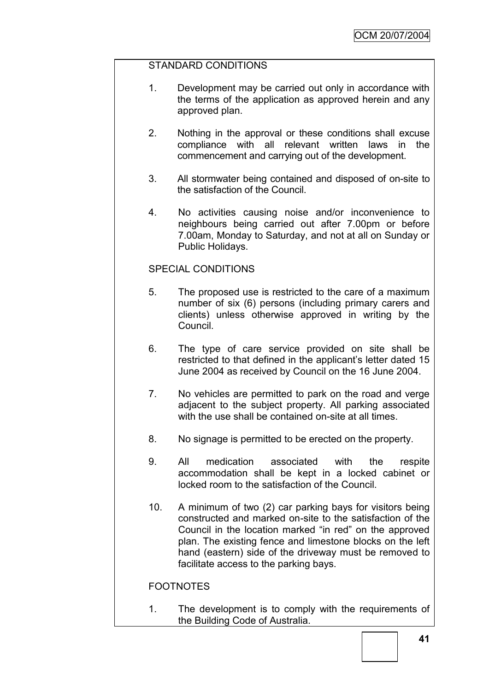### STANDARD CONDITIONS

- 1. Development may be carried out only in accordance with the terms of the application as approved herein and any approved plan.
- 2. Nothing in the approval or these conditions shall excuse compliance with all relevant written laws in the commencement and carrying out of the development.
- 3. All stormwater being contained and disposed of on-site to the satisfaction of the Council.
- 4. No activities causing noise and/or inconvenience to neighbours being carried out after 7.00pm or before 7.00am, Monday to Saturday, and not at all on Sunday or Public Holidays.

### SPECIAL CONDITIONS

- 5. The proposed use is restricted to the care of a maximum number of six (6) persons (including primary carers and clients) unless otherwise approved in writing by the Council.
- 6. The type of care service provided on site shall be restricted to that defined in the applicant's letter dated 15 June 2004 as received by Council on the 16 June 2004.
- 7. No vehicles are permitted to park on the road and verge adjacent to the subject property. All parking associated with the use shall be contained on-site at all times.
- 8. No signage is permitted to be erected on the property.
- 9. All medication associated with the respite accommodation shall be kept in a locked cabinet or locked room to the satisfaction of the Council.
- 10. A minimum of two (2) car parking bays for visitors being constructed and marked on-site to the satisfaction of the Council in the location marked "in red" on the approved plan. The existing fence and limestone blocks on the left hand (eastern) side of the driveway must be removed to facilitate access to the parking bays.

# FOOTNOTES

1. The development is to comply with the requirements of the Building Code of Australia.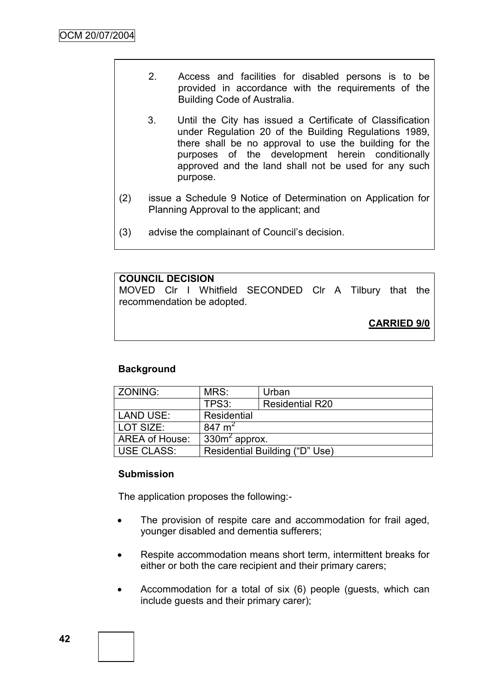- 2. Access and facilities for disabled persons is to be provided in accordance with the requirements of the Building Code of Australia.
- 3. Until the City has issued a Certificate of Classification under Regulation 20 of the Building Regulations 1989, there shall be no approval to use the building for the purposes of the development herein conditionally approved and the land shall not be used for any such purpose.
- (2) issue a Schedule 9 Notice of Determination on Application for Planning Approval to the applicant; and
- (3) advise the complainant of Council"s decision.

### **COUNCIL DECISION**

MOVED Clr I Whitfield SECONDED Clr A Tilbury that the recommendation be adopted.

**CARRIED 9/0**

# **Background**

| <b>ZONING:</b>    | MRS:                           | Urban                  |  |
|-------------------|--------------------------------|------------------------|--|
|                   | TPS3:                          | <b>Residential R20</b> |  |
| <b>LAND USE:</b>  | Residential                    |                        |  |
| LOT SIZE:         | 847 $m2$                       |                        |  |
| AREA of House:    | $330m2$ approx.                |                        |  |
| <b>USE CLASS:</b> | Residential Building ("D" Use) |                        |  |

### **Submission**

The application proposes the following:-

- The provision of respite care and accommodation for frail aged, younger disabled and dementia sufferers;
- Respite accommodation means short term, intermittent breaks for either or both the care recipient and their primary carers;
- Accommodation for a total of six (6) people (guests, which can include guests and their primary carer);

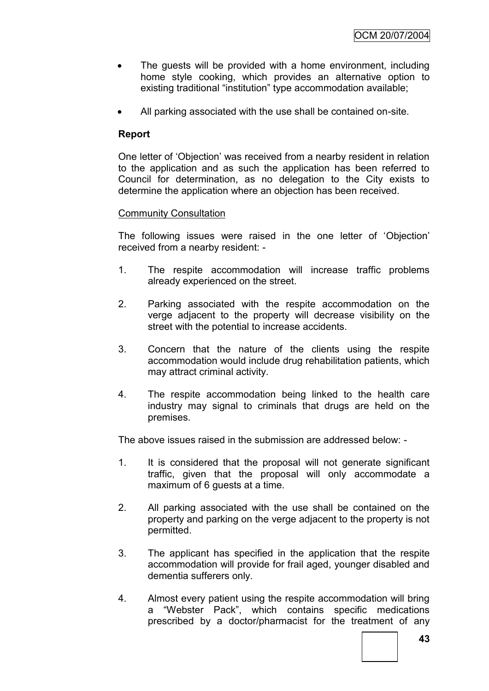- The guests will be provided with a home environment, including home style cooking, which provides an alternative option to existing traditional "institution" type accommodation available;
- All parking associated with the use shall be contained on-site.

# **Report**

One letter of "Objection" was received from a nearby resident in relation to the application and as such the application has been referred to Council for determination, as no delegation to the City exists to determine the application where an objection has been received.

# Community Consultation

The following issues were raised in the one letter of "Objection" received from a nearby resident: -

- 1. The respite accommodation will increase traffic problems already experienced on the street.
- 2. Parking associated with the respite accommodation on the verge adjacent to the property will decrease visibility on the street with the potential to increase accidents.
- 3. Concern that the nature of the clients using the respite accommodation would include drug rehabilitation patients, which may attract criminal activity.
- 4. The respite accommodation being linked to the health care industry may signal to criminals that drugs are held on the premises.

The above issues raised in the submission are addressed below: -

- 1. It is considered that the proposal will not generate significant traffic, given that the proposal will only accommodate a maximum of 6 guests at a time.
- 2. All parking associated with the use shall be contained on the property and parking on the verge adjacent to the property is not permitted.
- 3. The applicant has specified in the application that the respite accommodation will provide for frail aged, younger disabled and dementia sufferers only.
- 4. Almost every patient using the respite accommodation will bring a "Webster Pack", which contains specific medications prescribed by a doctor/pharmacist for the treatment of any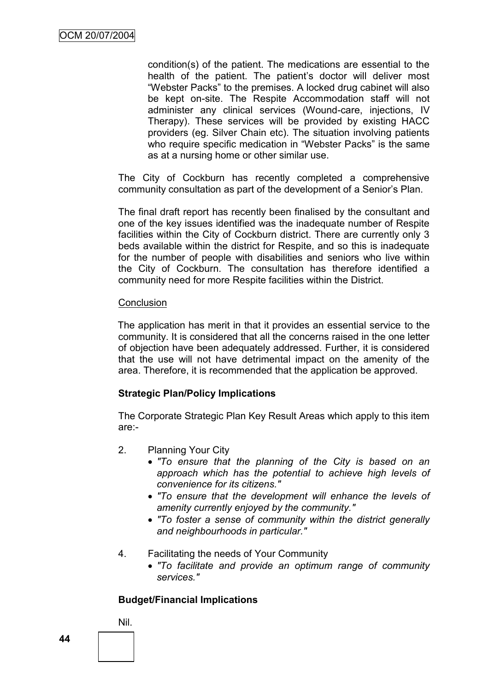condition(s) of the patient. The medications are essential to the health of the patient. The patient"s doctor will deliver most "Webster Packs" to the premises. A locked drug cabinet will also be kept on-site. The Respite Accommodation staff will not administer any clinical services (Wound-care, injections, IV Therapy). These services will be provided by existing HACC providers (eg. Silver Chain etc). The situation involving patients who require specific medication in "Webster Packs" is the same as at a nursing home or other similar use.

The City of Cockburn has recently completed a comprehensive community consultation as part of the development of a Senior"s Plan.

The final draft report has recently been finalised by the consultant and one of the key issues identified was the inadequate number of Respite facilities within the City of Cockburn district. There are currently only 3 beds available within the district for Respite, and so this is inadequate for the number of people with disabilities and seniors who live within the City of Cockburn. The consultation has therefore identified a community need for more Respite facilities within the District.

#### **Conclusion**

The application has merit in that it provides an essential service to the community. It is considered that all the concerns raised in the one letter of objection have been adequately addressed. Further, it is considered that the use will not have detrimental impact on the amenity of the area. Therefore, it is recommended that the application be approved.

### **Strategic Plan/Policy Implications**

The Corporate Strategic Plan Key Result Areas which apply to this item are:-

- 2. Planning Your City
	- *"To ensure that the planning of the City is based on an approach which has the potential to achieve high levels of convenience for its citizens."*
	- *"To ensure that the development will enhance the levels of amenity currently enjoyed by the community."*
	- *"To foster a sense of community within the district generally and neighbourhoods in particular."*

### 4. Facilitating the needs of Your Community

 *"To facilitate and provide an optimum range of community services."*

# **Budget/Financial Implications**

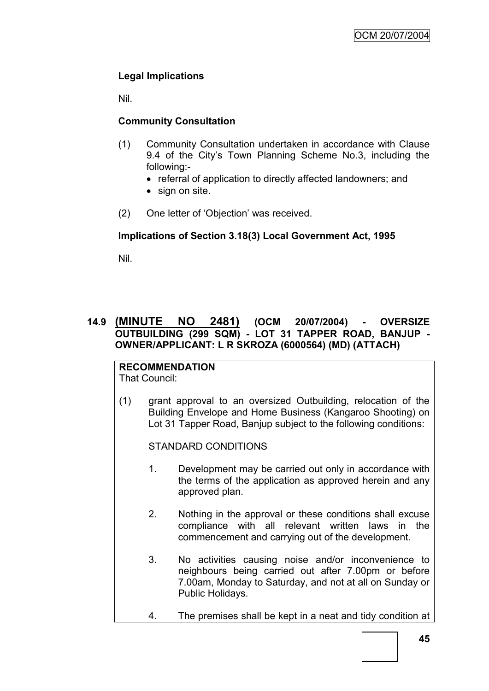# **Legal Implications**

Nil.

# **Community Consultation**

- (1) Community Consultation undertaken in accordance with Clause 9.4 of the City's Town Planning Scheme No.3, including the following:-
	- referral of application to directly affected landowners; and
	- sign on site.
- (2) One letter of "Objection" was received.

# **Implications of Section 3.18(3) Local Government Act, 1995**

Nil.

# **14.9 (MINUTE NO 2481) (OCM 20/07/2004) - OVERSIZE OUTBUILDING (299 SQM) - LOT 31 TAPPER ROAD, BANJUP - OWNER/APPLICANT: L R SKROZA (6000564) (MD) (ATTACH)**

#### **RECOMMENDATION** That Council:

(1) grant approval to an oversized Outbuilding, relocation of the Building Envelope and Home Business (Kangaroo Shooting) on Lot 31 Tapper Road, Banjup subject to the following conditions:

STANDARD CONDITIONS

- 1. Development may be carried out only in accordance with the terms of the application as approved herein and any approved plan.
- 2. Nothing in the approval or these conditions shall excuse compliance with all relevant written laws in the commencement and carrying out of the development.
- 3. No activities causing noise and/or inconvenience to neighbours being carried out after 7.00pm or before 7.00am, Monday to Saturday, and not at all on Sunday or Public Holidays.
- 4. The premises shall be kept in a neat and tidy condition at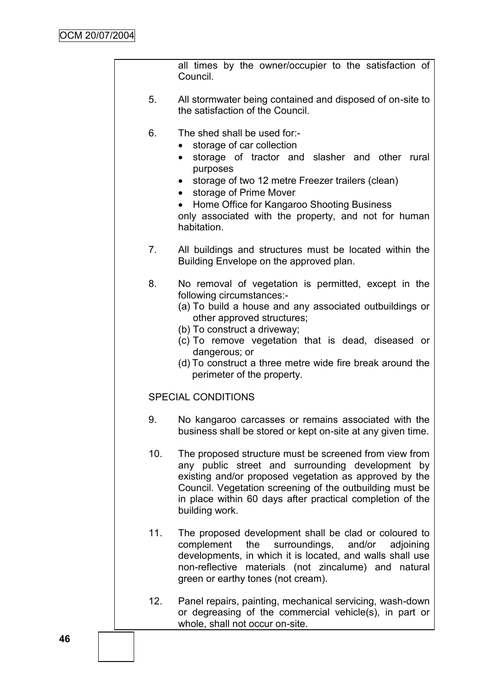all times by the owner/occupier to the satisfaction of Council.

- 5. All stormwater being contained and disposed of on-site to the satisfaction of the Council.
- 6. The shed shall be used for:-
	- storage of car collection
	- storage of tractor and slasher and other rural purposes
	- storage of two 12 metre Freezer trailers (clean)
	- storage of Prime Mover
	- Home Office for Kangaroo Shooting Business only associated with the property, and not for human habitation.
- 7. All buildings and structures must be located within the Building Envelope on the approved plan.
- 8. No removal of vegetation is permitted, except in the following circumstances:-
	- (a) To build a house and any associated outbuildings or other approved structures;
	- (b) To construct a driveway;
	- (c) To remove vegetation that is dead, diseased or dangerous; or
	- (d) To construct a three metre wide fire break around the perimeter of the property.

# SPECIAL CONDITIONS

- 9. No kangaroo carcasses or remains associated with the business shall be stored or kept on-site at any given time.
- 10. The proposed structure must be screened from view from any public street and surrounding development by existing and/or proposed vegetation as approved by the Council. Vegetation screening of the outbuilding must be in place within 60 days after practical completion of the building work.
- 11. The proposed development shall be clad or coloured to complement the surroundings, and/or adjoining developments, in which it is located, and walls shall use non-reflective materials (not zincalume) and natural green or earthy tones (not cream).
- 12. Panel repairs, painting, mechanical servicing, wash-down or degreasing of the commercial vehicle(s), in part or whole, shall not occur on-site.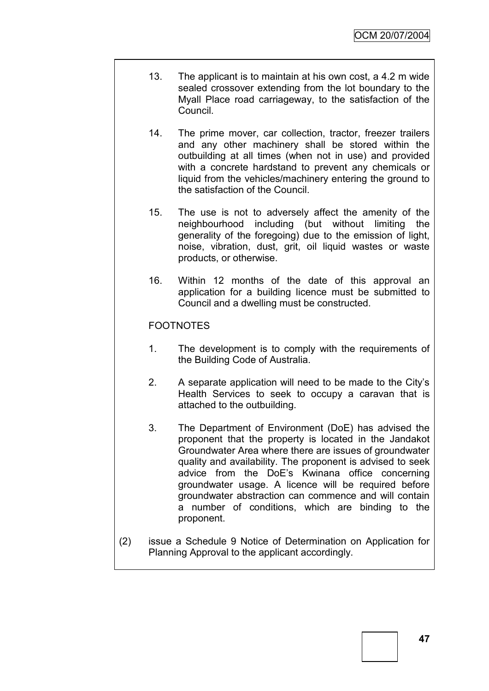- 13. The applicant is to maintain at his own cost, a 4.2 m wide sealed crossover extending from the lot boundary to the Myall Place road carriageway, to the satisfaction of the Council.
- 14. The prime mover, car collection, tractor, freezer trailers and any other machinery shall be stored within the outbuilding at all times (when not in use) and provided with a concrete hardstand to prevent any chemicals or liquid from the vehicles/machinery entering the ground to the satisfaction of the Council.
- 15. The use is not to adversely affect the amenity of the neighbourhood including (but without limiting the generality of the foregoing) due to the emission of light, noise, vibration, dust, grit, oil liquid wastes or waste products, or otherwise.
- 16. Within 12 months of the date of this approval an application for a building licence must be submitted to Council and a dwelling must be constructed.

# FOOTNOTES

- 1. The development is to comply with the requirements of the Building Code of Australia.
- 2. A separate application will need to be made to the City"s Health Services to seek to occupy a caravan that is attached to the outbuilding.
- 3. The Department of Environment (DoE) has advised the proponent that the property is located in the Jandakot Groundwater Area where there are issues of groundwater quality and availability. The proponent is advised to seek advice from the DoE"s Kwinana office concerning groundwater usage. A licence will be required before groundwater abstraction can commence and will contain a number of conditions, which are binding to the proponent.
- (2) issue a Schedule 9 Notice of Determination on Application for Planning Approval to the applicant accordingly.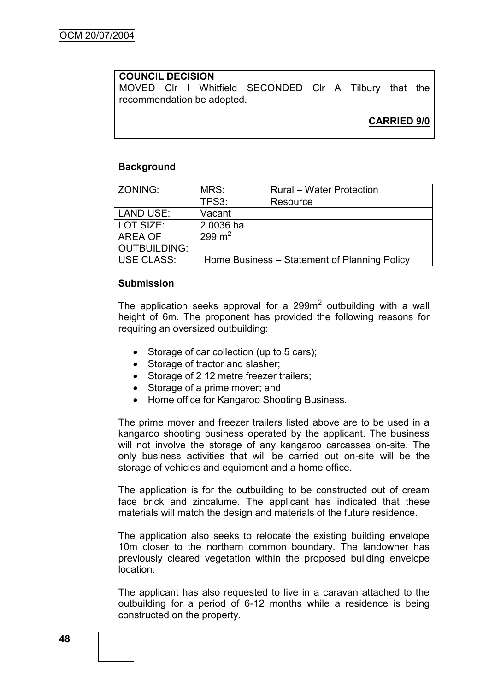### **COUNCIL DECISION**

MOVED Clr I Whitfield SECONDED Clr A Tilbury that the recommendation be adopted.

# **CARRIED 9/0**

#### **Background**

| ZONING:             | MRS:               | Rural - Water Protection                     |
|---------------------|--------------------|----------------------------------------------|
|                     | TPS3:              | Resource                                     |
| <b>LAND USE:</b>    | Vacant             |                                              |
| LOT SIZE:           | 2.0036 ha          |                                              |
| AREA OF             | 299 m <sup>2</sup> |                                              |
| <b>OUTBUILDING:</b> |                    |                                              |
| <b>USE CLASS:</b>   |                    | Home Business – Statement of Planning Policy |

#### **Submission**

The application seeks approval for a 299 $m<sup>2</sup>$  outbuilding with a wall height of 6m. The proponent has provided the following reasons for requiring an oversized outbuilding:

- Storage of car collection (up to 5 cars);
- Storage of tractor and slasher:
- Storage of 2 12 metre freezer trailers;
- Storage of a prime mover; and
- Home office for Kangaroo Shooting Business.

The prime mover and freezer trailers listed above are to be used in a kangaroo shooting business operated by the applicant. The business will not involve the storage of any kangaroo carcasses on-site. The only business activities that will be carried out on-site will be the storage of vehicles and equipment and a home office.

The application is for the outbuilding to be constructed out of cream face brick and zincalume. The applicant has indicated that these materials will match the design and materials of the future residence.

The application also seeks to relocate the existing building envelope 10m closer to the northern common boundary. The landowner has previously cleared vegetation within the proposed building envelope location.

The applicant has also requested to live in a caravan attached to the outbuilding for a period of 6-12 months while a residence is being constructed on the property.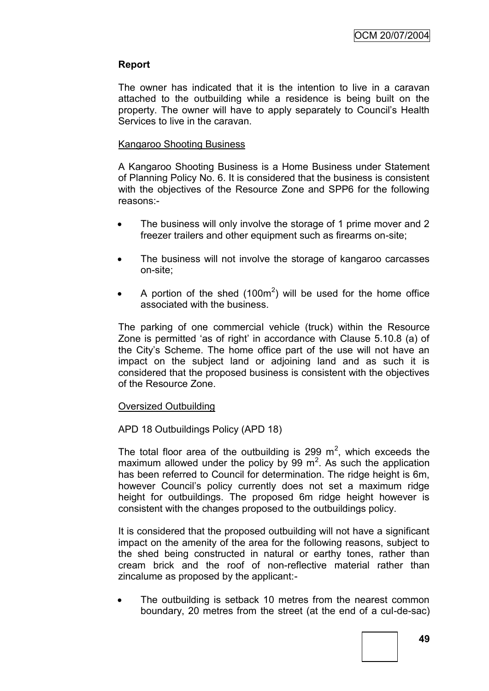### **Report**

The owner has indicated that it is the intention to live in a caravan attached to the outbuilding while a residence is being built on the property. The owner will have to apply separately to Council"s Health Services to live in the caravan.

#### Kangaroo Shooting Business

A Kangaroo Shooting Business is a Home Business under Statement of Planning Policy No. 6. It is considered that the business is consistent with the objectives of the Resource Zone and SPP6 for the following reasons:-

- The business will only involve the storage of 1 prime mover and 2 freezer trailers and other equipment such as firearms on-site;
- The business will not involve the storage of kangaroo carcasses on-site;
- A portion of the shed  $(100m^2)$  will be used for the home office associated with the business.

The parking of one commercial vehicle (truck) within the Resource Zone is permitted "as of right" in accordance with Clause 5.10.8 (a) of the City's Scheme. The home office part of the use will not have an impact on the subject land or adjoining land and as such it is considered that the proposed business is consistent with the objectives of the Resource Zone.

### Oversized Outbuilding

### APD 18 Outbuildings Policy (APD 18)

The total floor area of the outbuilding is 299  $m^2$ , which exceeds the maximum allowed under the policy by 99  $m^2$ . As such the application has been referred to Council for determination. The ridge height is 6m, however Council"s policy currently does not set a maximum ridge height for outbuildings. The proposed 6m ridge height however is consistent with the changes proposed to the outbuildings policy.

It is considered that the proposed outbuilding will not have a significant impact on the amenity of the area for the following reasons, subject to the shed being constructed in natural or earthy tones, rather than cream brick and the roof of non-reflective material rather than zincalume as proposed by the applicant:-

 The outbuilding is setback 10 metres from the nearest common boundary, 20 metres from the street (at the end of a cul-de-sac)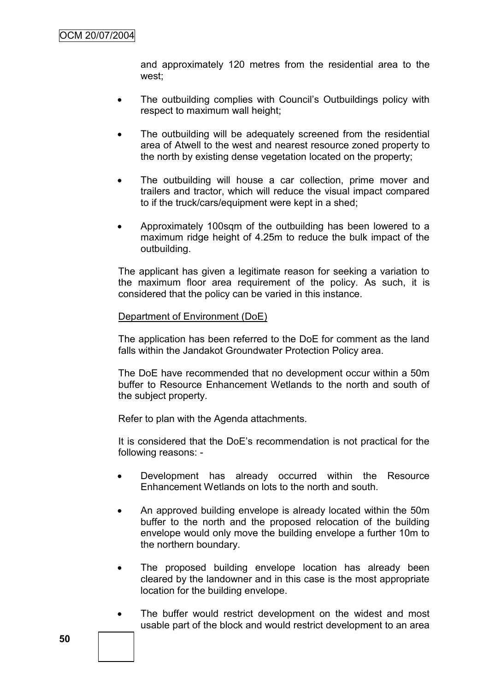and approximately 120 metres from the residential area to the west;

- The outbuilding complies with Council's Outbuildings policy with respect to maximum wall height;
- The outbuilding will be adequately screened from the residential area of Atwell to the west and nearest resource zoned property to the north by existing dense vegetation located on the property;
- The outbuilding will house a car collection, prime mover and trailers and tractor, which will reduce the visual impact compared to if the truck/cars/equipment were kept in a shed;
- Approximately 100sqm of the outbuilding has been lowered to a maximum ridge height of 4.25m to reduce the bulk impact of the outbuilding.

The applicant has given a legitimate reason for seeking a variation to the maximum floor area requirement of the policy. As such, it is considered that the policy can be varied in this instance.

#### Department of Environment (DoE)

The application has been referred to the DoE for comment as the land falls within the Jandakot Groundwater Protection Policy area.

The DoE have recommended that no development occur within a 50m buffer to Resource Enhancement Wetlands to the north and south of the subject property.

Refer to plan with the Agenda attachments.

It is considered that the DoE"s recommendation is not practical for the following reasons: -

- Development has already occurred within the Resource Enhancement Wetlands on lots to the north and south.
- An approved building envelope is already located within the 50m buffer to the north and the proposed relocation of the building envelope would only move the building envelope a further 10m to the northern boundary.
- The proposed building envelope location has already been cleared by the landowner and in this case is the most appropriate location for the building envelope.
- The buffer would restrict development on the widest and most usable part of the block and would restrict development to an area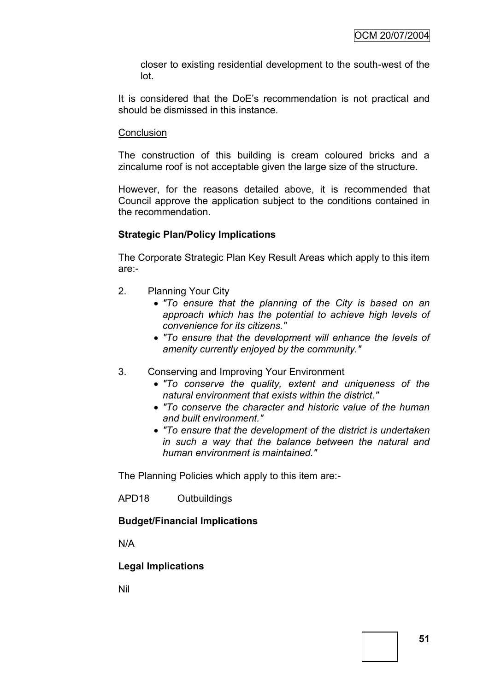closer to existing residential development to the south-west of the lot.

It is considered that the DoE"s recommendation is not practical and should be dismissed in this instance.

### **Conclusion**

The construction of this building is cream coloured bricks and a zincalume roof is not acceptable given the large size of the structure.

However, for the reasons detailed above, it is recommended that Council approve the application subject to the conditions contained in the recommendation.

# **Strategic Plan/Policy Implications**

The Corporate Strategic Plan Key Result Areas which apply to this item are:-

- 2. Planning Your City
	- *"To ensure that the planning of the City is based on an approach which has the potential to achieve high levels of convenience for its citizens."*
	- *"To ensure that the development will enhance the levels of amenity currently enjoyed by the community."*
- 3. Conserving and Improving Your Environment
	- *"To conserve the quality, extent and uniqueness of the natural environment that exists within the district."*
	- *"To conserve the character and historic value of the human and built environment."*
	- *"To ensure that the development of the district is undertaken in such a way that the balance between the natural and human environment is maintained."*

The Planning Policies which apply to this item are:-

APD18 Outbuildings

# **Budget/Financial Implications**

N/A

# **Legal Implications**

Nil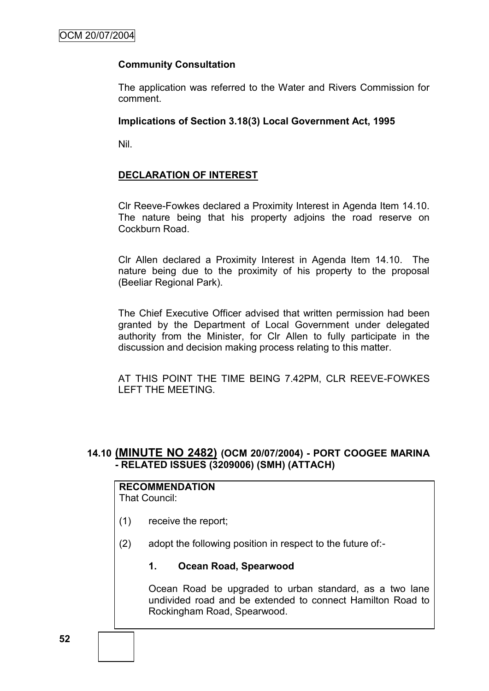### **Community Consultation**

The application was referred to the Water and Rivers Commission for comment.

#### **Implications of Section 3.18(3) Local Government Act, 1995**

Nil.

### **DECLARATION OF INTEREST**

Clr Reeve-Fowkes declared a Proximity Interest in Agenda Item 14.10. The nature being that his property adjoins the road reserve on Cockburn Road.

Clr Allen declared a Proximity Interest in Agenda Item 14.10. The nature being due to the proximity of his property to the proposal (Beeliar Regional Park).

The Chief Executive Officer advised that written permission had been granted by the Department of Local Government under delegated authority from the Minister, for Clr Allen to fully participate in the discussion and decision making process relating to this matter.

AT THIS POINT THE TIME BEING 7.42PM, CLR REEVE-FOWKES LEFT THE MEETING.

### **14.10 (MINUTE NO 2482) (OCM 20/07/2004) - PORT COOGEE MARINA - RELATED ISSUES (3209006) (SMH) (ATTACH)**

# **RECOMMENDATION**

That Council:

- (1) receive the report;
- (2) adopt the following position in respect to the future of:-

### **1. Ocean Road, Spearwood**

Ocean Road be upgraded to urban standard, as a two lane undivided road and be extended to connect Hamilton Road to Rockingham Road, Spearwood.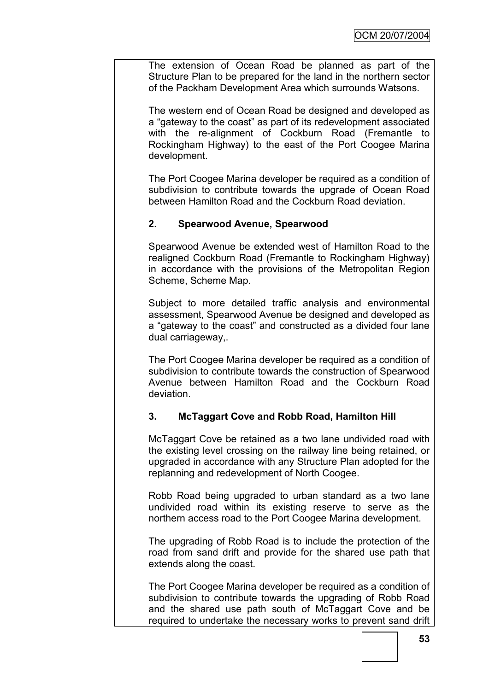The extension of Ocean Road be planned as part of the Structure Plan to be prepared for the land in the northern sector of the Packham Development Area which surrounds Watsons.

The western end of Ocean Road be designed and developed as a "gateway to the coast" as part of its redevelopment associated with the re-alignment of Cockburn Road (Fremantle to Rockingham Highway) to the east of the Port Coogee Marina development.

The Port Coogee Marina developer be required as a condition of subdivision to contribute towards the upgrade of Ocean Road between Hamilton Road and the Cockburn Road deviation.

# **2. Spearwood Avenue, Spearwood**

Spearwood Avenue be extended west of Hamilton Road to the realigned Cockburn Road (Fremantle to Rockingham Highway) in accordance with the provisions of the Metropolitan Region Scheme, Scheme Map.

Subject to more detailed traffic analysis and environmental assessment, Spearwood Avenue be designed and developed as a "gateway to the coast" and constructed as a divided four lane dual carriageway,.

The Port Coogee Marina developer be required as a condition of subdivision to contribute towards the construction of Spearwood Avenue between Hamilton Road and the Cockburn Road deviation.

# **3. McTaggart Cove and Robb Road, Hamilton Hill**

McTaggart Cove be retained as a two lane undivided road with the existing level crossing on the railway line being retained, or upgraded in accordance with any Structure Plan adopted for the replanning and redevelopment of North Coogee.

Robb Road being upgraded to urban standard as a two lane undivided road within its existing reserve to serve as the northern access road to the Port Coogee Marina development.

The upgrading of Robb Road is to include the protection of the road from sand drift and provide for the shared use path that extends along the coast.

The Port Coogee Marina developer be required as a condition of subdivision to contribute towards the upgrading of Robb Road and the shared use path south of McTaggart Cove and be required to undertake the necessary works to prevent sand drift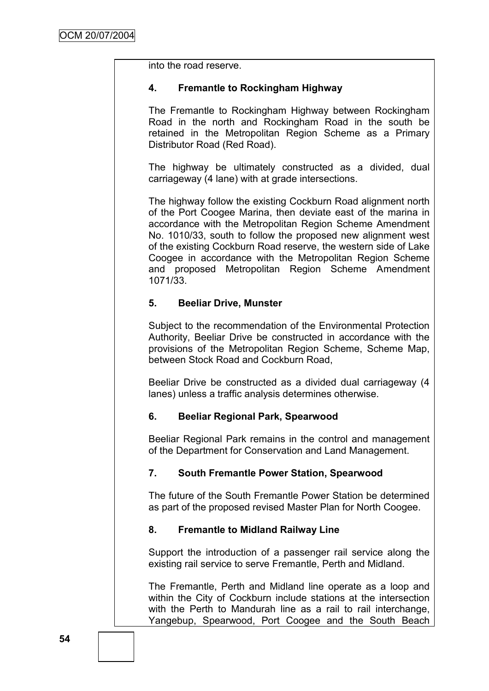into the road reserve.

### **4. Fremantle to Rockingham Highway**

The Fremantle to Rockingham Highway between Rockingham Road in the north and Rockingham Road in the south be retained in the Metropolitan Region Scheme as a Primary Distributor Road (Red Road).

The highway be ultimately constructed as a divided, dual carriageway (4 lane) with at grade intersections.

The highway follow the existing Cockburn Road alignment north of the Port Coogee Marina, then deviate east of the marina in accordance with the Metropolitan Region Scheme Amendment No. 1010/33, south to follow the proposed new alignment west of the existing Cockburn Road reserve, the western side of Lake Coogee in accordance with the Metropolitan Region Scheme and proposed Metropolitan Region Scheme Amendment 1071/33.

### **5. Beeliar Drive, Munster**

Subject to the recommendation of the Environmental Protection Authority, Beeliar Drive be constructed in accordance with the provisions of the Metropolitan Region Scheme, Scheme Map, between Stock Road and Cockburn Road,

Beeliar Drive be constructed as a divided dual carriageway (4 lanes) unless a traffic analysis determines otherwise.

# **6. Beeliar Regional Park, Spearwood**

Beeliar Regional Park remains in the control and management of the Department for Conservation and Land Management.

# **7. South Fremantle Power Station, Spearwood**

The future of the South Fremantle Power Station be determined as part of the proposed revised Master Plan for North Coogee.

### **8. Fremantle to Midland Railway Line**

Support the introduction of a passenger rail service along the existing rail service to serve Fremantle, Perth and Midland.

The Fremantle, Perth and Midland line operate as a loop and within the City of Cockburn include stations at the intersection with the Perth to Mandurah line as a rail to rail interchange. Yangebup, Spearwood, Port Coogee and the South Beach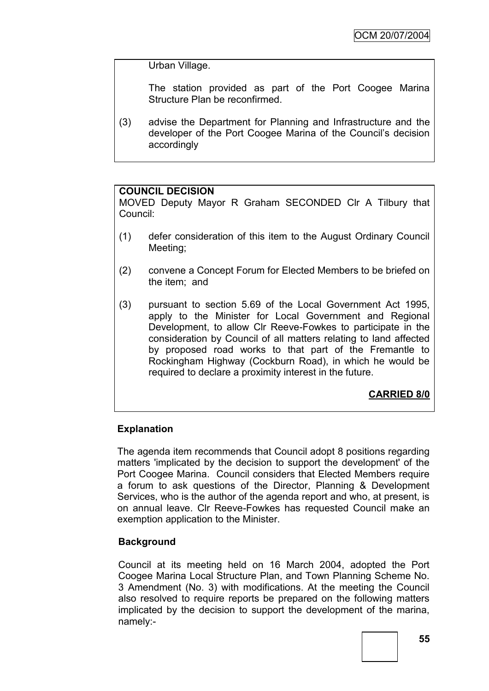Urban Village.

The station provided as part of the Port Coogee Marina Structure Plan be reconfirmed.

(3) advise the Department for Planning and Infrastructure and the developer of the Port Coogee Marina of the Council"s decision accordingly

### **COUNCIL DECISION**

MOVED Deputy Mayor R Graham SECONDED Clr A Tilbury that Council:

- (1) defer consideration of this item to the August Ordinary Council Meeting;
- (2) convene a Concept Forum for Elected Members to be briefed on the item; and
- (3) pursuant to section 5.69 of the Local Government Act 1995, apply to the Minister for Local Government and Regional Development, to allow Clr Reeve-Fowkes to participate in the consideration by Council of all matters relating to land affected by proposed road works to that part of the Fremantle to Rockingham Highway (Cockburn Road), in which he would be required to declare a proximity interest in the future.

**CARRIED 8/0**

### **Explanation**

The agenda item recommends that Council adopt 8 positions regarding matters 'implicated by the decision to support the development' of the Port Coogee Marina. Council considers that Elected Members require a forum to ask questions of the Director, Planning & Development Services, who is the author of the agenda report and who, at present, is on annual leave. Clr Reeve-Fowkes has requested Council make an exemption application to the Minister.

### **Background**

Council at its meeting held on 16 March 2004, adopted the Port Coogee Marina Local Structure Plan, and Town Planning Scheme No. 3 Amendment (No. 3) with modifications. At the meeting the Council also resolved to require reports be prepared on the following matters implicated by the decision to support the development of the marina, namely:-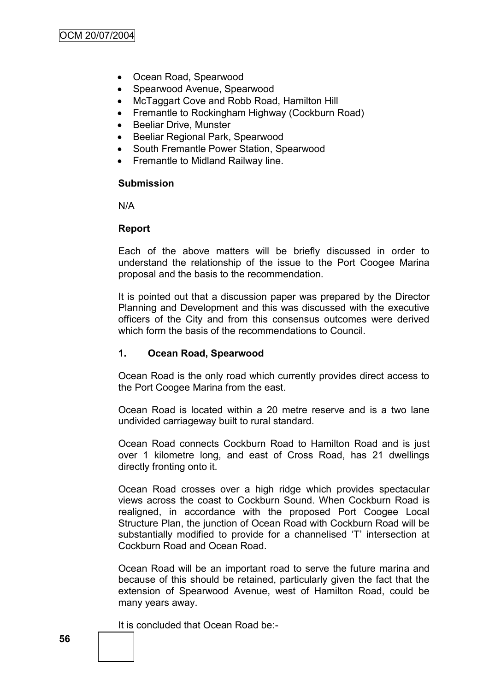- Ocean Road, Spearwood
- Spearwood Avenue, Spearwood
- McTaggart Cove and Robb Road, Hamilton Hill
- Fremantle to Rockingham Highway (Cockburn Road)
- Beeliar Drive, Munster
- Beeliar Regional Park, Spearwood
- South Fremantle Power Station, Spearwood
- Fremantle to Midland Railway line.

#### **Submission**

N/A

#### **Report**

Each of the above matters will be briefly discussed in order to understand the relationship of the issue to the Port Coogee Marina proposal and the basis to the recommendation.

It is pointed out that a discussion paper was prepared by the Director Planning and Development and this was discussed with the executive officers of the City and from this consensus outcomes were derived which form the basis of the recommendations to Council

### **1. Ocean Road, Spearwood**

Ocean Road is the only road which currently provides direct access to the Port Coogee Marina from the east.

Ocean Road is located within a 20 metre reserve and is a two lane undivided carriageway built to rural standard.

Ocean Road connects Cockburn Road to Hamilton Road and is just over 1 kilometre long, and east of Cross Road, has 21 dwellings directly fronting onto it.

Ocean Road crosses over a high ridge which provides spectacular views across the coast to Cockburn Sound. When Cockburn Road is realigned, in accordance with the proposed Port Coogee Local Structure Plan, the junction of Ocean Road with Cockburn Road will be substantially modified to provide for a channelised 'T' intersection at Cockburn Road and Ocean Road.

Ocean Road will be an important road to serve the future marina and because of this should be retained, particularly given the fact that the extension of Spearwood Avenue, west of Hamilton Road, could be many years away.

It is concluded that Ocean Road be:-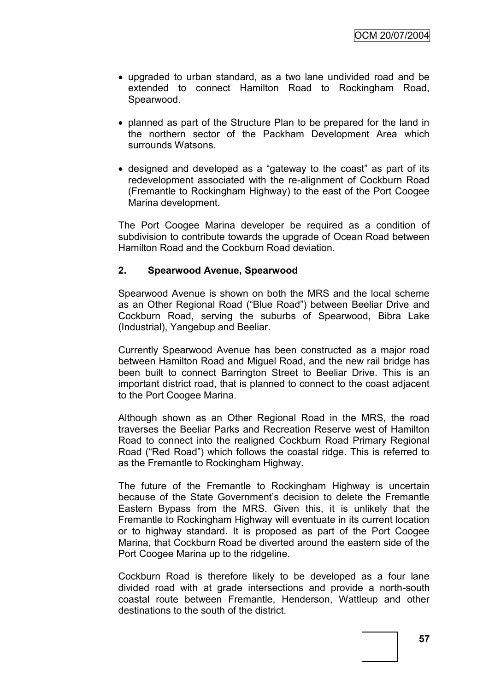- upgraded to urban standard, as a two lane undivided road and be extended to connect Hamilton Road to Rockingham Road, Spearwood.
- planned as part of the Structure Plan to be prepared for the land in the northern sector of the Packham Development Area which surrounds Watsons.
- designed and developed as a "gateway to the coast" as part of its redevelopment associated with the re-alignment of Cockburn Road (Fremantle to Rockingham Highway) to the east of the Port Coogee Marina development.

The Port Coogee Marina developer be required as a condition of subdivision to contribute towards the upgrade of Ocean Road between Hamilton Road and the Cockburn Road deviation.

### **2. Spearwood Avenue, Spearwood**

Spearwood Avenue is shown on both the MRS and the local scheme as an Other Regional Road ("Blue Road") between Beeliar Drive and Cockburn Road, serving the suburbs of Spearwood, Bibra Lake (Industrial), Yangebup and Beeliar.

Currently Spearwood Avenue has been constructed as a major road between Hamilton Road and Miguel Road, and the new rail bridge has been built to connect Barrington Street to Beeliar Drive. This is an important district road, that is planned to connect to the coast adjacent to the Port Coogee Marina.

Although shown as an Other Regional Road in the MRS, the road traverses the Beeliar Parks and Recreation Reserve west of Hamilton Road to connect into the realigned Cockburn Road Primary Regional Road ("Red Road") which follows the coastal ridge. This is referred to as the Fremantle to Rockingham Highway.

The future of the Fremantle to Rockingham Highway is uncertain because of the State Government"s decision to delete the Fremantle Eastern Bypass from the MRS. Given this, it is unlikely that the Fremantle to Rockingham Highway will eventuate in its current location or to highway standard. It is proposed as part of the Port Coogee Marina, that Cockburn Road be diverted around the eastern side of the Port Coogee Marina up to the ridgeline.

Cockburn Road is therefore likely to be developed as a four lane divided road with at grade intersections and provide a north-south coastal route between Fremantle, Henderson, Wattleup and other destinations to the south of the district.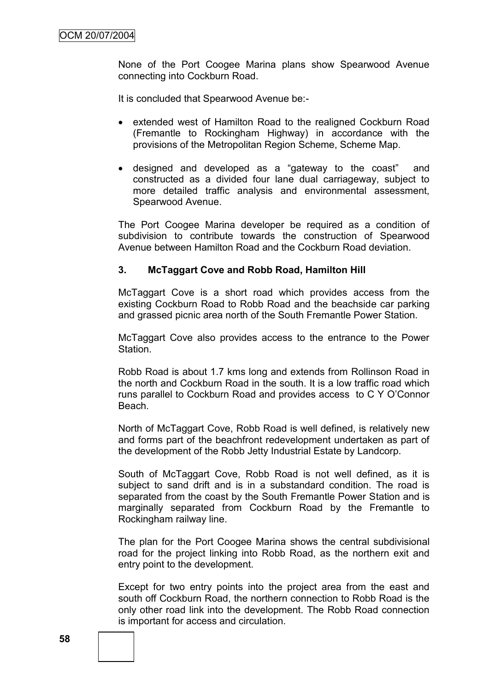None of the Port Coogee Marina plans show Spearwood Avenue connecting into Cockburn Road.

It is concluded that Spearwood Avenue be:-

- extended west of Hamilton Road to the realigned Cockburn Road (Fremantle to Rockingham Highway) in accordance with the provisions of the Metropolitan Region Scheme, Scheme Map.
- designed and developed as a "gateway to the coast" and constructed as a divided four lane dual carriageway, subject to more detailed traffic analysis and environmental assessment, Spearwood Avenue.

The Port Coogee Marina developer be required as a condition of subdivision to contribute towards the construction of Spearwood Avenue between Hamilton Road and the Cockburn Road deviation.

#### **3. McTaggart Cove and Robb Road, Hamilton Hill**

McTaggart Cove is a short road which provides access from the existing Cockburn Road to Robb Road and the beachside car parking and grassed picnic area north of the South Fremantle Power Station.

McTaggart Cove also provides access to the entrance to the Power Station.

Robb Road is about 1.7 kms long and extends from Rollinson Road in the north and Cockburn Road in the south. It is a low traffic road which runs parallel to Cockburn Road and provides access to C Y O"Connor Beach.

North of McTaggart Cove, Robb Road is well defined, is relatively new and forms part of the beachfront redevelopment undertaken as part of the development of the Robb Jetty Industrial Estate by Landcorp.

South of McTaggart Cove, Robb Road is not well defined, as it is subject to sand drift and is in a substandard condition. The road is separated from the coast by the South Fremantle Power Station and is marginally separated from Cockburn Road by the Fremantle to Rockingham railway line.

The plan for the Port Coogee Marina shows the central subdivisional road for the project linking into Robb Road, as the northern exit and entry point to the development.

Except for two entry points into the project area from the east and south off Cockburn Road, the northern connection to Robb Road is the only other road link into the development. The Robb Road connection is important for access and circulation.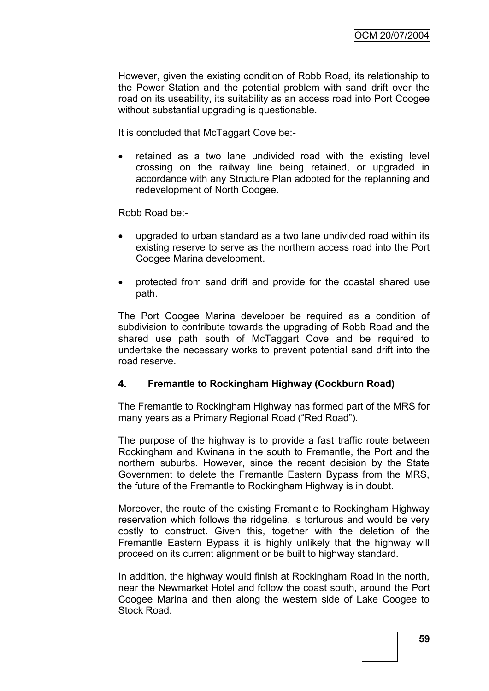However, given the existing condition of Robb Road, its relationship to the Power Station and the potential problem with sand drift over the road on its useability, its suitability as an access road into Port Coogee without substantial upgrading is questionable.

It is concluded that McTaggart Cove be:-

 retained as a two lane undivided road with the existing level crossing on the railway line being retained, or upgraded in accordance with any Structure Plan adopted for the replanning and redevelopment of North Coogee.

Robb Road be:-

- upgraded to urban standard as a two lane undivided road within its existing reserve to serve as the northern access road into the Port Coogee Marina development.
- protected from sand drift and provide for the coastal shared use path.

The Port Coogee Marina developer be required as a condition of subdivision to contribute towards the upgrading of Robb Road and the shared use path south of McTaggart Cove and be required to undertake the necessary works to prevent potential sand drift into the road reserve.

### **4. Fremantle to Rockingham Highway (Cockburn Road)**

The Fremantle to Rockingham Highway has formed part of the MRS for many years as a Primary Regional Road ("Red Road").

The purpose of the highway is to provide a fast traffic route between Rockingham and Kwinana in the south to Fremantle, the Port and the northern suburbs. However, since the recent decision by the State Government to delete the Fremantle Eastern Bypass from the MRS, the future of the Fremantle to Rockingham Highway is in doubt.

Moreover, the route of the existing Fremantle to Rockingham Highway reservation which follows the ridgeline, is torturous and would be very costly to construct. Given this, together with the deletion of the Fremantle Eastern Bypass it is highly unlikely that the highway will proceed on its current alignment or be built to highway standard.

In addition, the highway would finish at Rockingham Road in the north, near the Newmarket Hotel and follow the coast south, around the Port Coogee Marina and then along the western side of Lake Coogee to Stock Road.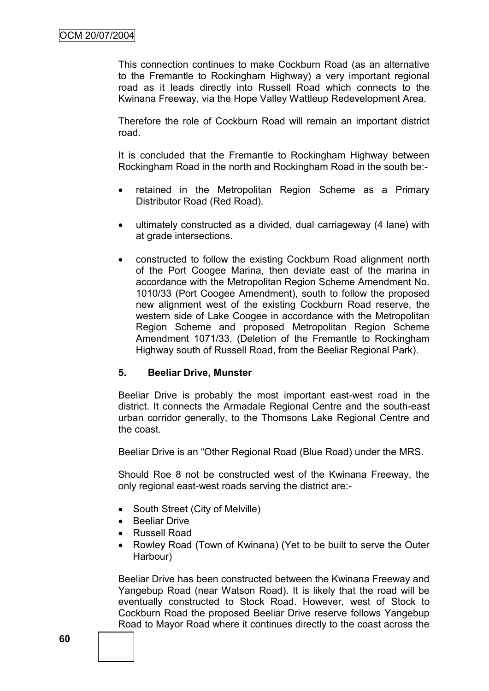This connection continues to make Cockburn Road (as an alternative to the Fremantle to Rockingham Highway) a very important regional road as it leads directly into Russell Road which connects to the Kwinana Freeway, via the Hope Valley Wattleup Redevelopment Area.

Therefore the role of Cockburn Road will remain an important district road.

It is concluded that the Fremantle to Rockingham Highway between Rockingham Road in the north and Rockingham Road in the south be:-

- retained in the Metropolitan Region Scheme as a Primary Distributor Road (Red Road).
- ultimately constructed as a divided, dual carriageway (4 lane) with at grade intersections.
- constructed to follow the existing Cockburn Road alignment north of the Port Coogee Marina, then deviate east of the marina in accordance with the Metropolitan Region Scheme Amendment No. 1010/33 (Port Coogee Amendment), south to follow the proposed new alignment west of the existing Cockburn Road reserve, the western side of Lake Coogee in accordance with the Metropolitan Region Scheme and proposed Metropolitan Region Scheme Amendment 1071/33. (Deletion of the Fremantle to Rockingham Highway south of Russell Road, from the Beeliar Regional Park).

### **5. Beeliar Drive, Munster**

Beeliar Drive is probably the most important east-west road in the district. It connects the Armadale Regional Centre and the south-east urban corridor generally, to the Thomsons Lake Regional Centre and the coast.

Beeliar Drive is an "Other Regional Road (Blue Road) under the MRS.

Should Roe 8 not be constructed west of the Kwinana Freeway, the only regional east-west roads serving the district are:-

- South Street (City of Melville)
- Beeliar Drive
- Russell Road
- Rowley Road (Town of Kwinana) (Yet to be built to serve the Outer Harbour)

Beeliar Drive has been constructed between the Kwinana Freeway and Yangebup Road (near Watson Road). It is likely that the road will be eventually constructed to Stock Road. However, west of Stock to Cockburn Road the proposed Beeliar Drive reserve follows Yangebup Road to Mayor Road where it continues directly to the coast across the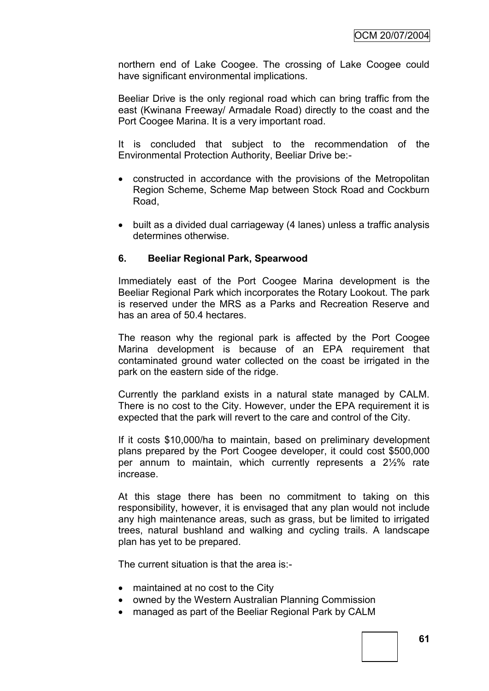northern end of Lake Coogee. The crossing of Lake Coogee could have significant environmental implications.

Beeliar Drive is the only regional road which can bring traffic from the east (Kwinana Freeway/ Armadale Road) directly to the coast and the Port Coogee Marina. It is a very important road.

It is concluded that subject to the recommendation of the Environmental Protection Authority, Beeliar Drive be:-

- constructed in accordance with the provisions of the Metropolitan Region Scheme, Scheme Map between Stock Road and Cockburn Road,
- built as a divided dual carriageway (4 lanes) unless a traffic analysis determines otherwise.

### **6. Beeliar Regional Park, Spearwood**

Immediately east of the Port Coogee Marina development is the Beeliar Regional Park which incorporates the Rotary Lookout. The park is reserved under the MRS as a Parks and Recreation Reserve and has an area of 50.4 hectares.

The reason why the regional park is affected by the Port Coogee Marina development is because of an EPA requirement that contaminated ground water collected on the coast be irrigated in the park on the eastern side of the ridge.

Currently the parkland exists in a natural state managed by CALM. There is no cost to the City. However, under the EPA requirement it is expected that the park will revert to the care and control of the City.

If it costs \$10,000/ha to maintain, based on preliminary development plans prepared by the Port Coogee developer, it could cost \$500,000 per annum to maintain, which currently represents a 2½% rate increase.

At this stage there has been no commitment to taking on this responsibility, however, it is envisaged that any plan would not include any high maintenance areas, such as grass, but be limited to irrigated trees, natural bushland and walking and cycling trails. A landscape plan has yet to be prepared.

The current situation is that the area is:-

- maintained at no cost to the City
- owned by the Western Australian Planning Commission
- managed as part of the Beeliar Regional Park by CALM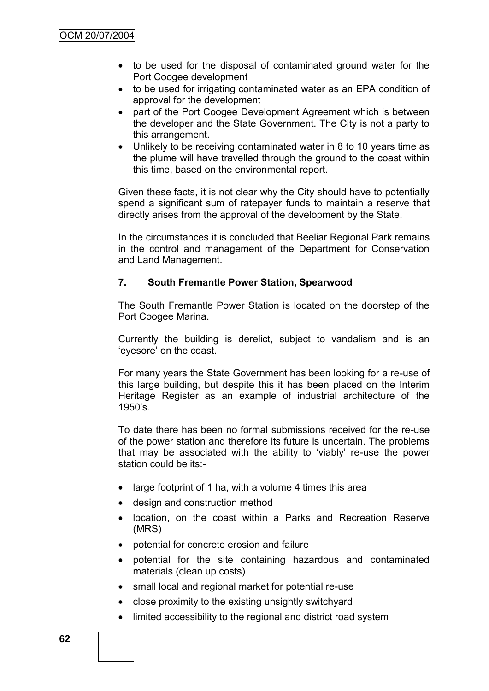- to be used for the disposal of contaminated ground water for the Port Coogee development
- to be used for irrigating contaminated water as an EPA condition of approval for the development
- part of the Port Coogee Development Agreement which is between the developer and the State Government. The City is not a party to this arrangement.
- Unlikely to be receiving contaminated water in 8 to 10 years time as the plume will have travelled through the ground to the coast within this time, based on the environmental report.

Given these facts, it is not clear why the City should have to potentially spend a significant sum of ratepayer funds to maintain a reserve that directly arises from the approval of the development by the State.

In the circumstances it is concluded that Beeliar Regional Park remains in the control and management of the Department for Conservation and Land Management.

### **7. South Fremantle Power Station, Spearwood**

The South Fremantle Power Station is located on the doorstep of the Port Coogee Marina.

Currently the building is derelict, subject to vandalism and is an "eyesore" on the coast.

For many years the State Government has been looking for a re-use of this large building, but despite this it has been placed on the Interim Heritage Register as an example of industrial architecture of the 1950"s.

To date there has been no formal submissions received for the re-use of the power station and therefore its future is uncertain. The problems that may be associated with the ability to "viably" re-use the power station could be its:-

- large footprint of 1 ha, with a volume 4 times this area
- design and construction method
- location, on the coast within a Parks and Recreation Reserve (MRS)
- potential for concrete erosion and failure
- potential for the site containing hazardous and contaminated materials (clean up costs)
- small local and regional market for potential re-use
- close proximity to the existing unsightly switchyard
- limited accessibility to the regional and district road system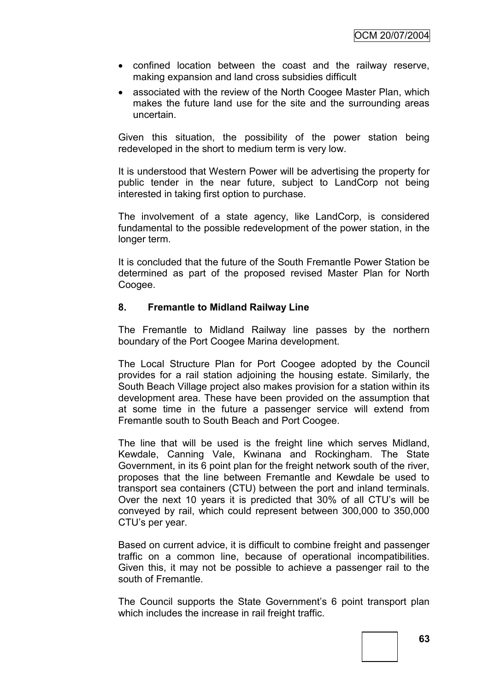- confined location between the coast and the railway reserve, making expansion and land cross subsidies difficult
- associated with the review of the North Coogee Master Plan, which makes the future land use for the site and the surrounding areas uncertain.

Given this situation, the possibility of the power station being redeveloped in the short to medium term is very low.

It is understood that Western Power will be advertising the property for public tender in the near future, subject to LandCorp not being interested in taking first option to purchase.

The involvement of a state agency, like LandCorp, is considered fundamental to the possible redevelopment of the power station, in the longer term.

It is concluded that the future of the South Fremantle Power Station be determined as part of the proposed revised Master Plan for North Coogee.

### **8. Fremantle to Midland Railway Line**

The Fremantle to Midland Railway line passes by the northern boundary of the Port Coogee Marina development.

The Local Structure Plan for Port Coogee adopted by the Council provides for a rail station adjoining the housing estate. Similarly, the South Beach Village project also makes provision for a station within its development area. These have been provided on the assumption that at some time in the future a passenger service will extend from Fremantle south to South Beach and Port Coogee.

The line that will be used is the freight line which serves Midland, Kewdale, Canning Vale, Kwinana and Rockingham. The State Government, in its 6 point plan for the freight network south of the river, proposes that the line between Fremantle and Kewdale be used to transport sea containers (CTU) between the port and inland terminals. Over the next 10 years it is predicted that 30% of all CTU"s will be conveyed by rail, which could represent between 300,000 to 350,000 CTU"s per year.

Based on current advice, it is difficult to combine freight and passenger traffic on a common line, because of operational incompatibilities. Given this, it may not be possible to achieve a passenger rail to the south of Fremantle.

The Council supports the State Government's 6 point transport plan which includes the increase in rail freight traffic.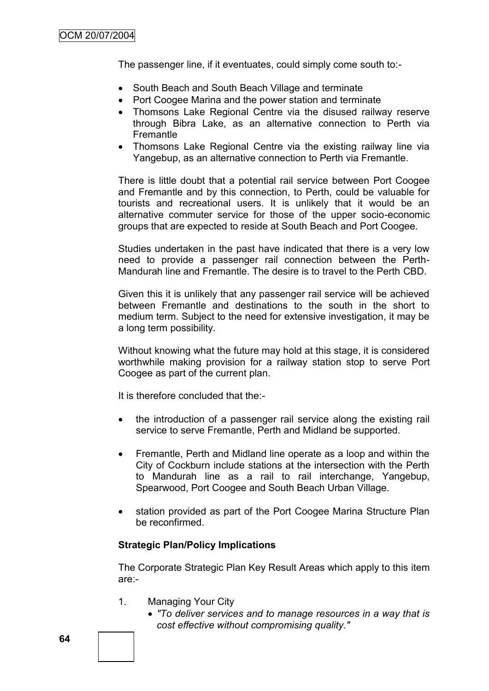The passenger line, if it eventuates, could simply come south to:-

- South Beach and South Beach Village and terminate
- Port Coogee Marina and the power station and terminate
- Thomsons Lake Regional Centre via the disused railway reserve through Bibra Lake, as an alternative connection to Perth via Fremantle
- Thomsons Lake Regional Centre via the existing railway line via Yangebup, as an alternative connection to Perth via Fremantle.

There is little doubt that a potential rail service between Port Coogee and Fremantle and by this connection, to Perth, could be valuable for tourists and recreational users. It is unlikely that it would be an alternative commuter service for those of the upper socio-economic groups that are expected to reside at South Beach and Port Coogee.

Studies undertaken in the past have indicated that there is a very low need to provide a passenger rail connection between the Perth-Mandurah line and Fremantle. The desire is to travel to the Perth CBD.

Given this it is unlikely that any passenger rail service will be achieved between Fremantle and destinations to the south in the short to medium term. Subject to the need for extensive investigation, it may be a long term possibility.

Without knowing what the future may hold at this stage, it is considered worthwhile making provision for a railway station stop to serve Port Coogee as part of the current plan.

It is therefore concluded that the:-

- the introduction of a passenger rail service along the existing rail service to serve Fremantle, Perth and Midland be supported.
- Fremantle, Perth and Midland line operate as a loop and within the City of Cockburn include stations at the intersection with the Perth to Mandurah line as a rail to rail interchange, Yangebup, Spearwood, Port Coogee and South Beach Urban Village.
- station provided as part of the Port Coogee Marina Structure Plan be reconfirmed.

### **Strategic Plan/Policy Implications**

The Corporate Strategic Plan Key Result Areas which apply to this item are:-

- 1. Managing Your City
	- *"To deliver services and to manage resources in a way that is cost effective without compromising quality."*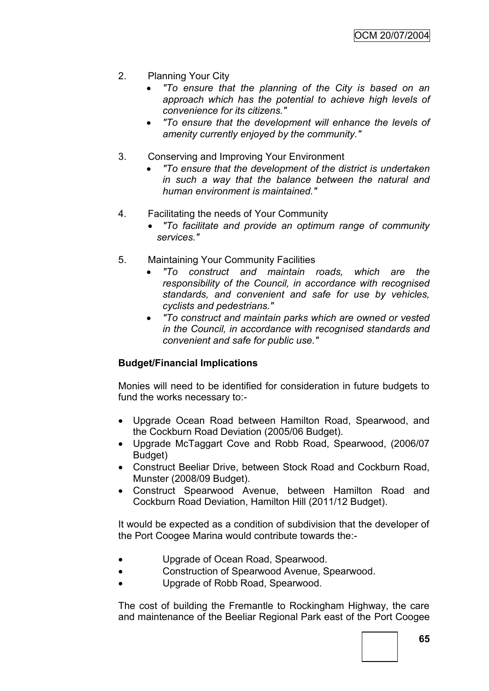- 2. Planning Your City
	- *"To ensure that the planning of the City is based on an approach which has the potential to achieve high levels of convenience for its citizens."*
	- *"To ensure that the development will enhance the levels of amenity currently enjoyed by the community."*
- 3. Conserving and Improving Your Environment
	- *"To ensure that the development of the district is undertaken in such a way that the balance between the natural and human environment is maintained."*
- 4. Facilitating the needs of Your Community
	- *"To facilitate and provide an optimum range of community services."*
- 5. Maintaining Your Community Facilities
	- *"To construct and maintain roads, which are the responsibility of the Council, in accordance with recognised standards, and convenient and safe for use by vehicles, cyclists and pedestrians."*
	- *"To construct and maintain parks which are owned or vested in the Council, in accordance with recognised standards and convenient and safe for public use."*

# **Budget/Financial Implications**

Monies will need to be identified for consideration in future budgets to fund the works necessary to:-

- Upgrade Ocean Road between Hamilton Road, Spearwood, and the Cockburn Road Deviation (2005/06 Budget).
- Upgrade McTaggart Cove and Robb Road, Spearwood, (2006/07 Budget)
- Construct Beeliar Drive, between Stock Road and Cockburn Road, Munster (2008/09 Budget).
- Construct Spearwood Avenue, between Hamilton Road and Cockburn Road Deviation, Hamilton Hill (2011/12 Budget).

It would be expected as a condition of subdivision that the developer of the Port Coogee Marina would contribute towards the:-

- Upgrade of Ocean Road, Spearwood.
- Construction of Spearwood Avenue, Spearwood.
- Upgrade of Robb Road, Spearwood.

The cost of building the Fremantle to Rockingham Highway, the care and maintenance of the Beeliar Regional Park east of the Port Coogee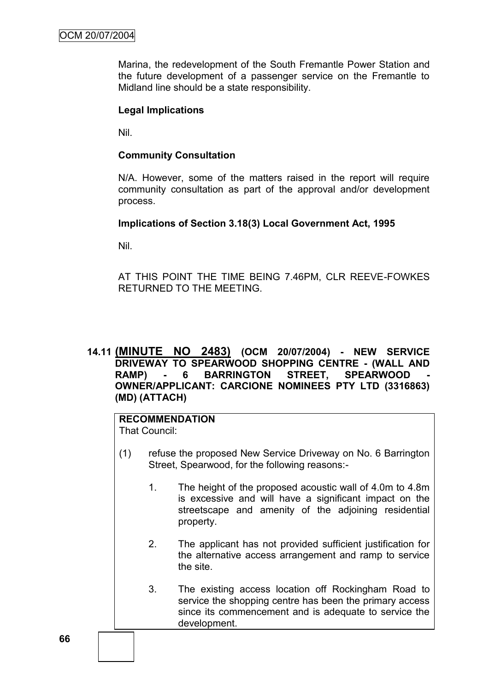Marina, the redevelopment of the South Fremantle Power Station and the future development of a passenger service on the Fremantle to Midland line should be a state responsibility.

#### **Legal Implications**

Nil.

#### **Community Consultation**

N/A. However, some of the matters raised in the report will require community consultation as part of the approval and/or development process.

#### **Implications of Section 3.18(3) Local Government Act, 1995**

Nil.

AT THIS POINT THE TIME BEING 7.46PM, CLR REEVE-FOWKES RETURNED TO THE MEETING.

### **14.11 (MINUTE NO 2483) (OCM 20/07/2004) - NEW SERVICE DRIVEWAY TO SPEARWOOD SHOPPING CENTRE - (WALL AND RAMP) - 6 BARRINGTON STREET, SPEARWOOD - OWNER/APPLICANT: CARCIONE NOMINEES PTY LTD (3316863) (MD) (ATTACH)**

#### **RECOMMENDATION** That Council:

- (1) refuse the proposed New Service Driveway on No. 6 Barrington Street, Spearwood, for the following reasons:-
	- 1. The height of the proposed acoustic wall of 4.0m to 4.8m is excessive and will have a significant impact on the streetscape and amenity of the adjoining residential property.
	- 2. The applicant has not provided sufficient justification for the alternative access arrangement and ramp to service the site.
	- 3. The existing access location off Rockingham Road to service the shopping centre has been the primary access since its commencement and is adequate to service the development.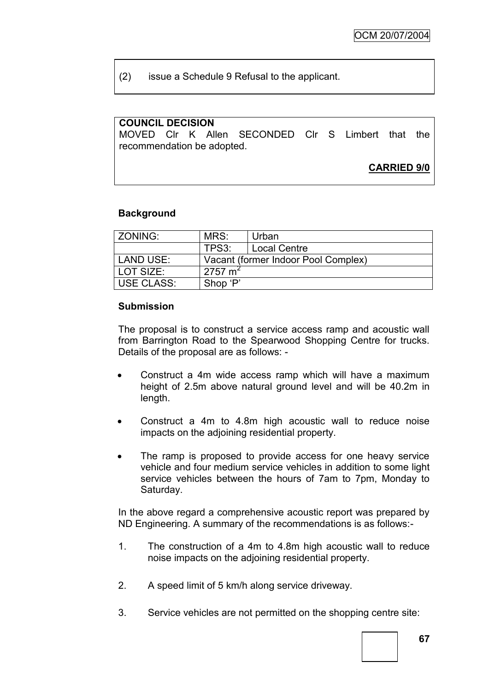(2) issue a Schedule 9 Refusal to the applicant.

### **COUNCIL DECISION**

MOVED Clr K Allen SECONDED Clr S Limbert that the recommendation be adopted.

**CARRIED 9/0**

### **Background**

| ZONING:          | MRS:               | Urban                               |
|------------------|--------------------|-------------------------------------|
|                  | TPS3:              | <b>Local Centre</b>                 |
| <b>LAND USE:</b> |                    | Vacant (former Indoor Pool Complex) |
| LOT SIZE:        | $2757 \text{ m}^2$ |                                     |
| USE CLASS:       | Shop 'P'           |                                     |

#### **Submission**

The proposal is to construct a service access ramp and acoustic wall from Barrington Road to the Spearwood Shopping Centre for trucks. Details of the proposal are as follows: -

- Construct a 4m wide access ramp which will have a maximum height of 2.5m above natural ground level and will be 40.2m in length.
- Construct a 4m to 4.8m high acoustic wall to reduce noise impacts on the adjoining residential property.
- The ramp is proposed to provide access for one heavy service vehicle and four medium service vehicles in addition to some light service vehicles between the hours of 7am to 7pm, Monday to Saturday.

In the above regard a comprehensive acoustic report was prepared by ND Engineering. A summary of the recommendations is as follows:-

- 1. The construction of a 4m to 4.8m high acoustic wall to reduce noise impacts on the adjoining residential property.
- 2. A speed limit of 5 km/h along service driveway.
- 3. Service vehicles are not permitted on the shopping centre site: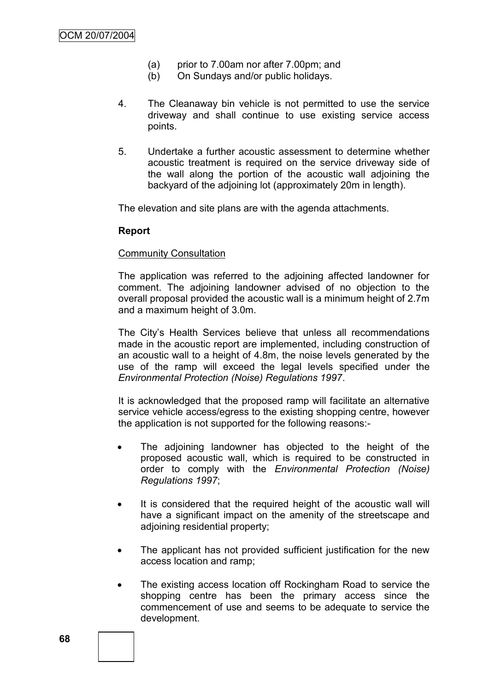- (a) prior to 7.00am nor after 7.00pm; and
- (b) On Sundays and/or public holidays.
- 4. The Cleanaway bin vehicle is not permitted to use the service driveway and shall continue to use existing service access points.
- 5. Undertake a further acoustic assessment to determine whether acoustic treatment is required on the service driveway side of the wall along the portion of the acoustic wall adjoining the backyard of the adjoining lot (approximately 20m in length).

The elevation and site plans are with the agenda attachments.

#### **Report**

#### Community Consultation

The application was referred to the adjoining affected landowner for comment. The adjoining landowner advised of no objection to the overall proposal provided the acoustic wall is a minimum height of 2.7m and a maximum height of 3.0m.

The City"s Health Services believe that unless all recommendations made in the acoustic report are implemented, including construction of an acoustic wall to a height of 4.8m, the noise levels generated by the use of the ramp will exceed the legal levels specified under the *Environmental Protection (Noise) Regulations 1997*.

It is acknowledged that the proposed ramp will facilitate an alternative service vehicle access/egress to the existing shopping centre, however the application is not supported for the following reasons:-

- The adjoining landowner has objected to the height of the proposed acoustic wall, which is required to be constructed in order to comply with the *Environmental Protection (Noise) Regulations 1997*;
- It is considered that the required height of the acoustic wall will have a significant impact on the amenity of the streetscape and adioining residential property;
- The applicant has not provided sufficient justification for the new access location and ramp;
- The existing access location off Rockingham Road to service the shopping centre has been the primary access since the commencement of use and seems to be adequate to service the development.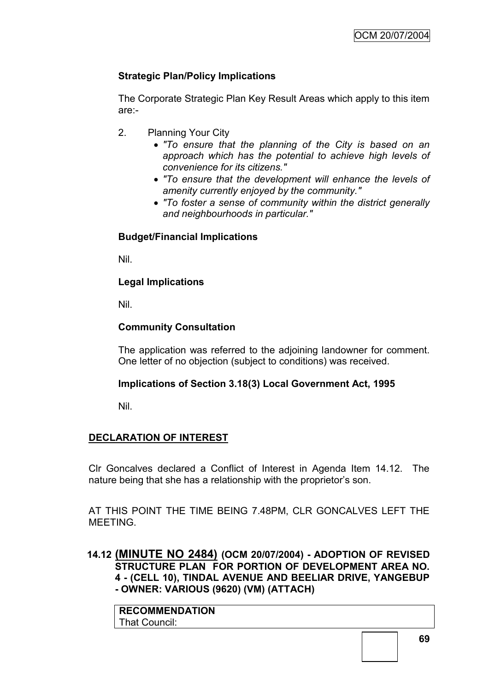# **Strategic Plan/Policy Implications**

The Corporate Strategic Plan Key Result Areas which apply to this item are:-

- 2. Planning Your City
	- *"To ensure that the planning of the City is based on an approach which has the potential to achieve high levels of convenience for its citizens."*
	- *"To ensure that the development will enhance the levels of amenity currently enjoyed by the community."*
	- *"To foster a sense of community within the district generally and neighbourhoods in particular."*

# **Budget/Financial Implications**

Nil.

# **Legal Implications**

Nil.

# **Community Consultation**

The application was referred to the adjoining landowner for comment. One letter of no objection (subject to conditions) was received.

# **Implications of Section 3.18(3) Local Government Act, 1995**

Nil.

# **DECLARATION OF INTEREST**

Clr Goncalves declared a Conflict of Interest in Agenda Item 14.12. The nature being that she has a relationship with the proprietor's son.

AT THIS POINT THE TIME BEING 7.48PM, CLR GONCALVES LEFT THE MEETING.

**14.12 (MINUTE NO 2484) (OCM 20/07/2004) - ADOPTION OF REVISED STRUCTURE PLAN FOR PORTION OF DEVELOPMENT AREA NO. 4 - (CELL 10), TINDAL AVENUE AND BEELIAR DRIVE, YANGEBUP - OWNER: VARIOUS (9620) (VM) (ATTACH)**

**RECOMMENDATION** That Council: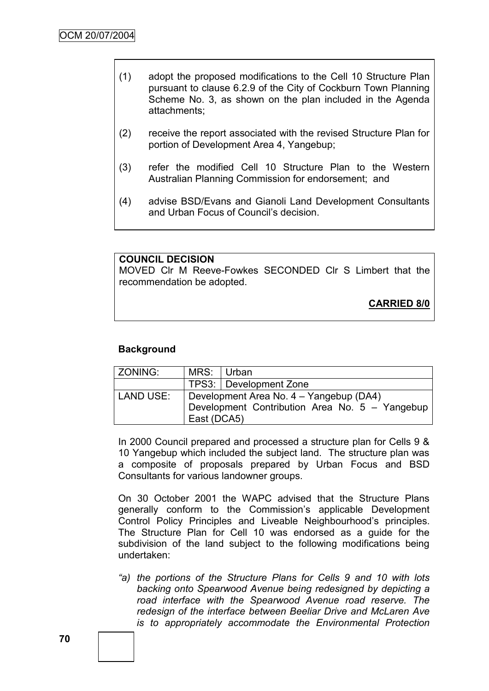- (1) adopt the proposed modifications to the Cell 10 Structure Plan pursuant to clause 6.2.9 of the City of Cockburn Town Planning Scheme No. 3, as shown on the plan included in the Agenda attachments;
- (2) receive the report associated with the revised Structure Plan for portion of Development Area 4, Yangebup;
- (3) refer the modified Cell 10 Structure Plan to the Western Australian Planning Commission for endorsement; and
- (4) advise BSD/Evans and Gianoli Land Development Consultants and Urban Focus of Council"s decision.

#### **COUNCIL DECISION**

MOVED Clr M Reeve-Fowkes SECONDED Clr S Limbert that the recommendation be adopted.

**CARRIED 8/0**

### **Background**

| ZONING:          | MRS: Urban                                     |                        |  |
|------------------|------------------------------------------------|------------------------|--|
|                  |                                                | TPS3: Development Zone |  |
| <b>LAND USE:</b> | Development Area No. 4 - Yangebup (DA4)        |                        |  |
|                  | Development Contribution Area No. 5 - Yangebup |                        |  |
|                  | East (DCA5)                                    |                        |  |

In 2000 Council prepared and processed a structure plan for Cells 9 & 10 Yangebup which included the subject land. The structure plan was a composite of proposals prepared by Urban Focus and BSD Consultants for various landowner groups.

On 30 October 2001 the WAPC advised that the Structure Plans generally conform to the Commission"s applicable Development Control Policy Principles and Liveable Neighbourhood"s principles. The Structure Plan for Cell 10 was endorsed as a guide for the subdivision of the land subject to the following modifications being undertaken:

*"a) the portions of the Structure Plans for Cells 9 and 10 with lots backing onto Spearwood Avenue being redesigned by depicting a*  road interface with the Spearwood Avenue road reserve. The *redesign of the interface between Beeliar Drive and McLaren Ave is to appropriately accommodate the Environmental Protection*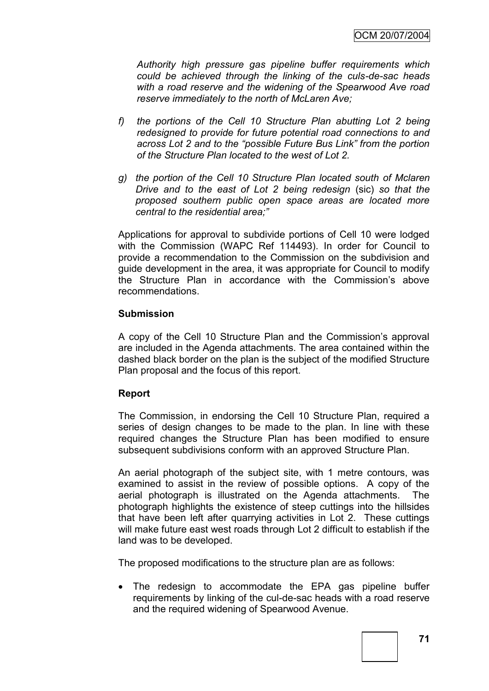*Authority high pressure gas pipeline buffer requirements which could be achieved through the linking of the culs-de-sac heads with a road reserve and the widening of the Spearwood Ave road reserve immediately to the north of McLaren Ave;*

- *f) the portions of the Cell 10 Structure Plan abutting Lot 2 being redesigned to provide for future potential road connections to and across Lot 2 and to the "possible Future Bus Link" from the portion of the Structure Plan located to the west of Lot 2.*
- *g) the portion of the Cell 10 Structure Plan located south of Mclaren Drive and to the east of Lot 2 being redesign* (sic) *so that the proposed southern public open space areas are located more central to the residential area;"*

Applications for approval to subdivide portions of Cell 10 were lodged with the Commission (WAPC Ref 114493). In order for Council to provide a recommendation to the Commission on the subdivision and guide development in the area, it was appropriate for Council to modify the Structure Plan in accordance with the Commission"s above recommendations.

### **Submission**

A copy of the Cell 10 Structure Plan and the Commission"s approval are included in the Agenda attachments. The area contained within the dashed black border on the plan is the subject of the modified Structure Plan proposal and the focus of this report.

### **Report**

The Commission, in endorsing the Cell 10 Structure Plan, required a series of design changes to be made to the plan. In line with these required changes the Structure Plan has been modified to ensure subsequent subdivisions conform with an approved Structure Plan.

An aerial photograph of the subject site, with 1 metre contours, was examined to assist in the review of possible options. A copy of the aerial photograph is illustrated on the Agenda attachments. The photograph highlights the existence of steep cuttings into the hillsides that have been left after quarrying activities in Lot 2. These cuttings will make future east west roads through Lot 2 difficult to establish if the land was to be developed.

The proposed modifications to the structure plan are as follows:

 The redesign to accommodate the EPA gas pipeline buffer requirements by linking of the cul-de-sac heads with a road reserve and the required widening of Spearwood Avenue.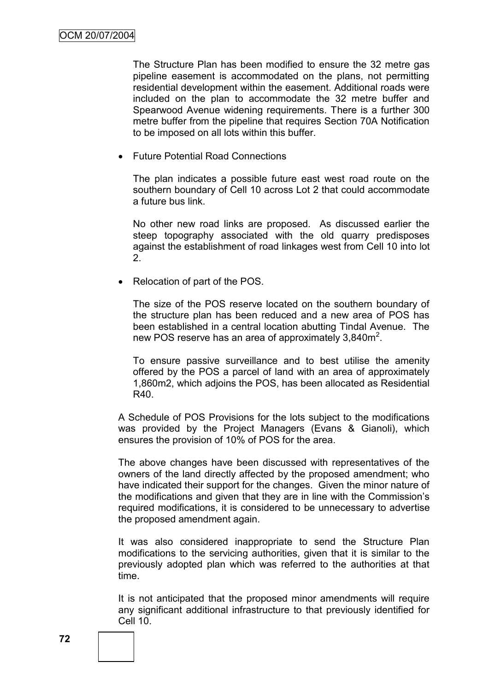The Structure Plan has been modified to ensure the 32 metre gas pipeline easement is accommodated on the plans, not permitting residential development within the easement. Additional roads were included on the plan to accommodate the 32 metre buffer and Spearwood Avenue widening requirements. There is a further 300 metre buffer from the pipeline that requires Section 70A Notification to be imposed on all lots within this buffer.

Future Potential Road Connections

The plan indicates a possible future east west road route on the southern boundary of Cell 10 across Lot 2 that could accommodate a future bus link.

No other new road links are proposed. As discussed earlier the steep topography associated with the old quarry predisposes against the establishment of road linkages west from Cell 10 into lot 2.

Relocation of part of the POS.

The size of the POS reserve located on the southern boundary of the structure plan has been reduced and a new area of POS has been established in a central location abutting Tindal Avenue. The new POS reserve has an area of approximately 3,840m<sup>2</sup>.

To ensure passive surveillance and to best utilise the amenity offered by the POS a parcel of land with an area of approximately 1,860m2, which adjoins the POS, has been allocated as Residential R40.

A Schedule of POS Provisions for the lots subject to the modifications was provided by the Project Managers (Evans & Gianoli), which ensures the provision of 10% of POS for the area.

The above changes have been discussed with representatives of the owners of the land directly affected by the proposed amendment; who have indicated their support for the changes. Given the minor nature of the modifications and given that they are in line with the Commission"s required modifications, it is considered to be unnecessary to advertise the proposed amendment again.

It was also considered inappropriate to send the Structure Plan modifications to the servicing authorities, given that it is similar to the previously adopted plan which was referred to the authorities at that time.

It is not anticipated that the proposed minor amendments will require any significant additional infrastructure to that previously identified for Cell 10.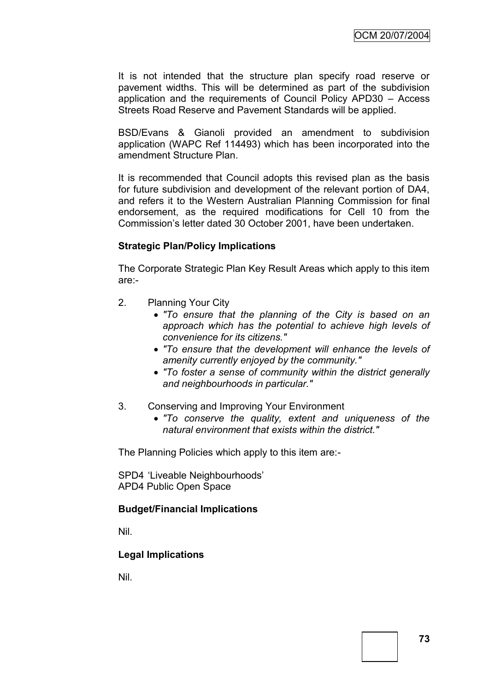It is not intended that the structure plan specify road reserve or pavement widths. This will be determined as part of the subdivision application and the requirements of Council Policy APD30 – Access Streets Road Reserve and Pavement Standards will be applied.

BSD/Evans & Gianoli provided an amendment to subdivision application (WAPC Ref 114493) which has been incorporated into the amendment Structure Plan.

It is recommended that Council adopts this revised plan as the basis for future subdivision and development of the relevant portion of DA4, and refers it to the Western Australian Planning Commission for final endorsement, as the required modifications for Cell 10 from the Commission"s letter dated 30 October 2001, have been undertaken.

### **Strategic Plan/Policy Implications**

The Corporate Strategic Plan Key Result Areas which apply to this item are:-

- 2. Planning Your City
	- *"To ensure that the planning of the City is based on an approach which has the potential to achieve high levels of convenience for its citizens."*
	- *"To ensure that the development will enhance the levels of amenity currently enjoyed by the community."*
	- *"To foster a sense of community within the district generally and neighbourhoods in particular."*
- 3. Conserving and Improving Your Environment
	- *"To conserve the quality, extent and uniqueness of the natural environment that exists within the district."*

The Planning Policies which apply to this item are:-

SPD4 "Liveable Neighbourhoods" APD4 Public Open Space

### **Budget/Financial Implications**

Nil.

### **Legal Implications**

Nil.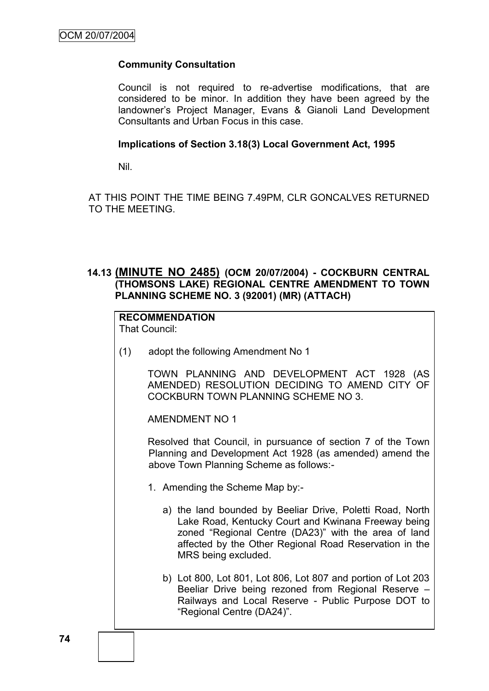# **Community Consultation**

Council is not required to re-advertise modifications, that are considered to be minor. In addition they have been agreed by the landowner"s Project Manager, Evans & Gianoli Land Development Consultants and Urban Focus in this case.

### **Implications of Section 3.18(3) Local Government Act, 1995**

Nil.

AT THIS POINT THE TIME BEING 7.49PM, CLR GONCALVES RETURNED TO THE MEETING.

## **14.13 (MINUTE NO 2485) (OCM 20/07/2004) - COCKBURN CENTRAL (THOMSONS LAKE) REGIONAL CENTRE AMENDMENT TO TOWN PLANNING SCHEME NO. 3 (92001) (MR) (ATTACH)**

# **RECOMMENDATION**

That Council:

(1) adopt the following Amendment No 1

TOWN PLANNING AND DEVELOPMENT ACT 1928 (AS AMENDED) RESOLUTION DECIDING TO AMEND CITY OF COCKBURN TOWN PLANNING SCHEME NO 3.

AMENDMENT NO 1

Resolved that Council, in pursuance of section 7 of the Town Planning and Development Act 1928 (as amended) amend the above Town Planning Scheme as follows:-

- 1. Amending the Scheme Map by:
	- a) the land bounded by Beeliar Drive, Poletti Road, North Lake Road, Kentucky Court and Kwinana Freeway being zoned "Regional Centre (DA23)" with the area of land affected by the Other Regional Road Reservation in the MRS being excluded.
	- b) Lot 800, Lot 801, Lot 806, Lot 807 and portion of Lot 203 Beeliar Drive being rezoned from Regional Reserve – Railways and Local Reserve - Public Purpose DOT to "Regional Centre (DA24)".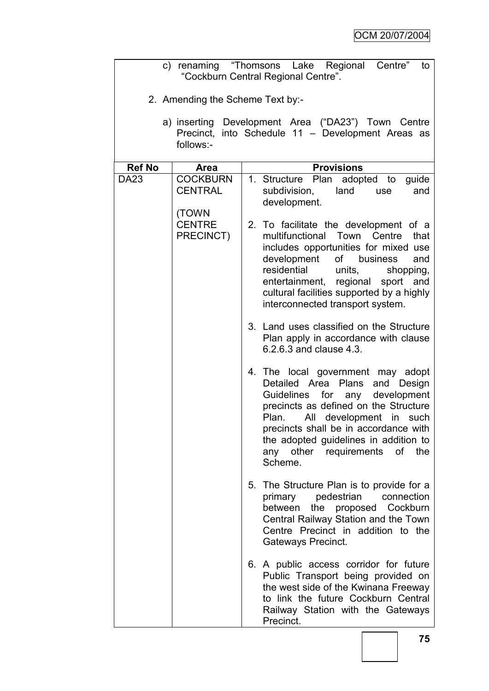|                                                                                                                      | c) renaming "Thomsons Lake Regional<br>Centre"<br>to<br>"Cockburn Central Regional Centre". |                                                                                                                                                                                                                                                                                                                               |  |  |  |  |  |
|----------------------------------------------------------------------------------------------------------------------|---------------------------------------------------------------------------------------------|-------------------------------------------------------------------------------------------------------------------------------------------------------------------------------------------------------------------------------------------------------------------------------------------------------------------------------|--|--|--|--|--|
|                                                                                                                      | 2. Amending the Scheme Text by:-                                                            |                                                                                                                                                                                                                                                                                                                               |  |  |  |  |  |
| a) inserting Development Area ("DA23") Town Centre<br>Precinct, into Schedule 11 - Development Areas as<br>follows:- |                                                                                             |                                                                                                                                                                                                                                                                                                                               |  |  |  |  |  |
| <b>Ref No</b>                                                                                                        | <b>Area</b>                                                                                 | <b>Provisions</b>                                                                                                                                                                                                                                                                                                             |  |  |  |  |  |
| <b>DA23</b>                                                                                                          | <b>COCKBURN</b><br><b>CENTRAL</b>                                                           | 1. Structure Plan adopted to<br>guide<br>subdivision,<br>land<br>and<br>use<br>development.                                                                                                                                                                                                                                   |  |  |  |  |  |
|                                                                                                                      | (TOWN<br><b>CENTRE</b><br>PRECINCT)                                                         | 2. To facilitate the development of a<br>multifunctional<br>Town Centre<br>that<br>includes opportunities for mixed use<br>development<br>of business<br>and<br>residential<br>units,<br>shopping,<br>entertainment, regional sport<br>and<br>cultural facilities supported by a highly<br>interconnected transport system.   |  |  |  |  |  |
|                                                                                                                      |                                                                                             | 3. Land uses classified on the Structure<br>Plan apply in accordance with clause<br>6.2.6.3 and clause 4.3.                                                                                                                                                                                                                   |  |  |  |  |  |
|                                                                                                                      |                                                                                             | 4. The local government may adopt<br>Detailed Area Plans and Design<br>for any development<br><b>Guidelines</b><br>precincts as defined on the Structure<br>All development in such<br>Plan.<br>precincts shall be in accordance with<br>the adopted guidelines in addition to<br>any other requirements of<br>the<br>Scheme. |  |  |  |  |  |
|                                                                                                                      |                                                                                             | 5. The Structure Plan is to provide for a<br>pedestrian<br>connection<br>primary<br>the<br>Cockburn<br>between<br>proposed<br>Central Railway Station and the Town<br>Centre Precinct in addition to the<br>Gateways Precinct.                                                                                                |  |  |  |  |  |
|                                                                                                                      |                                                                                             | 6. A public access corridor for future<br>Public Transport being provided on<br>the west side of the Kwinana Freeway<br>to link the future Cockburn Central<br>Railway Station with the Gateways<br>Precinct.                                                                                                                 |  |  |  |  |  |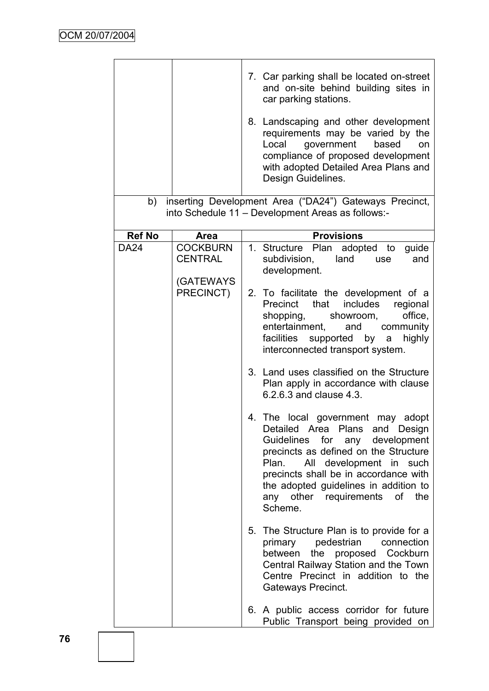|               |                                                | 7. Car parking shall be located on-street<br>and on-site behind building sites in<br>car parking stations.<br>8. Landscaping and other development<br>requirements may be varied by the<br>government<br>Local<br>based<br>on<br>compliance of proposed development<br>with adopted Detailed Area Plans and<br>Design Guidelines. |
|---------------|------------------------------------------------|-----------------------------------------------------------------------------------------------------------------------------------------------------------------------------------------------------------------------------------------------------------------------------------------------------------------------------------|
| b)            |                                                | inserting Development Area ("DA24") Gateways Precinct,                                                                                                                                                                                                                                                                            |
|               |                                                | into Schedule 11 - Development Areas as follows:-                                                                                                                                                                                                                                                                                 |
| <b>Ref No</b> | Area                                           | <b>Provisions</b>                                                                                                                                                                                                                                                                                                                 |
| <b>DA24</b>   | <b>COCKBURN</b><br><b>CENTRAL</b><br>(GATEWAYS | 1. Structure Plan adopted to<br>guide<br>subdivision,<br>land<br>and<br>use<br>development.                                                                                                                                                                                                                                       |
|               | PRECINCT)                                      | 2. To facilitate the development of a<br>includes<br>Precinct that<br>regional<br>shopping,<br>showroom,<br>office,<br>entertainment,<br>and<br>community<br>facilities<br>highly<br>supported<br>by<br>a<br>interconnected transport system.                                                                                     |
|               |                                                | 3. Land uses classified on the Structure<br>Plan apply in accordance with clause<br>6.2.6.3 and clause 4.3.                                                                                                                                                                                                                       |
|               |                                                | 4. The local government may adopt<br>Detailed Area Plans and Design<br>for any development<br>Guidelines<br>precincts as defined on the Structure<br>All development in such<br>Plan.<br>precincts shall be in accordance with<br>the adopted guidelines in addition to<br>any other requirements of the<br>Scheme.               |
|               |                                                | 5. The Structure Plan is to provide for a<br>primary pedestrian connection<br>between the proposed Cockburn<br>Central Railway Station and the Town<br>Centre Precinct in addition to the<br>Gateways Precinct.                                                                                                                   |
|               |                                                | 6. A public access corridor for future<br>Public Transport being provided on                                                                                                                                                                                                                                                      |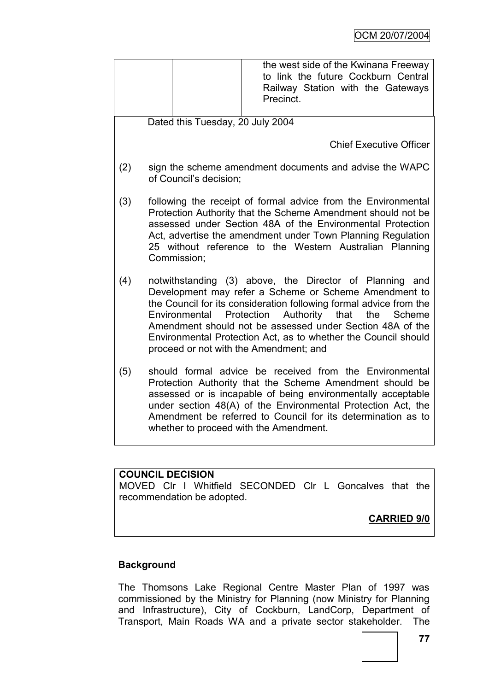|     |                                                                                                                                                                                                                                                                                                                                                                                                                                      |  | the west side of the Kwinana Freeway<br>to link the future Cockburn Central<br>Railway Station with the Gateways<br>Precinct. |  |  |  |
|-----|--------------------------------------------------------------------------------------------------------------------------------------------------------------------------------------------------------------------------------------------------------------------------------------------------------------------------------------------------------------------------------------------------------------------------------------|--|-------------------------------------------------------------------------------------------------------------------------------|--|--|--|
|     | Dated this Tuesday, 20 July 2004                                                                                                                                                                                                                                                                                                                                                                                                     |  |                                                                                                                               |  |  |  |
|     |                                                                                                                                                                                                                                                                                                                                                                                                                                      |  | <b>Chief Executive Officer</b>                                                                                                |  |  |  |
| (2) | sign the scheme amendment documents and advise the WAPC<br>of Council's decision;                                                                                                                                                                                                                                                                                                                                                    |  |                                                                                                                               |  |  |  |
| (3) | following the receipt of formal advice from the Environmental<br>Protection Authority that the Scheme Amendment should not be<br>assessed under Section 48A of the Environmental Protection<br>Act, advertise the amendment under Town Planning Regulation<br>25 without reference to the Western Australian Planning<br>Commission;                                                                                                 |  |                                                                                                                               |  |  |  |
| (4) | notwithstanding (3) above, the Director of Planning and<br>Development may refer a Scheme or Scheme Amendment to<br>the Council for its consideration following formal advice from the<br>Protection<br>Authority<br>that<br>the<br>Environmental<br>Scheme<br>Amendment should not be assessed under Section 48A of the<br>Environmental Protection Act, as to whether the Council should<br>proceed or not with the Amendment; and |  |                                                                                                                               |  |  |  |
| (5) | should formal advice be received from the Environmental<br>Protection Authority that the Scheme Amendment should be<br>assessed or is incapable of being environmentally acceptable<br>under section 48(A) of the Environmental Protection Act, the<br>Amendment be referred to Council for its determination as to<br>whether to proceed with the Amendment.                                                                        |  |                                                                                                                               |  |  |  |

# **COUNCIL DECISION**

MOVED Clr I Whitfield SECONDED Clr L Goncalves that the recommendation be adopted.

**CARRIED 9/0**

# **Background**

The Thomsons Lake Regional Centre Master Plan of 1997 was commissioned by the Ministry for Planning (now Ministry for Planning and Infrastructure), City of Cockburn, LandCorp, Department of Transport, Main Roads WA and a private sector stakeholder. The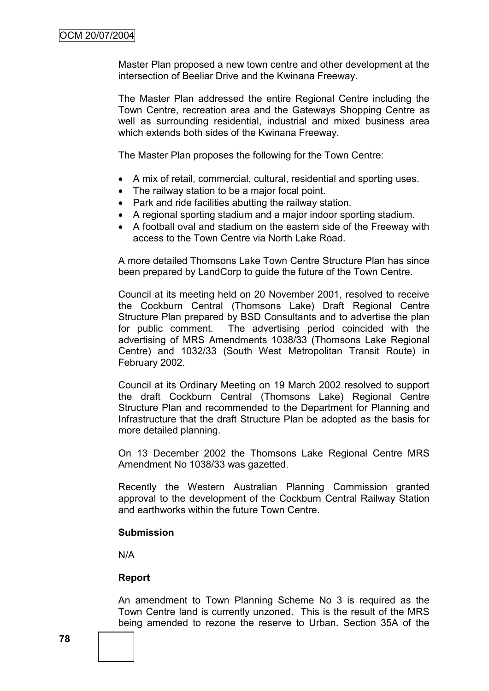Master Plan proposed a new town centre and other development at the intersection of Beeliar Drive and the Kwinana Freeway.

The Master Plan addressed the entire Regional Centre including the Town Centre, recreation area and the Gateways Shopping Centre as well as surrounding residential, industrial and mixed business area which extends both sides of the Kwinana Freeway.

The Master Plan proposes the following for the Town Centre:

- A mix of retail, commercial, cultural, residential and sporting uses.
- The railway station to be a major focal point.
- Park and ride facilities abutting the railway station.
- A regional sporting stadium and a major indoor sporting stadium.
- A football oval and stadium on the eastern side of the Freeway with access to the Town Centre via North Lake Road.

A more detailed Thomsons Lake Town Centre Structure Plan has since been prepared by LandCorp to guide the future of the Town Centre.

Council at its meeting held on 20 November 2001, resolved to receive the Cockburn Central (Thomsons Lake) Draft Regional Centre Structure Plan prepared by BSD Consultants and to advertise the plan for public comment. The advertising period coincided with the advertising of MRS Amendments 1038/33 (Thomsons Lake Regional Centre) and 1032/33 (South West Metropolitan Transit Route) in February 2002.

Council at its Ordinary Meeting on 19 March 2002 resolved to support the draft Cockburn Central (Thomsons Lake) Regional Centre Structure Plan and recommended to the Department for Planning and Infrastructure that the draft Structure Plan be adopted as the basis for more detailed planning.

On 13 December 2002 the Thomsons Lake Regional Centre MRS Amendment No 1038/33 was gazetted.

Recently the Western Australian Planning Commission granted approval to the development of the Cockburn Central Railway Station and earthworks within the future Town Centre.

#### **Submission**

N/A

#### **Report**

An amendment to Town Planning Scheme No 3 is required as the Town Centre land is currently unzoned. This is the result of the MRS being amended to rezone the reserve to Urban. Section 35A of the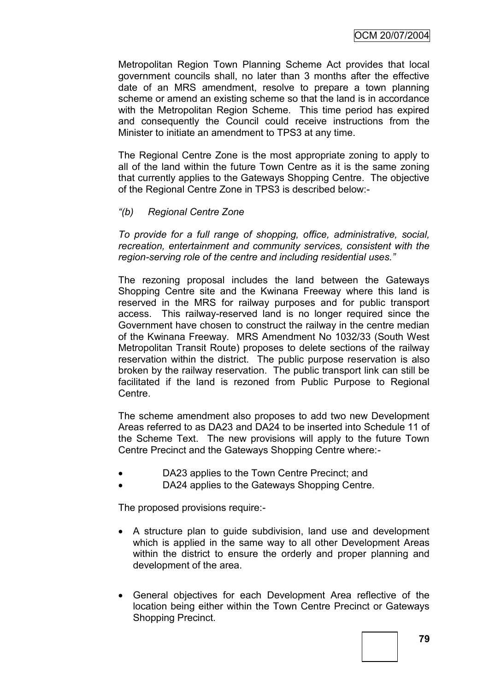Metropolitan Region Town Planning Scheme Act provides that local government councils shall, no later than 3 months after the effective date of an MRS amendment, resolve to prepare a town planning scheme or amend an existing scheme so that the land is in accordance with the Metropolitan Region Scheme. This time period has expired and consequently the Council could receive instructions from the Minister to initiate an amendment to TPS3 at any time.

The Regional Centre Zone is the most appropriate zoning to apply to all of the land within the future Town Centre as it is the same zoning that currently applies to the Gateways Shopping Centre. The objective of the Regional Centre Zone in TPS3 is described below:-

#### *"(b) Regional Centre Zone*

*To provide for a full range of shopping, office, administrative, social, recreation, entertainment and community services, consistent with the region-serving role of the centre and including residential uses."*

The rezoning proposal includes the land between the Gateways Shopping Centre site and the Kwinana Freeway where this land is reserved in the MRS for railway purposes and for public transport access. This railway-reserved land is no longer required since the Government have chosen to construct the railway in the centre median of the Kwinana Freeway. MRS Amendment No 1032/33 (South West Metropolitan Transit Route) proposes to delete sections of the railway reservation within the district. The public purpose reservation is also broken by the railway reservation. The public transport link can still be facilitated if the land is rezoned from Public Purpose to Regional Centre.

The scheme amendment also proposes to add two new Development Areas referred to as DA23 and DA24 to be inserted into Schedule 11 of the Scheme Text. The new provisions will apply to the future Town Centre Precinct and the Gateways Shopping Centre where:-

- DA23 applies to the Town Centre Precinct; and
- DA24 applies to the Gateways Shopping Centre.

The proposed provisions require:-

- A structure plan to guide subdivision, land use and development which is applied in the same way to all other Development Areas within the district to ensure the orderly and proper planning and development of the area.
- General objectives for each Development Area reflective of the location being either within the Town Centre Precinct or Gateways Shopping Precinct.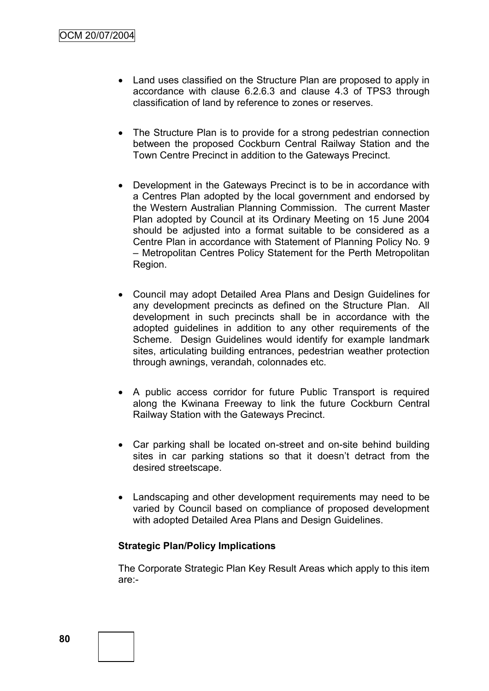- Land uses classified on the Structure Plan are proposed to apply in accordance with clause 6.2.6.3 and clause 4.3 of TPS3 through classification of land by reference to zones or reserves.
- The Structure Plan is to provide for a strong pedestrian connection between the proposed Cockburn Central Railway Station and the Town Centre Precinct in addition to the Gateways Precinct.
- Development in the Gateways Precinct is to be in accordance with a Centres Plan adopted by the local government and endorsed by the Western Australian Planning Commission. The current Master Plan adopted by Council at its Ordinary Meeting on 15 June 2004 should be adjusted into a format suitable to be considered as a Centre Plan in accordance with Statement of Planning Policy No. 9 – Metropolitan Centres Policy Statement for the Perth Metropolitan Region.
- Council may adopt Detailed Area Plans and Design Guidelines for any development precincts as defined on the Structure Plan. All development in such precincts shall be in accordance with the adopted guidelines in addition to any other requirements of the Scheme. Design Guidelines would identify for example landmark sites, articulating building entrances, pedestrian weather protection through awnings, verandah, colonnades etc.
- A public access corridor for future Public Transport is required along the Kwinana Freeway to link the future Cockburn Central Railway Station with the Gateways Precinct.
- Car parking shall be located on-street and on-site behind building sites in car parking stations so that it doesn't detract from the desired streetscape.
- Landscaping and other development requirements may need to be varied by Council based on compliance of proposed development with adopted Detailed Area Plans and Design Guidelines.

### **Strategic Plan/Policy Implications**

The Corporate Strategic Plan Key Result Areas which apply to this item are:-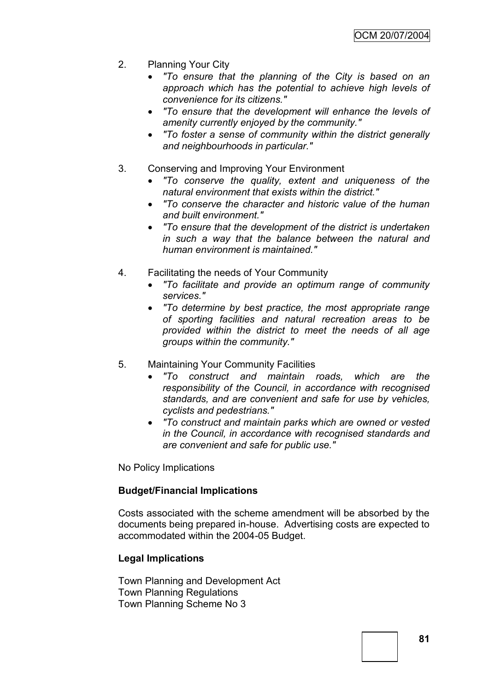- 2. Planning Your City
	- *"To ensure that the planning of the City is based on an approach which has the potential to achieve high levels of convenience for its citizens."*
	- *"To ensure that the development will enhance the levels of amenity currently enjoyed by the community."*
	- *"To foster a sense of community within the district generally and neighbourhoods in particular."*
- 3. Conserving and Improving Your Environment
	- *"To conserve the quality, extent and uniqueness of the natural environment that exists within the district."*
	- *"To conserve the character and historic value of the human and built environment."*
	- *"To ensure that the development of the district is undertaken in such a way that the balance between the natural and human environment is maintained."*
- 4. Facilitating the needs of Your Community
	- *"To facilitate and provide an optimum range of community services."*
	- *"To determine by best practice, the most appropriate range of sporting facilities and natural recreation areas to be provided within the district to meet the needs of all age groups within the community."*
- 5. Maintaining Your Community Facilities
	- *"To construct and maintain roads, which are the responsibility of the Council, in accordance with recognised standards, and are convenient and safe for use by vehicles, cyclists and pedestrians."*
	- *"To construct and maintain parks which are owned or vested in the Council, in accordance with recognised standards and are convenient and safe for public use."*

No Policy Implications

### **Budget/Financial Implications**

Costs associated with the scheme amendment will be absorbed by the documents being prepared in-house. Advertising costs are expected to accommodated within the 2004-05 Budget.

### **Legal Implications**

Town Planning and Development Act Town Planning Regulations Town Planning Scheme No 3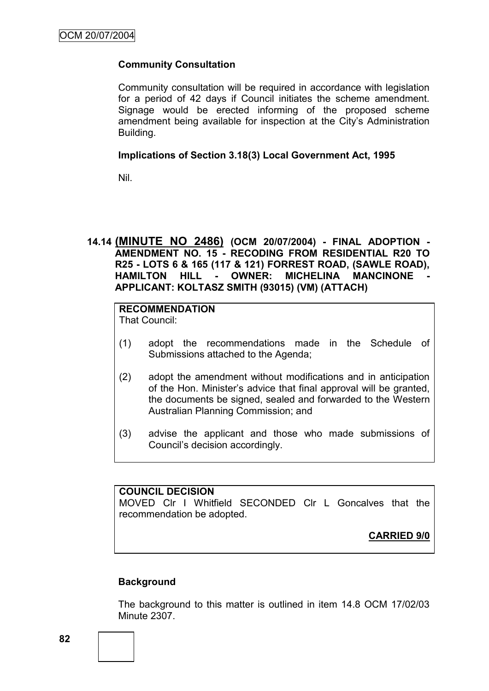## **Community Consultation**

Community consultation will be required in accordance with legislation for a period of 42 days if Council initiates the scheme amendment. Signage would be erected informing of the proposed scheme amendment being available for inspection at the City"s Administration Building.

### **Implications of Section 3.18(3) Local Government Act, 1995**

Nil.

# **14.14 (MINUTE NO 2486) (OCM 20/07/2004) - FINAL ADOPTION - AMENDMENT NO. 15 - RECODING FROM RESIDENTIAL R20 TO R25 - LOTS 6 & 165 (117 & 121) FORREST ROAD, (SAWLE ROAD), HAMILTON HILL - OWNER: MICHELINA MANCINONE APPLICANT: KOLTASZ SMITH (93015) (VM) (ATTACH)**

# **RECOMMENDATION**

That Council:

- (1) adopt the recommendations made in the Schedule of Submissions attached to the Agenda;
- (2) adopt the amendment without modifications and in anticipation of the Hon. Minister"s advice that final approval will be granted, the documents be signed, sealed and forwarded to the Western Australian Planning Commission; and
- (3) advise the applicant and those who made submissions of Council"s decision accordingly.

### **COUNCIL DECISION**

MOVED Clr I Whitfield SECONDED Clr L Goncalves that the recommendation be adopted.

**CARRIED 9/0**

### **Background**

The background to this matter is outlined in item 14.8 OCM 17/02/03 Minute 2307.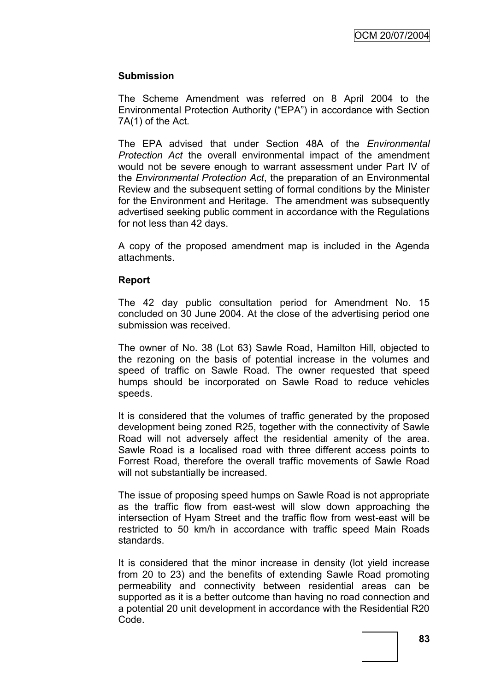### **Submission**

The Scheme Amendment was referred on 8 April 2004 to the Environmental Protection Authority ("EPA") in accordance with Section 7A(1) of the Act.

The EPA advised that under Section 48A of the *Environmental Protection Act* the overall environmental impact of the amendment would not be severe enough to warrant assessment under Part IV of the *Environmental Protection Act*, the preparation of an Environmental Review and the subsequent setting of formal conditions by the Minister for the Environment and Heritage. The amendment was subsequently advertised seeking public comment in accordance with the Regulations for not less than 42 days.

A copy of the proposed amendment map is included in the Agenda attachments.

#### **Report**

The 42 day public consultation period for Amendment No. 15 concluded on 30 June 2004. At the close of the advertising period one submission was received.

The owner of No. 38 (Lot 63) Sawle Road, Hamilton Hill, objected to the rezoning on the basis of potential increase in the volumes and speed of traffic on Sawle Road. The owner requested that speed humps should be incorporated on Sawle Road to reduce vehicles speeds.

It is considered that the volumes of traffic generated by the proposed development being zoned R25, together with the connectivity of Sawle Road will not adversely affect the residential amenity of the area. Sawle Road is a localised road with three different access points to Forrest Road, therefore the overall traffic movements of Sawle Road will not substantially be increased.

The issue of proposing speed humps on Sawle Road is not appropriate as the traffic flow from east-west will slow down approaching the intersection of Hyam Street and the traffic flow from west-east will be restricted to 50 km/h in accordance with traffic speed Main Roads standards.

It is considered that the minor increase in density (lot yield increase from 20 to 23) and the benefits of extending Sawle Road promoting permeability and connectivity between residential areas can be supported as it is a better outcome than having no road connection and a potential 20 unit development in accordance with the Residential R20 Code.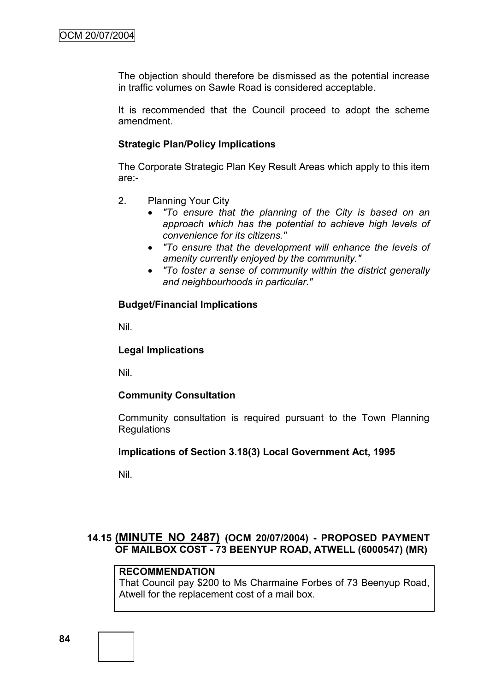The objection should therefore be dismissed as the potential increase in traffic volumes on Sawle Road is considered acceptable.

It is recommended that the Council proceed to adopt the scheme amendment.

## **Strategic Plan/Policy Implications**

The Corporate Strategic Plan Key Result Areas which apply to this item are:-

- 2. Planning Your City
	- *"To ensure that the planning of the City is based on an approach which has the potential to achieve high levels of convenience for its citizens."*
	- *"To ensure that the development will enhance the levels of amenity currently enjoyed by the community."*
	- *"To foster a sense of community within the district generally and neighbourhoods in particular."*

# **Budget/Financial Implications**

Nil.

# **Legal Implications**

Nil.

# **Community Consultation**

Community consultation is required pursuant to the Town Planning Regulations

### **Implications of Section 3.18(3) Local Government Act, 1995**

Nil.

# **14.15 (MINUTE NO 2487) (OCM 20/07/2004) - PROPOSED PAYMENT OF MAILBOX COST - 73 BEENYUP ROAD, ATWELL (6000547) (MR)**

# **RECOMMENDATION**

That Council pay \$200 to Ms Charmaine Forbes of 73 Beenyup Road, Atwell for the replacement cost of a mail box.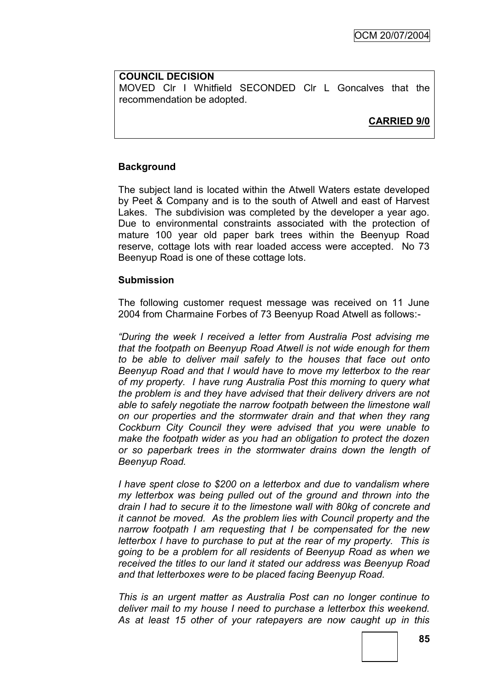# **COUNCIL DECISION** MOVED Clr I Whitfield SECONDED Clr L Goncalves that the recommendation be adopted.

**CARRIED 9/0**

# **Background**

The subject land is located within the Atwell Waters estate developed by Peet & Company and is to the south of Atwell and east of Harvest Lakes. The subdivision was completed by the developer a year ago. Due to environmental constraints associated with the protection of mature 100 year old paper bark trees within the Beenyup Road reserve, cottage lots with rear loaded access were accepted. No 73 Beenyup Road is one of these cottage lots.

### **Submission**

The following customer request message was received on 11 June 2004 from Charmaine Forbes of 73 Beenyup Road Atwell as follows:-

*"During the week I received a letter from Australia Post advising me that the footpath on Beenyup Road Atwell is not wide enough for them to be able to deliver mail safely to the houses that face out onto Beenyup Road and that I would have to move my letterbox to the rear of my property. I have rung Australia Post this morning to query what the problem is and they have advised that their delivery drivers are not able to safely negotiate the narrow footpath between the limestone wall on our properties and the stormwater drain and that when they rang Cockburn City Council they were advised that you were unable to make the footpath wider as you had an obligation to protect the dozen or so paperbark trees in the stormwater drains down the length of Beenyup Road.*

*I have spent close to \$200 on a letterbox and due to vandalism where my letterbox was being pulled out of the ground and thrown into the drain I had to secure it to the limestone wall with 80kg of concrete and it cannot be moved. As the problem lies with Council property and the narrow footpath I am requesting that I be compensated for the new letterbox I have to purchase to put at the rear of my property. This is going to be a problem for all residents of Beenyup Road as when we received the titles to our land it stated our address was Beenyup Road and that letterboxes were to be placed facing Beenyup Road.*

*This is an urgent matter as Australia Post can no longer continue to deliver mail to my house I need to purchase a letterbox this weekend. As at least 15 other of your ratepayers are now caught up in this*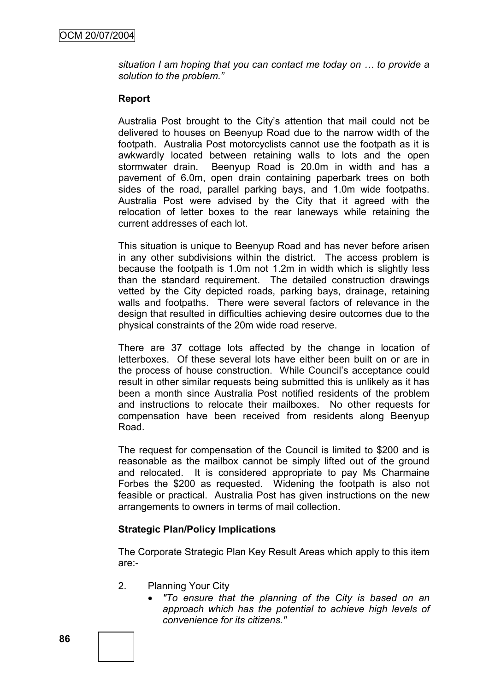*situation I am hoping that you can contact me today on … to provide a solution to the problem."*

#### **Report**

Australia Post brought to the City"s attention that mail could not be delivered to houses on Beenyup Road due to the narrow width of the footpath. Australia Post motorcyclists cannot use the footpath as it is awkwardly located between retaining walls to lots and the open stormwater drain. Beenyup Road is 20.0m in width and has a pavement of 6.0m, open drain containing paperbark trees on both sides of the road, parallel parking bays, and 1.0m wide footpaths. Australia Post were advised by the City that it agreed with the relocation of letter boxes to the rear laneways while retaining the current addresses of each lot.

This situation is unique to Beenyup Road and has never before arisen in any other subdivisions within the district. The access problem is because the footpath is 1.0m not 1.2m in width which is slightly less than the standard requirement. The detailed construction drawings vetted by the City depicted roads, parking bays, drainage, retaining walls and footpaths. There were several factors of relevance in the design that resulted in difficulties achieving desire outcomes due to the physical constraints of the 20m wide road reserve.

There are 37 cottage lots affected by the change in location of letterboxes. Of these several lots have either been built on or are in the process of house construction. While Council"s acceptance could result in other similar requests being submitted this is unlikely as it has been a month since Australia Post notified residents of the problem and instructions to relocate their mailboxes. No other requests for compensation have been received from residents along Beenyup Road.

The request for compensation of the Council is limited to \$200 and is reasonable as the mailbox cannot be simply lifted out of the ground and relocated. It is considered appropriate to pay Ms Charmaine Forbes the \$200 as requested. Widening the footpath is also not feasible or practical. Australia Post has given instructions on the new arrangements to owners in terms of mail collection.

### **Strategic Plan/Policy Implications**

The Corporate Strategic Plan Key Result Areas which apply to this item are:-

- 2. Planning Your City
	- *"To ensure that the planning of the City is based on an approach which has the potential to achieve high levels of convenience for its citizens."*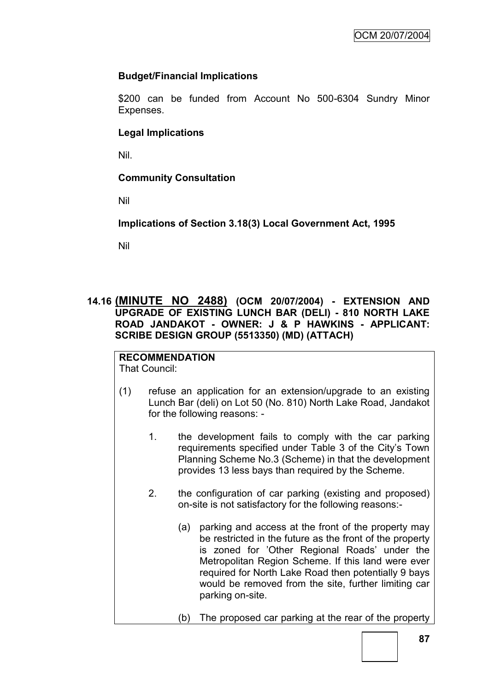## **Budget/Financial Implications**

\$200 can be funded from Account No 500-6304 Sundry Minor Expenses.

### **Legal Implications**

Nil.

## **Community Consultation**

Nil

**Implications of Section 3.18(3) Local Government Act, 1995**

Nil

# **14.16 (MINUTE NO 2488) (OCM 20/07/2004) - EXTENSION AND UPGRADE OF EXISTING LUNCH BAR (DELI) - 810 NORTH LAKE ROAD JANDAKOT - OWNER: J & P HAWKINS - APPLICANT: SCRIBE DESIGN GROUP (5513350) (MD) (ATTACH)**

# **RECOMMENDATION**

That Council:

- (1) refuse an application for an extension/upgrade to an existing Lunch Bar (deli) on Lot 50 (No. 810) North Lake Road, Jandakot for the following reasons: -
	- 1. the development fails to comply with the car parking requirements specified under Table 3 of the City"s Town Planning Scheme No.3 (Scheme) in that the development provides 13 less bays than required by the Scheme.
	- 2. the configuration of car parking (existing and proposed) on-site is not satisfactory for the following reasons:-
		- (a) parking and access at the front of the property may be restricted in the future as the front of the property is zoned for 'Other Regional Roads' under the Metropolitan Region Scheme. If this land were ever required for North Lake Road then potentially 9 bays would be removed from the site, further limiting car parking on-site.
		- (b) The proposed car parking at the rear of the property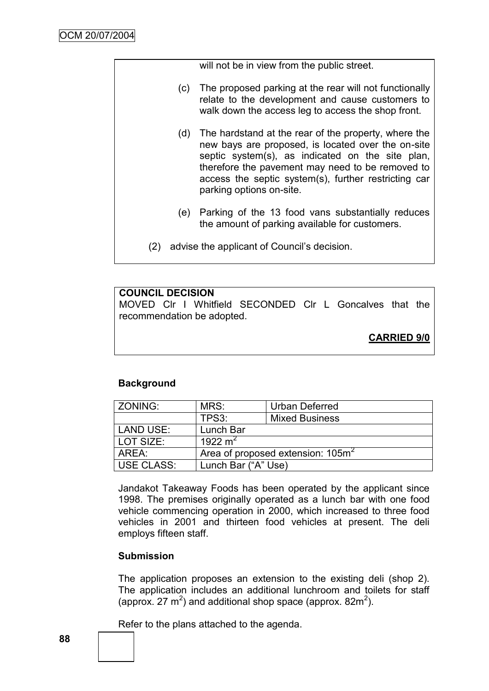|     |     | will not be in view from the public street.                                                                                                                                                                                                                                                                |
|-----|-----|------------------------------------------------------------------------------------------------------------------------------------------------------------------------------------------------------------------------------------------------------------------------------------------------------------|
|     | (C) | The proposed parking at the rear will not functionally<br>relate to the development and cause customers to<br>walk down the access leg to access the shop front.                                                                                                                                           |
|     |     | (d) The hardstand at the rear of the property, where the<br>new bays are proposed, is located over the on-site<br>septic system(s), as indicated on the site plan,<br>therefore the pavement may need to be removed to<br>access the septic system(s), further restricting car<br>parking options on-site. |
|     | (e) | Parking of the 13 food vans substantially reduces<br>the amount of parking available for customers.                                                                                                                                                                                                        |
| (2) |     | advise the applicant of Council's decision.                                                                                                                                                                                                                                                                |

#### **COUNCIL DECISION**

MOVED Clr I Whitfield SECONDED Clr L Goncalves that the recommendation be adopted.

**CARRIED 9/0**

### **Background**

| <b>ZONING:</b>    | MRS:                                          | Urban Deferred        |  |
|-------------------|-----------------------------------------------|-----------------------|--|
|                   | TPS3:                                         | <b>Mixed Business</b> |  |
| <b>LAND USE:</b>  | Lunch Bar                                     |                       |  |
| LOT SIZE:         | 1922 m <sup>2</sup>                           |                       |  |
| AREA:             | Area of proposed extension: 105m <sup>2</sup> |                       |  |
| <b>USE CLASS:</b> | Lunch Bar ("A" Use)                           |                       |  |

Jandakot Takeaway Foods has been operated by the applicant since 1998. The premises originally operated as a lunch bar with one food vehicle commencing operation in 2000, which increased to three food vehicles in 2001 and thirteen food vehicles at present. The deli employs fifteen staff.

### **Submission**

The application proposes an extension to the existing deli (shop 2). The application includes an additional lunchroom and toilets for staff (approx. 27  $m^2$ ) and additional shop space (approx. 82 $m^2$ ).

Refer to the plans attached to the agenda.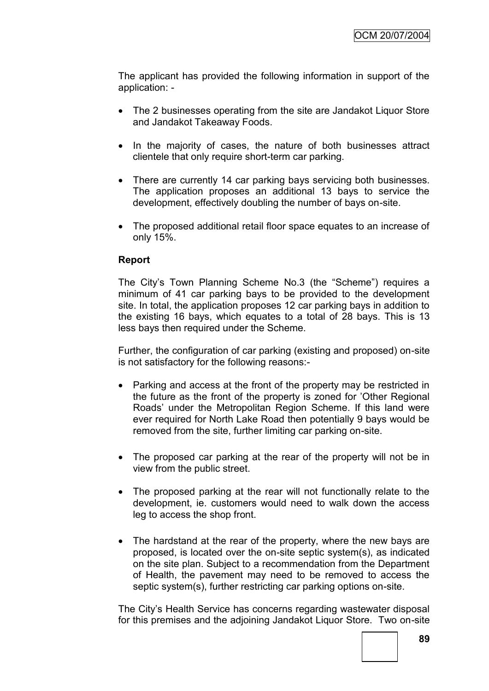The applicant has provided the following information in support of the application: -

- The 2 businesses operating from the site are Jandakot Liquor Store and Jandakot Takeaway Foods.
- In the majority of cases, the nature of both businesses attract clientele that only require short-term car parking.
- There are currently 14 car parking bays servicing both businesses. The application proposes an additional 13 bays to service the development, effectively doubling the number of bays on-site.
- The proposed additional retail floor space equates to an increase of only 15%.

### **Report**

The City"s Town Planning Scheme No.3 (the "Scheme") requires a minimum of 41 car parking bays to be provided to the development site. In total, the application proposes 12 car parking bays in addition to the existing 16 bays, which equates to a total of 28 bays. This is 13 less bays then required under the Scheme.

Further, the configuration of car parking (existing and proposed) on-site is not satisfactory for the following reasons:-

- Parking and access at the front of the property may be restricted in the future as the front of the property is zoned for "Other Regional Roads" under the Metropolitan Region Scheme. If this land were ever required for North Lake Road then potentially 9 bays would be removed from the site, further limiting car parking on-site.
- The proposed car parking at the rear of the property will not be in view from the public street.
- The proposed parking at the rear will not functionally relate to the development, ie. customers would need to walk down the access leg to access the shop front.
- The hardstand at the rear of the property, where the new bays are proposed, is located over the on-site septic system(s), as indicated on the site plan. Subject to a recommendation from the Department of Health, the pavement may need to be removed to access the septic system(s), further restricting car parking options on-site.

The City"s Health Service has concerns regarding wastewater disposal for this premises and the adjoining Jandakot Liquor Store. Two on-site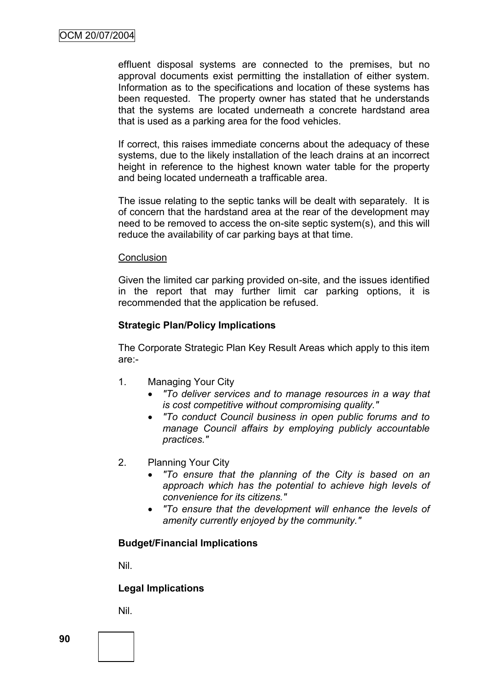effluent disposal systems are connected to the premises, but no approval documents exist permitting the installation of either system. Information as to the specifications and location of these systems has been requested. The property owner has stated that he understands that the systems are located underneath a concrete hardstand area that is used as a parking area for the food vehicles.

If correct, this raises immediate concerns about the adequacy of these systems, due to the likely installation of the leach drains at an incorrect height in reference to the highest known water table for the property and being located underneath a trafficable area.

The issue relating to the septic tanks will be dealt with separately. It is of concern that the hardstand area at the rear of the development may need to be removed to access the on-site septic system(s), and this will reduce the availability of car parking bays at that time.

#### **Conclusion**

Given the limited car parking provided on-site, and the issues identified in the report that may further limit car parking options, it is recommended that the application be refused.

### **Strategic Plan/Policy Implications**

The Corporate Strategic Plan Key Result Areas which apply to this item are:-

- 1. Managing Your City
	- *"To deliver services and to manage resources in a way that is cost competitive without compromising quality."*
	- *"To conduct Council business in open public forums and to manage Council affairs by employing publicly accountable practices."*
- 2. Planning Your City
	- *"To ensure that the planning of the City is based on an approach which has the potential to achieve high levels of convenience for its citizens."*
	- *"To ensure that the development will enhance the levels of amenity currently enjoyed by the community."*

### **Budget/Financial Implications**

Nil.

### **Legal Implications**

Nil.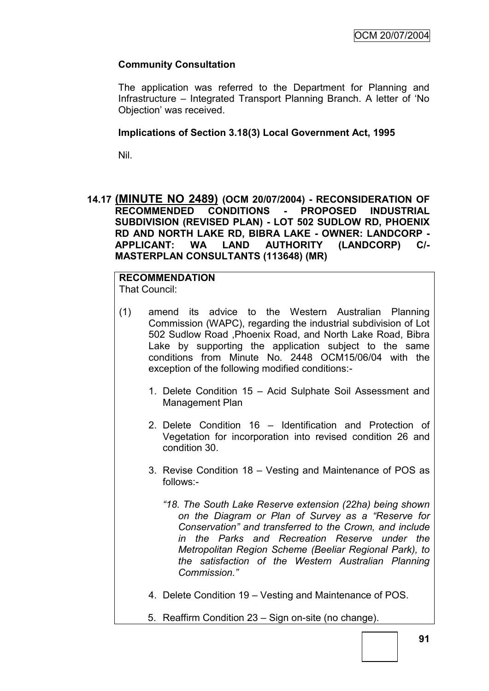# **Community Consultation**

The application was referred to the Department for Planning and Infrastructure – Integrated Transport Planning Branch. A letter of "No Objection" was received.

#### **Implications of Section 3.18(3) Local Government Act, 1995**

Nil.

### **14.17 (MINUTE NO 2489) (OCM 20/07/2004) - RECONSIDERATION OF RECOMMENDED CONDITIONS - PROPOSED INDUSTRIAL SUBDIVISION (REVISED PLAN) - LOT 502 SUDLOW RD, PHOENIX RD AND NORTH LAKE RD, BIBRA LAKE - OWNER: LANDCORP - APPLICANT: WA LAND AUTHORITY (LANDCORP) C/- MASTERPLAN CONSULTANTS (113648) (MR)**

#### **RECOMMENDATION** That Council:

- (1) amend its advice to the Western Australian Planning Commission (WAPC), regarding the industrial subdivision of Lot 502 Sudlow Road ,Phoenix Road, and North Lake Road, Bibra Lake by supporting the application subject to the same conditions from Minute No. 2448 OCM15/06/04 with the exception of the following modified conditions:-
	- 1. Delete Condition 15 Acid Sulphate Soil Assessment and Management Plan
	- 2. Delete Condition 16 Identification and Protection of Vegetation for incorporation into revised condition 26 and condition 30.
	- 3. Revise Condition 18 Vesting and Maintenance of POS as follows:-
		- *"18. The South Lake Reserve extension (22ha) being shown on the Diagram or Plan of Survey as a "Reserve for Conservation" and transferred to the Crown, and include in the Parks and Recreation Reserve under the Metropolitan Region Scheme (Beeliar Regional Park), to the satisfaction of the Western Australian Planning Commission."*
	- 4. Delete Condition 19 Vesting and Maintenance of POS.
	- 5. Reaffirm Condition 23 Sign on-site (no change).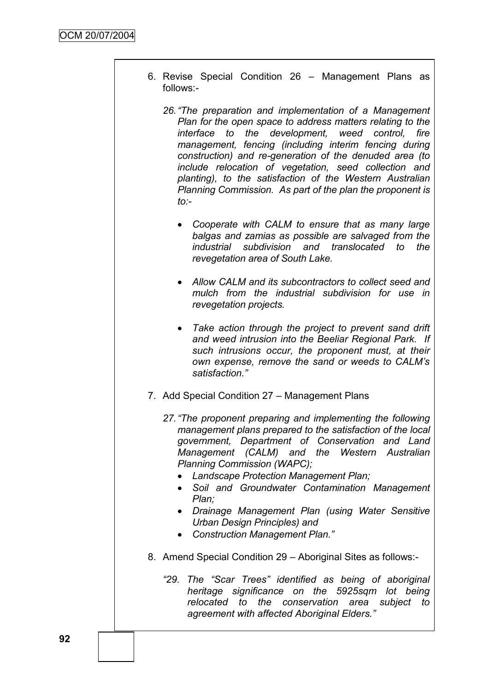- 6. Revise Special Condition 26 Management Plans as follows:-
	- *26."The preparation and implementation of a Management Plan for the open space to address matters relating to the interface to the development, weed control, fire management, fencing (including interim fencing during construction) and re-generation of the denuded area (to include relocation of vegetation, seed collection and planting), to the satisfaction of the Western Australian Planning Commission. As part of the plan the proponent is to:-*
		- *Cooperate with CALM to ensure that as many large balgas and zamias as possible are salvaged from the industrial subdivision and translocated to the revegetation area of South Lake.*
		- *Allow CALM and its subcontractors to collect seed and mulch from the industrial subdivision for use in revegetation projects.*
		- *Take action through the project to prevent sand drift and weed intrusion into the Beeliar Regional Park. If such intrusions occur, the proponent must, at their own expense, remove the sand or weeds to CALM"s satisfaction."*
- 7. Add Special Condition 27 Management Plans
	- *27."The proponent preparing and implementing the following management plans prepared to the satisfaction of the local government, Department of Conservation and Land Management (CALM) and the Western Australian Planning Commission (WAPC);*
		- *Landscape Protection Management Plan;*
		- *Soil and Groundwater Contamination Management Plan;*
		- *Drainage Management Plan (using Water Sensitive Urban Design Principles) and*
		- *Construction Management Plan."*
- 8. Amend Special Condition 29 Aboriginal Sites as follows:-
	- *"29. The "Scar Trees" identified as being of aboriginal heritage significance on the 5925sqm lot being relocated to the conservation area subject to agreement with affected Aboriginal Elders."*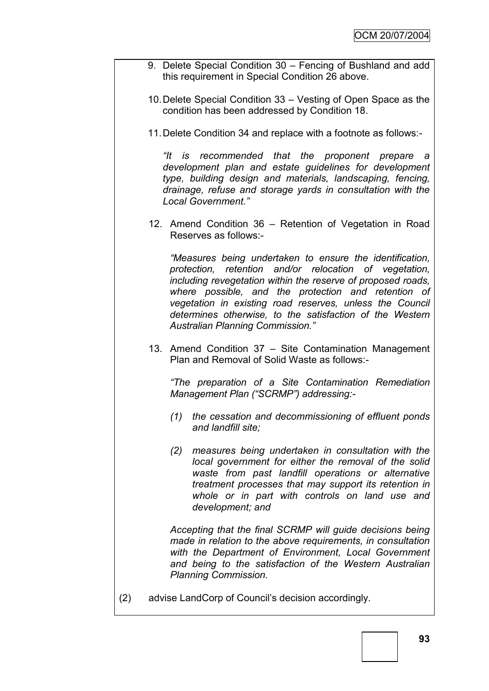- 9. Delete Special Condition 30 Fencing of Bushland and add this requirement in Special Condition 26 above.
- 10.Delete Special Condition 33 Vesting of Open Space as the condition has been addressed by Condition 18.
- 11.Delete Condition 34 and replace with a footnote as follows:-

*"It is recommended that the proponent prepare a development plan and estate guidelines for development type, building design and materials, landscaping, fencing, drainage, refuse and storage yards in consultation with the Local Government."*

12. Amend Condition 36 – Retention of Vegetation in Road Reserves as follows:-

*"Measures being undertaken to ensure the identification, protection, retention and/or relocation of vegetation, including revegetation within the reserve of proposed roads, where possible, and the protection and retention of vegetation in existing road reserves, unless the Council determines otherwise, to the satisfaction of the Western Australian Planning Commission."*

13. Amend Condition 37 – Site Contamination Management Plan and Removal of Solid Waste as follows:-

*"The preparation of a Site Contamination Remediation Management Plan ("SCRMP") addressing:-*

- *(1) the cessation and decommissioning of effluent ponds and landfill site;*
- *(2) measures being undertaken in consultation with the local government for either the removal of the solid waste from past landfill operations or alternative treatment processes that may support its retention in whole or in part with controls on land use and development; and*

*Accepting that the final SCRMP will guide decisions being made in relation to the above requirements, in consultation with the Department of Environment, Local Government and being to the satisfaction of the Western Australian Planning Commission.*

(2) advise LandCorp of Council"s decision accordingly.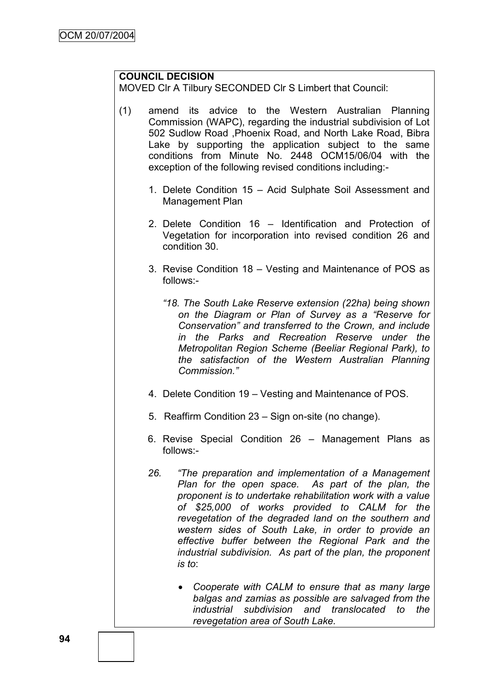# **COUNCIL DECISION**

MOVED Clr A Tilbury SECONDED Clr S Limbert that Council:

- (1) amend its advice to the Western Australian Planning Commission (WAPC), regarding the industrial subdivision of Lot 502 Sudlow Road ,Phoenix Road, and North Lake Road, Bibra Lake by supporting the application subject to the same conditions from Minute No. 2448 OCM15/06/04 with the exception of the following revised conditions including:-
	- 1. Delete Condition 15 Acid Sulphate Soil Assessment and Management Plan
	- 2. Delete Condition 16 Identification and Protection of Vegetation for incorporation into revised condition 26 and condition 30.
	- 3. Revise Condition 18 Vesting and Maintenance of POS as follows:-
		- *"18. The South Lake Reserve extension (22ha) being shown on the Diagram or Plan of Survey as a "Reserve for Conservation" and transferred to the Crown, and include in the Parks and Recreation Reserve under the Metropolitan Region Scheme (Beeliar Regional Park), to the satisfaction of the Western Australian Planning Commission."*
	- 4. Delete Condition 19 Vesting and Maintenance of POS.
	- 5. Reaffirm Condition 23 Sign on-site (no change).
	- 6. Revise Special Condition 26 Management Plans as follows:-
	- *26. "The preparation and implementation of a Management Plan for the open space. As part of the plan, the proponent is to undertake rehabilitation work with a value of \$25,000 of works provided to CALM for the revegetation of the degraded land on the southern and western sides of South Lake, in order to provide an effective buffer between the Regional Park and the industrial subdivision. As part of the plan, the proponent is to*:
		- *Cooperate with CALM to ensure that as many large balgas and zamias as possible are salvaged from the industrial subdivision and translocated to the revegetation area of South Lake.*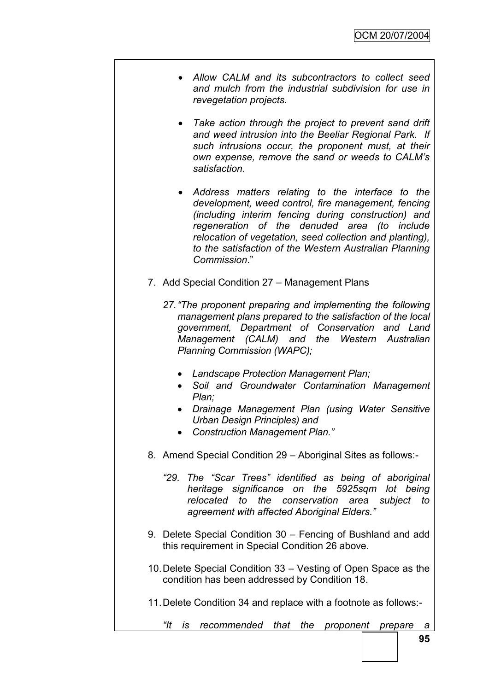- *Allow CALM and its subcontractors to collect seed and mulch from the industrial subdivision for use in revegetation projects.*
- *Take action through the project to prevent sand drift and weed intrusion into the Beeliar Regional Park. If such intrusions occur, the proponent must, at their own expense, remove the sand or weeds to CALM"s satisfaction*.
- *Address matters relating to the interface to the development, weed control, fire management, fencing (including interim fencing during construction) and regeneration of the denuded area (to include relocation of vegetation, seed collection and planting), to the satisfaction of the Western Australian Planning Commission*."
- 7. Add Special Condition 27 Management Plans
	- *27."The proponent preparing and implementing the following management plans prepared to the satisfaction of the local government, Department of Conservation and Land Management (CALM) and the Western Australian Planning Commission (WAPC);*
		- *Landscape Protection Management Plan;*
		- *Soil and Groundwater Contamination Management Plan;*
		- *Drainage Management Plan (using Water Sensitive Urban Design Principles) and*
		- *Construction Management Plan."*
- 8. Amend Special Condition 29 Aboriginal Sites as follows:-
	- *"29. The "Scar Trees" identified as being of aboriginal heritage significance on the 5925sqm lot being relocated to the conservation area subject to agreement with affected Aboriginal Elders."*
- 9. Delete Special Condition 30 Fencing of Bushland and add this requirement in Special Condition 26 above.
- 10.Delete Special Condition 33 Vesting of Open Space as the condition has been addressed by Condition 18.
- 11.Delete Condition 34 and replace with a footnote as follows:-
	- *"It is recommended that the proponent prepare a*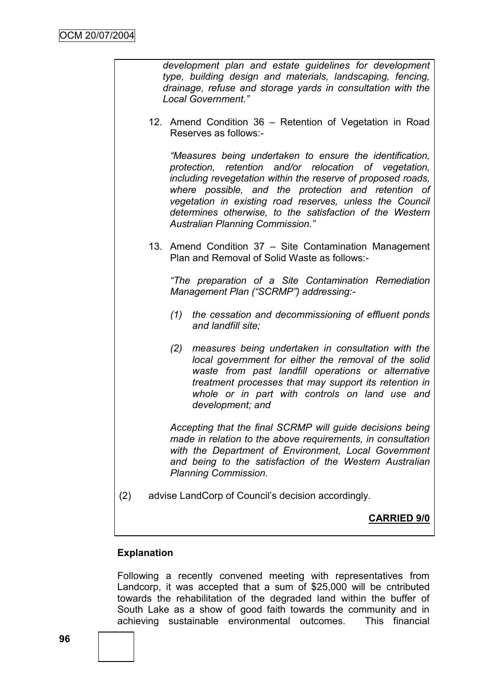*development plan and estate guidelines for development type, building design and materials, landscaping, fencing, drainage, refuse and storage yards in consultation with the Local Government."*

12. Amend Condition 36 – Retention of Vegetation in Road Reserves as follows:-

*"Measures being undertaken to ensure the identification, protection, retention and/or relocation of vegetation, including revegetation within the reserve of proposed roads, where possible, and the protection and retention of vegetation in existing road reserves, unless the Council determines otherwise, to the satisfaction of the Western Australian Planning Commission."*

13. Amend Condition 37 – Site Contamination Management Plan and Removal of Solid Waste as follows:-

*"The preparation of a Site Contamination Remediation Management Plan ("SCRMP") addressing:-*

- *(1) the cessation and decommissioning of effluent ponds and landfill site;*
- *(2) measures being undertaken in consultation with the local government for either the removal of the solid waste from past landfill operations or alternative treatment processes that may support its retention in whole or in part with controls on land use and development; and*

*Accepting that the final SCRMP will guide decisions being made in relation to the above requirements, in consultation with the Department of Environment, Local Government and being to the satisfaction of the Western Australian Planning Commission.*

(2) advise LandCorp of Council"s decision accordingly.

### **CARRIED 9/0**

### **Explanation**

Following a recently convened meeting with representatives from Landcorp, it was accepted that a sum of \$25,000 will be cntributed towards the rehabilitation of the degraded land within the buffer of South Lake as a show of good faith towards the community and in achieving sustainable environmental outcomes. This financial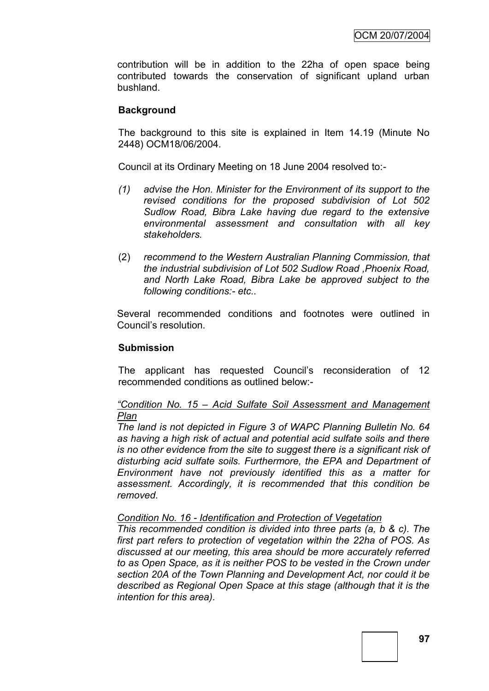contribution will be in addition to the 22ha of open space being contributed towards the conservation of significant upland urban bushland.

### **Background**

The background to this site is explained in Item 14.19 (Minute No 2448) OCM18/06/2004.

Council at its Ordinary Meeting on 18 June 2004 resolved to:-

- *(1) advise the Hon. Minister for the Environment of its support to the revised conditions for the proposed subdivision of Lot 502 Sudlow Road, Bibra Lake having due regard to the extensive environmental assessment and consultation with all key stakeholders.*
- (2) *recommend to the Western Australian Planning Commission, that the industrial subdivision of Lot 502 Sudlow Road ,Phoenix Road, and North Lake Road, Bibra Lake be approved subject to the following conditions:- etc..*

Several recommended conditions and footnotes were outlined in Council"s resolution.

#### **Submission**

The applicant has requested Council"s reconsideration of 12 recommended conditions as outlined below:-

*"Condition No. 15 – Acid Sulfate Soil Assessment and Management Plan*

*The land is not depicted in Figure 3 of WAPC Planning Bulletin No. 64 as having a high risk of actual and potential acid sulfate soils and there is no other evidence from the site to suggest there is a significant risk of disturbing acid sulfate soils. Furthermore, the EPA and Department of Environment have not previously identified this as a matter for assessment. Accordingly, it is recommended that this condition be removed.* 

### *Condition No. 16 - Identification and Protection of Vegetation*

*This recommended condition is divided into three parts (a, b & c). The first part refers to protection of vegetation within the 22ha of POS. As discussed at our meeting, this area should be more accurately referred to as Open Space, as it is neither POS to be vested in the Crown under section 20A of the Town Planning and Development Act, nor could it be described as Regional Open Space at this stage (although that it is the intention for this area).*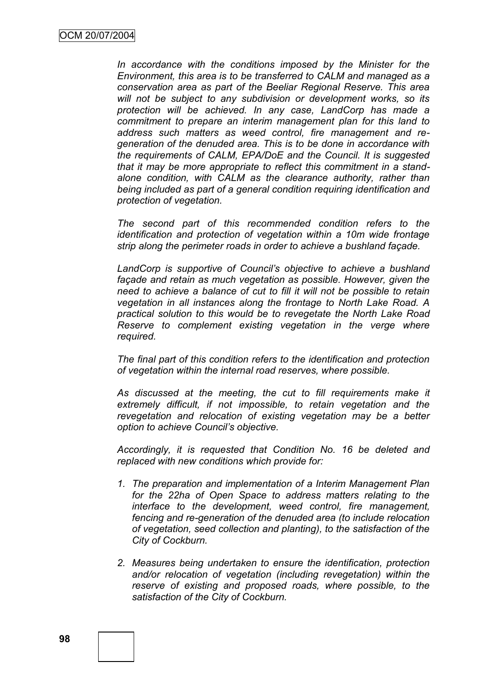*In accordance with the conditions imposed by the Minister for the Environment, this area is to be transferred to CALM and managed as a conservation area as part of the Beeliar Regional Reserve. This area will not be subject to any subdivision or development works, so its protection will be achieved. In any case, LandCorp has made a commitment to prepare an interim management plan for this land to address such matters as weed control, fire management and regeneration of the denuded area. This is to be done in accordance with the requirements of CALM, EPA/DoE and the Council. It is suggested that it may be more appropriate to reflect this commitment in a standalone condition, with CALM as the clearance authority, rather than being included as part of a general condition requiring identification and protection of vegetation.*

*The second part of this recommended condition refers to the identification and protection of vegetation within a 10m wide frontage strip along the perimeter roads in order to achieve a bushland façade.*

*LandCorp is supportive of Council"s objective to achieve a bushland façade and retain as much vegetation as possible. However, given the need to achieve a balance of cut to fill it will not be possible to retain vegetation in all instances along the frontage to North Lake Road. A practical solution to this would be to revegetate the North Lake Road Reserve to complement existing vegetation in the verge where required.* 

*The final part of this condition refers to the identification and protection of vegetation within the internal road reserves, where possible.* 

*As discussed at the meeting, the cut to fill requirements make it extremely difficult, if not impossible, to retain vegetation and the revegetation and relocation of existing vegetation may be a better option to achieve Council"s objective.*

*Accordingly, it is requested that Condition No. 16 be deleted and replaced with new conditions which provide for:*

- *1. The preparation and implementation of a Interim Management Plan for the 22ha of Open Space to address matters relating to the interface to the development, weed control, fire management, fencing and re-generation of the denuded area (to include relocation of vegetation, seed collection and planting), to the satisfaction of the City of Cockburn.*
- *2. Measures being undertaken to ensure the identification, protection and/or relocation of vegetation (including revegetation) within the reserve of existing and proposed roads, where possible, to the satisfaction of the City of Cockburn.*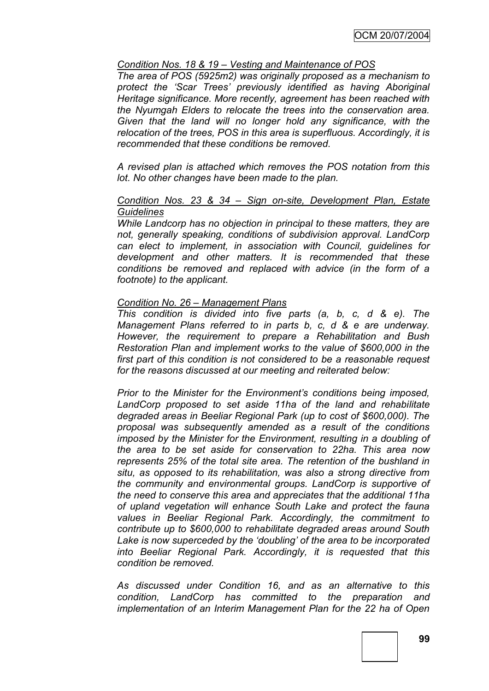### *Condition Nos. 18 & 19 – Vesting and Maintenance of POS*

*The area of POS (5925m2) was originally proposed as a mechanism to protect the "Scar Trees" previously identified as having Aboriginal Heritage significance. More recently, agreement has been reached with the Nyumgah Elders to relocate the trees into the conservation area. Given that the land will no longer hold any significance, with the relocation of the trees, POS in this area is superfluous. Accordingly, it is recommended that these conditions be removed.* 

*A revised plan is attached which removes the POS notation from this lot. No other changes have been made to the plan.*

#### *Condition Nos. 23 & 34 – Sign on-site, Development Plan, Estate Guidelines*

*While Landcorp has no objection in principal to these matters, they are not, generally speaking, conditions of subdivision approval. LandCorp can elect to implement, in association with Council, guidelines for development and other matters. It is recommended that these conditions be removed and replaced with advice (in the form of a footnote) to the applicant.*

## *Condition No. 26 – Management Plans*

*This condition is divided into five parts (a, b, c, d & e). The Management Plans referred to in parts b, c, d & e are underway. However, the requirement to prepare a Rehabilitation and Bush Restoration Plan and implement works to the value of \$600,000 in the first part of this condition is not considered to be a reasonable request for the reasons discussed at our meeting and reiterated below:*

*Prior to the Minister for the Environment"s conditions being imposed, LandCorp proposed to set aside 11ha of the land and rehabilitate degraded areas in Beeliar Regional Park (up to cost of \$600,000). The proposal was subsequently amended as a result of the conditions imposed by the Minister for the Environment, resulting in a doubling of the area to be set aside for conservation to 22ha. This area now represents 25% of the total site area. The retention of the bushland in situ, as opposed to its rehabilitation, was also a strong directive from the community and environmental groups. LandCorp is supportive of the need to conserve this area and appreciates that the additional 11ha of upland vegetation will enhance South Lake and protect the fauna values in Beeliar Regional Park. Accordingly, the commitment to contribute up to \$600,000 to rehabilitate degraded areas around South Lake is now superceded by the "doubling" of the area to be incorporated into Beeliar Regional Park. Accordingly, it is requested that this condition be removed.*

*As discussed under Condition 16, and as an alternative to this condition, LandCorp has committed to the preparation and implementation of an Interim Management Plan for the 22 ha of Open*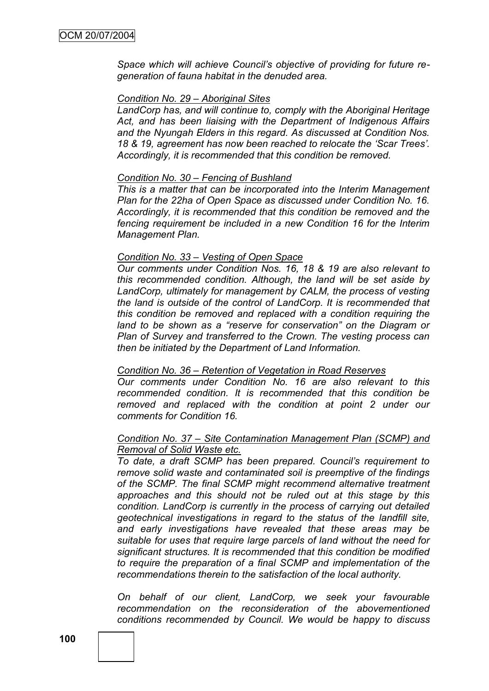*Space which will achieve Council"s objective of providing for future regeneration of fauna habitat in the denuded area.*

#### *Condition No. 29 – Aboriginal Sites*

*LandCorp has, and will continue to, comply with the Aboriginal Heritage Act, and has been liaising with the Department of Indigenous Affairs and the Nyungah Elders in this regard. As discussed at Condition Nos. 18 & 19, agreement has now been reached to relocate the "Scar Trees". Accordingly, it is recommended that this condition be removed.*

#### *Condition No. 30 – Fencing of Bushland*

*This is a matter that can be incorporated into the Interim Management Plan for the 22ha of Open Space as discussed under Condition No. 16. Accordingly, it is recommended that this condition be removed and the fencing requirement be included in a new Condition 16 for the Interim Management Plan.*

#### *Condition No. 33 – Vesting of Open Space*

*Our comments under Condition Nos. 16, 18 & 19 are also relevant to this recommended condition. Although, the land will be set aside by LandCorp, ultimately for management by CALM, the process of vesting the land is outside of the control of LandCorp. It is recommended that this condition be removed and replaced with a condition requiring the*  land to be shown as a "reserve for conservation" on the Diagram or *Plan of Survey and transferred to the Crown. The vesting process can then be initiated by the Department of Land Information.* 

### *Condition No. 36 – Retention of Vegetation in Road Reserves*

*Our comments under Condition No. 16 are also relevant to this recommended condition. It is recommended that this condition be removed and replaced with the condition at point 2 under our comments for Condition 16.*

#### *Condition No. 37 – Site Contamination Management Plan (SCMP) and Removal of Solid Waste etc.*

*To date, a draft SCMP has been prepared. Council"s requirement to remove solid waste and contaminated soil is preemptive of the findings of the SCMP. The final SCMP might recommend alternative treatment approaches and this should not be ruled out at this stage by this condition. LandCorp is currently in the process of carrying out detailed geotechnical investigations in regard to the status of the landfill site, and early investigations have revealed that these areas may be suitable for uses that require large parcels of land without the need for significant structures. It is recommended that this condition be modified to require the preparation of a final SCMP and implementation of the recommendations therein to the satisfaction of the local authority.*

*On behalf of our client, LandCorp, we seek your favourable recommendation on the reconsideration of the abovementioned conditions recommended by Council. We would be happy to discuss*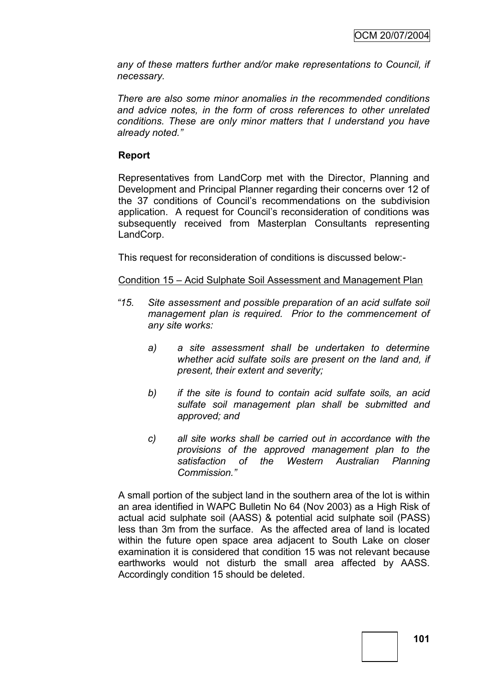*any of these matters further and/or make representations to Council, if necessary.*

*There are also some minor anomalies in the recommended conditions and advice notes, in the form of cross references to other unrelated conditions. These are only minor matters that I understand you have already noted."*

## **Report**

Representatives from LandCorp met with the Director, Planning and Development and Principal Planner regarding their concerns over 12 of the 37 conditions of Council"s recommendations on the subdivision application. A request for Council"s reconsideration of conditions was subsequently received from Masterplan Consultants representing LandCorp.

This request for reconsideration of conditions is discussed below:-

## Condition 15 – Acid Sulphate Soil Assessment and Management Plan

- *"15. Site assessment and possible preparation of an acid sulfate soil management plan is required. Prior to the commencement of any site works:*
	- *a) a site assessment shall be undertaken to determine whether acid sulfate soils are present on the land and, if present, their extent and severity;*
	- *b) if the site is found to contain acid sulfate soils, an acid sulfate soil management plan shall be submitted and approved; and*
	- *c) all site works shall be carried out in accordance with the provisions of the approved management plan to the satisfaction of the Western Australian Planning Commission."*

A small portion of the subject land in the southern area of the lot is within an area identified in WAPC Bulletin No 64 (Nov 2003) as a High Risk of actual acid sulphate soil (AASS) & potential acid sulphate soil (PASS) less than 3m from the surface. As the affected area of land is located within the future open space area adjacent to South Lake on closer examination it is considered that condition 15 was not relevant because earthworks would not disturb the small area affected by AASS. Accordingly condition 15 should be deleted.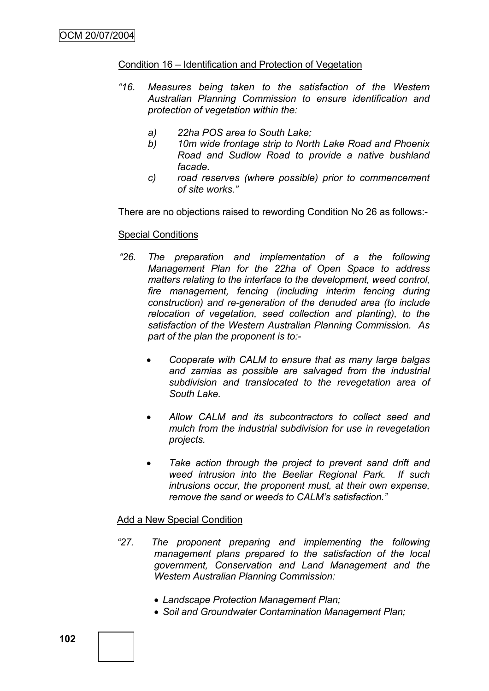#### Condition 16 – Identification and Protection of Vegetation

- *"16. Measures being taken to the satisfaction of the Western Australian Planning Commission to ensure identification and protection of vegetation within the:*
	- *a) 22ha POS area to South Lake;*
	- *b) 10m wide frontage strip to North Lake Road and Phoenix Road and Sudlow Road to provide a native bushland facade.*
	- *c) road reserves (where possible) prior to commencement of site works."*

There are no objections raised to rewording Condition No 26 as follows:-

#### Special Conditions

- *"26. The preparation and implementation of a the following Management Plan for the 22ha of Open Space to address matters relating to the interface to the development, weed control, fire management, fencing (including interim fencing during construction) and re-generation of the denuded area (to include relocation of vegetation, seed collection and planting), to the satisfaction of the Western Australian Planning Commission. As part of the plan the proponent is to:-*
	- *Cooperate with CALM to ensure that as many large balgas and zamias as possible are salvaged from the industrial subdivision and translocated to the revegetation area of South Lake.*
	- *Allow CALM and its subcontractors to collect seed and mulch from the industrial subdivision for use in revegetation projects.*
	- *Take action through the project to prevent sand drift and weed intrusion into the Beeliar Regional Park. If such intrusions occur, the proponent must, at their own expense, remove the sand or weeds to CALM"s satisfaction."*

#### Add a New Special Condition

- *"27. The proponent preparing and implementing the following management plans prepared to the satisfaction of the local government, Conservation and Land Management and the Western Australian Planning Commission:*
	- *Landscape Protection Management Plan;*
	- *Soil and Groundwater Contamination Management Plan;*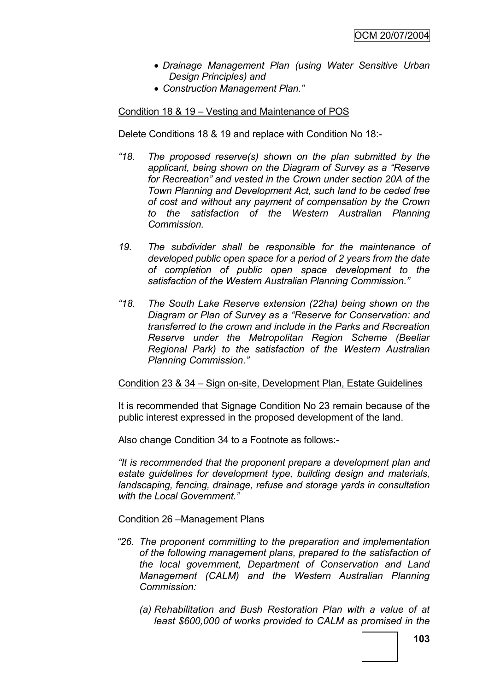- *Drainage Management Plan (using Water Sensitive Urban Design Principles) and*
- *Construction Management Plan."*

### Condition 18 & 19 – Vesting and Maintenance of POS

Delete Conditions 18 & 19 and replace with Condition No 18:-

- *"18. The proposed reserve(s) shown on the plan submitted by the applicant, being shown on the Diagram of Survey as a "Reserve for Recreation" and vested in the Crown under section 20A of the Town Planning and Development Act, such land to be ceded free of cost and without any payment of compensation by the Crown to the satisfaction of the Western Australian Planning Commission.*
- *19. The subdivider shall be responsible for the maintenance of developed public open space for a period of 2 years from the date of completion of public open space development to the satisfaction of the Western Australian Planning Commission."*
- *"18. The South Lake Reserve extension (22ha) being shown on the Diagram or Plan of Survey as a "Reserve for Conservation: and transferred to the crown and include in the Parks and Recreation Reserve under the Metropolitan Region Scheme (Beeliar Regional Park) to the satisfaction of the Western Australian Planning Commission."*

### Condition 23 & 34 – Sign on-site, Development Plan, Estate Guidelines

It is recommended that Signage Condition No 23 remain because of the public interest expressed in the proposed development of the land.

Also change Condition 34 to a Footnote as follows:-

*"It is recommended that the proponent prepare a development plan and estate guidelines for development type, building design and materials, landscaping, fencing, drainage, refuse and storage yards in consultation with the Local Government."*

### Condition 26 –Management Plans

- *"26. The proponent committing to the preparation and implementation of the following management plans, prepared to the satisfaction of the local government, Department of Conservation and Land Management (CALM) and the Western Australian Planning Commission:*
	- *(a) Rehabilitation and Bush Restoration Plan with a value of at least \$600,000 of works provided to CALM as promised in the*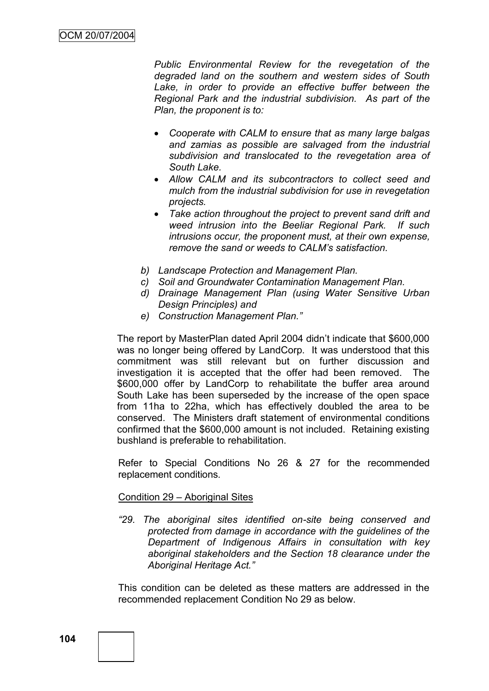*Public Environmental Review for the revegetation of the degraded land on the southern and western sides of South*  Lake, in order to provide an effective buffer between the *Regional Park and the industrial subdivision. As part of the Plan, the proponent is to:*

- *Cooperate with CALM to ensure that as many large balgas and zamias as possible are salvaged from the industrial subdivision and translocated to the revegetation area of South Lake.*
- *Allow CALM and its subcontractors to collect seed and mulch from the industrial subdivision for use in revegetation projects.*
- *Take action throughout the project to prevent sand drift and weed intrusion into the Beeliar Regional Park. If such intrusions occur, the proponent must, at their own expense, remove the sand or weeds to CALM"s satisfaction.*
- *b) Landscape Protection and Management Plan.*
- *c) Soil and Groundwater Contamination Management Plan.*
- *d) Drainage Management Plan (using Water Sensitive Urban Design Principles) and*
- *e) Construction Management Plan."*

The report by MasterPlan dated April 2004 didn"t indicate that \$600,000 was no longer being offered by LandCorp. It was understood that this commitment was still relevant but on further discussion and investigation it is accepted that the offer had been removed. The \$600,000 offer by LandCorp to rehabilitate the buffer area around South Lake has been superseded by the increase of the open space from 11ha to 22ha, which has effectively doubled the area to be conserved. The Ministers draft statement of environmental conditions confirmed that the \$600,000 amount is not included. Retaining existing bushland is preferable to rehabilitation.

Refer to Special Conditions No 26 & 27 for the recommended replacement conditions.

#### Condition 29 – Aboriginal Sites

*"29. The aboriginal sites identified on-site being conserved and protected from damage in accordance with the guidelines of the Department of Indigenous Affairs in consultation with key aboriginal stakeholders and the Section 18 clearance under the Aboriginal Heritage Act."*

This condition can be deleted as these matters are addressed in the recommended replacement Condition No 29 as below.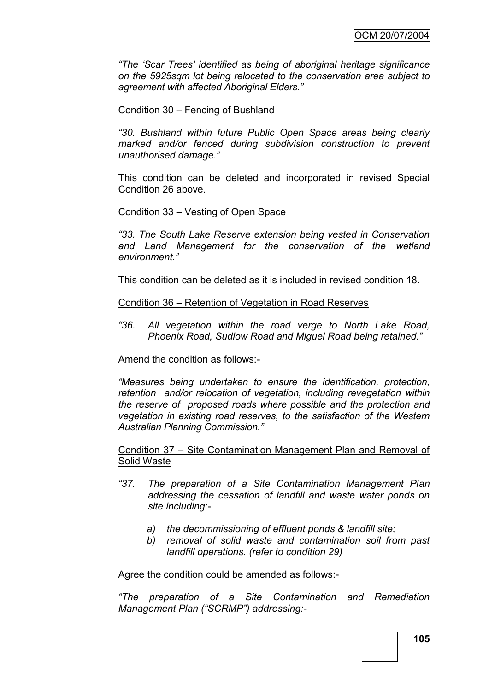*"The "Scar Trees" identified as being of aboriginal heritage significance on the 5925sqm lot being relocated to the conservation area subject to agreement with affected Aboriginal Elders."*

#### Condition 30 – Fencing of Bushland

*"30. Bushland within future Public Open Space areas being clearly marked and/or fenced during subdivision construction to prevent unauthorised damage."*

This condition can be deleted and incorporated in revised Special Condition 26 above.

#### Condition 33 – Vesting of Open Space

*"33. The South Lake Reserve extension being vested in Conservation and Land Management for the conservation of the wetland environment."*

This condition can be deleted as it is included in revised condition 18.

#### Condition 36 – Retention of Vegetation in Road Reserves

*"36. All vegetation within the road verge to North Lake Road, Phoenix Road, Sudlow Road and Miguel Road being retained."*

Amend the condition as follows:-

*"Measures being undertaken to ensure the identification, protection, retention and/or relocation of vegetation, including revegetation within the reserve of proposed roads where possible and the protection and vegetation in existing road reserves, to the satisfaction of the Western Australian Planning Commission."*

#### Condition 37 – Site Contamination Management Plan and Removal of Solid Waste

- *"37. The preparation of a Site Contamination Management Plan addressing the cessation of landfill and waste water ponds on site including:*
	- *a) the decommissioning of effluent ponds & landfill site;*
	- *b) removal of solid waste and contamination soil from past landfill operations. (refer to condition 29)*

Agree the condition could be amended as follows:-

*"The preparation of a Site Contamination and Remediation Management Plan ("SCRMP") addressing:-*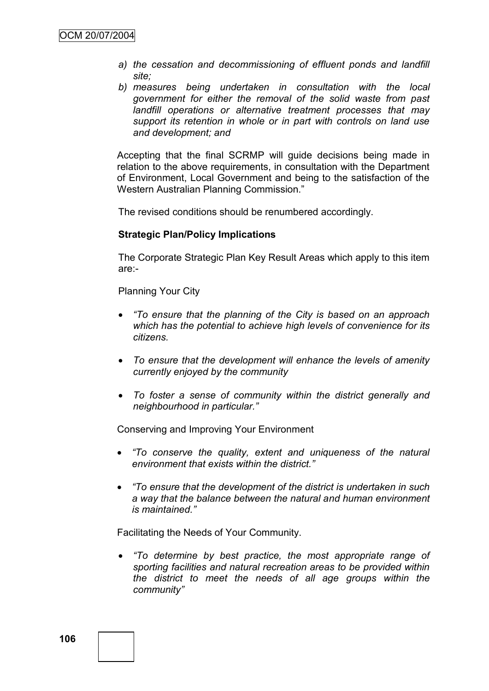- *a) the cessation and decommissioning of effluent ponds and landfill site;*
- *b) measures being undertaken in consultation with the local government for either the removal of the solid waste from past landfill operations or alternative treatment processes that may support its retention in whole or in part with controls on land use and development; and*

Accepting that the final SCRMP will guide decisions being made in relation to the above requirements, in consultation with the Department of Environment, Local Government and being to the satisfaction of the Western Australian Planning Commission."

The revised conditions should be renumbered accordingly.

#### **Strategic Plan/Policy Implications**

The Corporate Strategic Plan Key Result Areas which apply to this item are:-

Planning Your City

- *"To ensure that the planning of the City is based on an approach which has the potential to achieve high levels of convenience for its citizens.*
- *To ensure that the development will enhance the levels of amenity currently enjoyed by the community*
- *To foster a sense of community within the district generally and neighbourhood in particular."*

Conserving and Improving Your Environment

- *"To conserve the quality, extent and uniqueness of the natural environment that exists within the district."*
- *"To ensure that the development of the district is undertaken in such a way that the balance between the natural and human environment is maintained."*

Facilitating the Needs of Your Community.

 *"To determine by best practice, the most appropriate range of sporting facilities and natural recreation areas to be provided within the district to meet the needs of all age groups within the community"*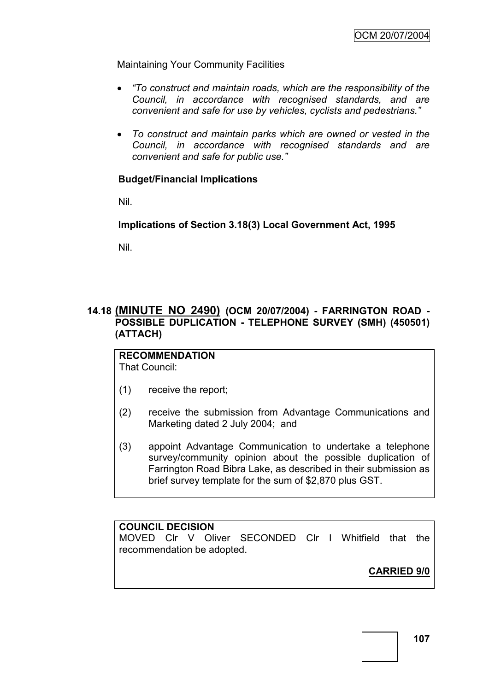Maintaining Your Community Facilities

- *"To construct and maintain roads, which are the responsibility of the Council, in accordance with recognised standards, and are convenient and safe for use by vehicles, cyclists and pedestrians."*
- *To construct and maintain parks which are owned or vested in the Council, in accordance with recognised standards and are convenient and safe for public use."*

## **Budget/Financial Implications**

Nil.

**Implications of Section 3.18(3) Local Government Act, 1995**

Nil.

# **14.18 (MINUTE NO 2490) (OCM 20/07/2004) - FARRINGTON ROAD - POSSIBLE DUPLICATION - TELEPHONE SURVEY (SMH) (450501) (ATTACH)**

#### **RECOMMENDATION** That Council:

- (1) receive the report;
- (2) receive the submission from Advantage Communications and Marketing dated 2 July 2004; and
- (3) appoint Advantage Communication to undertake a telephone survey/community opinion about the possible duplication of Farrington Road Bibra Lake, as described in their submission as brief survey template for the sum of \$2,870 plus GST.

# **COUNCIL DECISION**

MOVED Clr V Oliver SECONDED Clr I Whitfield that the recommendation be adopted.

**CARRIED 9/0**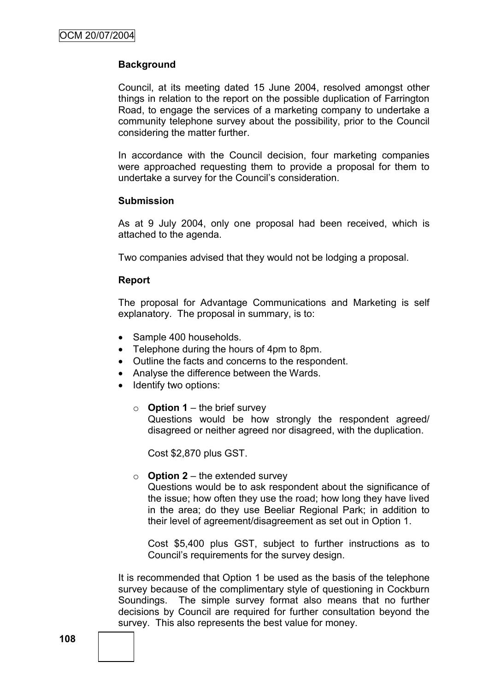## **Background**

Council, at its meeting dated 15 June 2004, resolved amongst other things in relation to the report on the possible duplication of Farrington Road, to engage the services of a marketing company to undertake a community telephone survey about the possibility, prior to the Council considering the matter further.

In accordance with the Council decision, four marketing companies were approached requesting them to provide a proposal for them to undertake a survey for the Council"s consideration.

#### **Submission**

As at 9 July 2004, only one proposal had been received, which is attached to the agenda.

Two companies advised that they would not be lodging a proposal.

#### **Report**

The proposal for Advantage Communications and Marketing is self explanatory. The proposal in summary, is to:

- Sample 400 households.
- Telephone during the hours of 4pm to 8pm.
- Outline the facts and concerns to the respondent.
- Analyse the difference between the Wards.
- Identify two options:
	- o **Option 1** the brief survey Questions would be how strongly the respondent agreed/ disagreed or neither agreed nor disagreed, with the duplication.

Cost \$2,870 plus GST.

 $\circ$  **Option 2** – the extended survey

Questions would be to ask respondent about the significance of the issue; how often they use the road; how long they have lived in the area; do they use Beeliar Regional Park; in addition to their level of agreement/disagreement as set out in Option 1.

Cost \$5,400 plus GST, subject to further instructions as to Council"s requirements for the survey design.

It is recommended that Option 1 be used as the basis of the telephone survey because of the complimentary style of questioning in Cockburn Soundings. The simple survey format also means that no further decisions by Council are required for further consultation beyond the survey. This also represents the best value for money.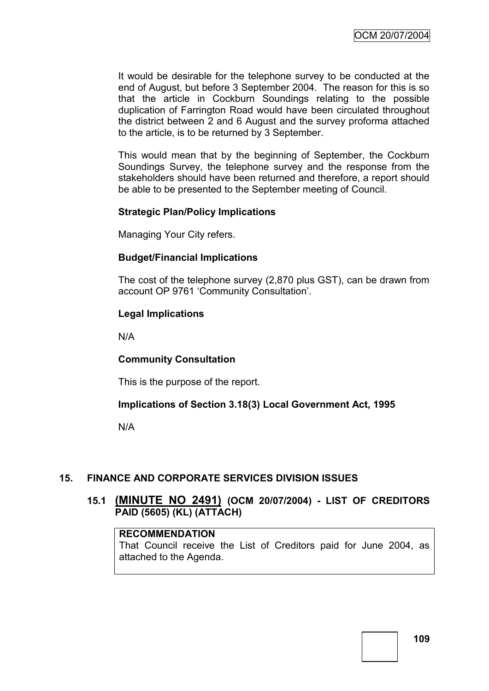It would be desirable for the telephone survey to be conducted at the end of August, but before 3 September 2004. The reason for this is so that the article in Cockburn Soundings relating to the possible duplication of Farrington Road would have been circulated throughout the district between 2 and 6 August and the survey proforma attached to the article, is to be returned by 3 September.

This would mean that by the beginning of September, the Cockburn Soundings Survey, the telephone survey and the response from the stakeholders should have been returned and therefore, a report should be able to be presented to the September meeting of Council.

### **Strategic Plan/Policy Implications**

Managing Your City refers.

### **Budget/Financial Implications**

The cost of the telephone survey (2,870 plus GST), can be drawn from account OP 9761 "Community Consultation".

### **Legal Implications**

N/A

### **Community Consultation**

This is the purpose of the report.

### **Implications of Section 3.18(3) Local Government Act, 1995**

N/A

## **15. FINANCE AND CORPORATE SERVICES DIVISION ISSUES**

### **15.1 (MINUTE NO 2491) (OCM 20/07/2004) - LIST OF CREDITORS PAID (5605) (KL) (ATTACH)**

#### **RECOMMENDATION**

That Council receive the List of Creditors paid for June 2004, as attached to the Agenda.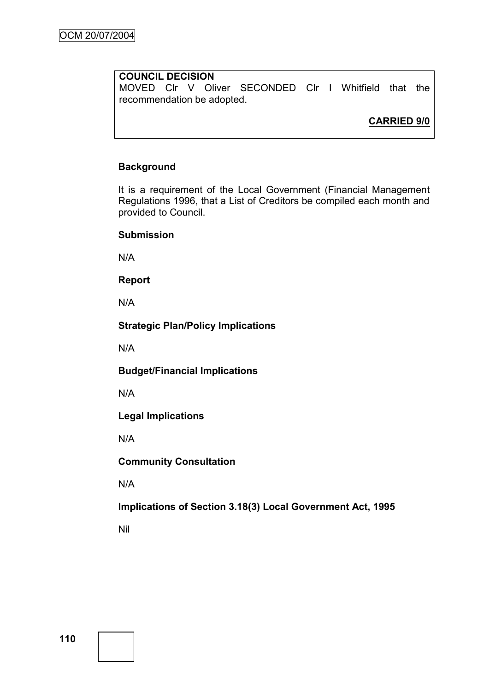## **COUNCIL DECISION**

MOVED Clr V Oliver SECONDED Clr I Whitfield that the recommendation be adopted.

**CARRIED 9/0**

### **Background**

It is a requirement of the Local Government (Financial Management Regulations 1996, that a List of Creditors be compiled each month and provided to Council.

### **Submission**

N/A

**Report**

N/A

### **Strategic Plan/Policy Implications**

N/A

**Budget/Financial Implications**

N/A

**Legal Implications**

N/A

**Community Consultation**

N/A

**Implications of Section 3.18(3) Local Government Act, 1995**

Nil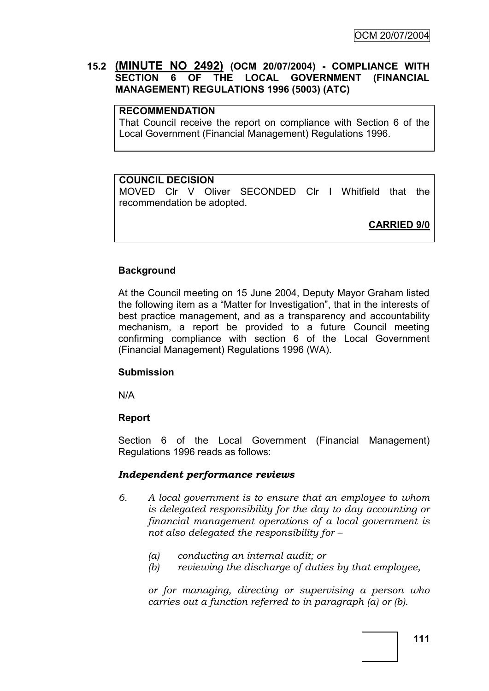## **15.2 (MINUTE NO 2492) (OCM 20/07/2004) - COMPLIANCE WITH SECTION 6 OF THE LOCAL GOVERNMENT (FINANCIAL MANAGEMENT) REGULATIONS 1996 (5003) (ATC)**

#### **RECOMMENDATION**

That Council receive the report on compliance with Section 6 of the Local Government (Financial Management) Regulations 1996.

### **COUNCIL DECISION**

MOVED Clr V Oliver SECONDED Clr I Whitfield that the recommendation be adopted.

**CARRIED 9/0**

#### **Background**

At the Council meeting on 15 June 2004, Deputy Mayor Graham listed the following item as a "Matter for Investigation", that in the interests of best practice management, and as a transparency and accountability mechanism, a report be provided to a future Council meeting confirming compliance with section 6 of the Local Government (Financial Management) Regulations 1996 (WA).

#### **Submission**

N/A

### **Report**

Section 6 of the Local Government (Financial Management) Regulations 1996 reads as follows:

### *Independent performance reviews*

- *6. A local government is to ensure that an employee to whom is delegated responsibility for the day to day accounting or financial management operations of a local government is not also delegated the responsibility for –*
	- *(a) conducting an internal audit; or*
	- *(b) reviewing the discharge of duties by that employee,*

*or for managing, directing or supervising a person who carries out a function referred to in paragraph (a) or (b).*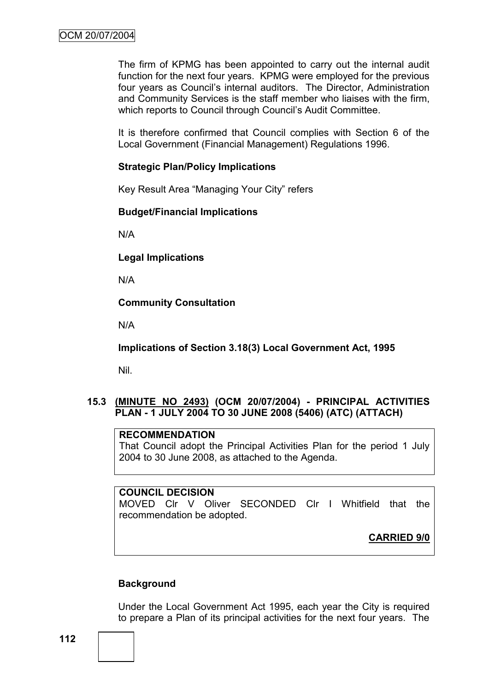The firm of KPMG has been appointed to carry out the internal audit function for the next four years. KPMG were employed for the previous four years as Council"s internal auditors. The Director, Administration and Community Services is the staff member who liaises with the firm, which reports to Council through Council's Audit Committee.

It is therefore confirmed that Council complies with Section 6 of the Local Government (Financial Management) Regulations 1996.

### **Strategic Plan/Policy Implications**

Key Result Area "Managing Your City" refers

#### **Budget/Financial Implications**

N/A

**Legal Implications**

N/A

**Community Consultation**

N/A

**Implications of Section 3.18(3) Local Government Act, 1995**

Nil.

### **15.3 (MINUTE NO 2493) (OCM 20/07/2004) - PRINCIPAL ACTIVITIES PLAN - 1 JULY 2004 TO 30 JUNE 2008 (5406) (ATC) (ATTACH)**

#### **RECOMMENDATION**

That Council adopt the Principal Activities Plan for the period 1 July 2004 to 30 June 2008, as attached to the Agenda.

#### **COUNCIL DECISION**

MOVED Clr V Oliver SECONDED Clr I Whitfield that the recommendation be adopted.

**CARRIED 9/0**

### **Background**

Under the Local Government Act 1995, each year the City is required to prepare a Plan of its principal activities for the next four years. The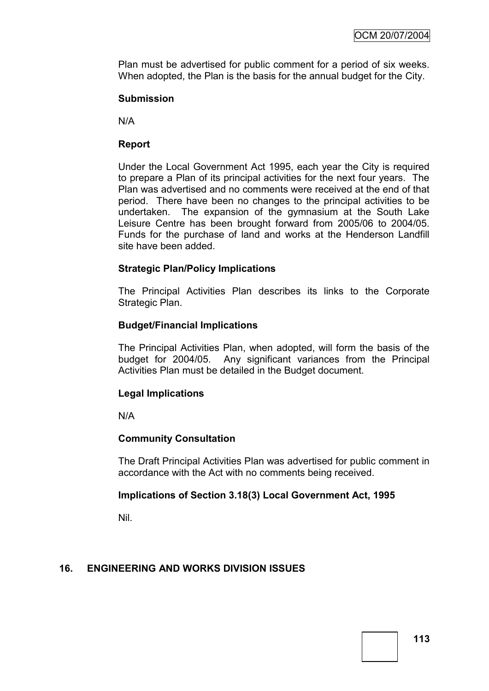Plan must be advertised for public comment for a period of six weeks. When adopted, the Plan is the basis for the annual budget for the City.

### **Submission**

N/A

### **Report**

Under the Local Government Act 1995, each year the City is required to prepare a Plan of its principal activities for the next four years. The Plan was advertised and no comments were received at the end of that period. There have been no changes to the principal activities to be undertaken. The expansion of the gymnasium at the South Lake Leisure Centre has been brought forward from 2005/06 to 2004/05. Funds for the purchase of land and works at the Henderson Landfill site have been added.

### **Strategic Plan/Policy Implications**

The Principal Activities Plan describes its links to the Corporate Strategic Plan.

### **Budget/Financial Implications**

The Principal Activities Plan, when adopted, will form the basis of the budget for 2004/05. Any significant variances from the Principal Activities Plan must be detailed in the Budget document.

### **Legal Implications**

N/A

### **Community Consultation**

The Draft Principal Activities Plan was advertised for public comment in accordance with the Act with no comments being received.

### **Implications of Section 3.18(3) Local Government Act, 1995**

Nil.

### **16. ENGINEERING AND WORKS DIVISION ISSUES**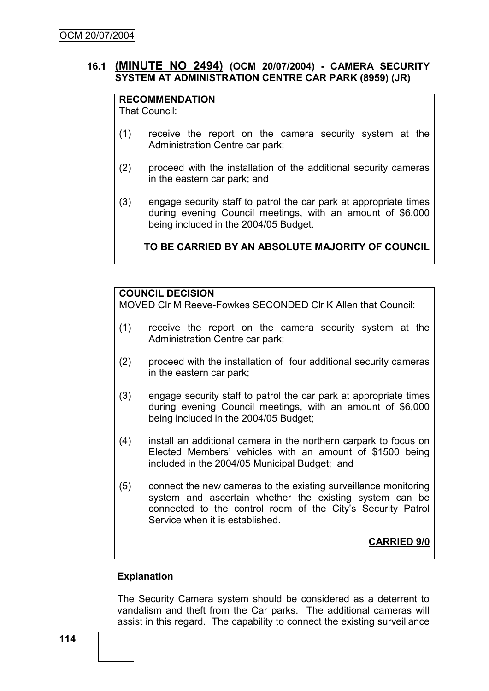### **16.1 (MINUTE NO 2494) (OCM 20/07/2004) - CAMERA SECURITY SYSTEM AT ADMINISTRATION CENTRE CAR PARK (8959) (JR)**

## **RECOMMENDATION**

That Council:

- (1) receive the report on the camera security system at the Administration Centre car park;
- (2) proceed with the installation of the additional security cameras in the eastern car park; and
- (3) engage security staff to patrol the car park at appropriate times during evening Council meetings, with an amount of \$6,000 being included in the 2004/05 Budget.

**TO BE CARRIED BY AN ABSOLUTE MAJORITY OF COUNCIL**

### **COUNCIL DECISION**

MOVED Clr M Reeve-Fowkes SECONDED Clr K Allen that Council:

- (1) receive the report on the camera security system at the Administration Centre car park;
- (2) proceed with the installation of four additional security cameras in the eastern car park;
- (3) engage security staff to patrol the car park at appropriate times during evening Council meetings, with an amount of \$6,000 being included in the 2004/05 Budget;
- (4) install an additional camera in the northern carpark to focus on Elected Members" vehicles with an amount of \$1500 being included in the 2004/05 Municipal Budget; and
- (5) connect the new cameras to the existing surveillance monitoring system and ascertain whether the existing system can be connected to the control room of the City"s Security Patrol Service when it is established.

**CARRIED 9/0**

### **Explanation**

The Security Camera system should be considered as a deterrent to vandalism and theft from the Car parks. The additional cameras will assist in this regard. The capability to connect the existing surveillance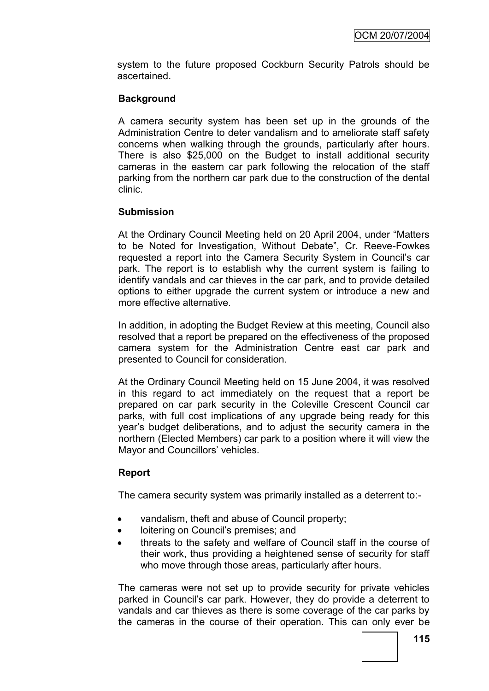system to the future proposed Cockburn Security Patrols should be ascertained.

### **Background**

A camera security system has been set up in the grounds of the Administration Centre to deter vandalism and to ameliorate staff safety concerns when walking through the grounds, particularly after hours. There is also \$25,000 on the Budget to install additional security cameras in the eastern car park following the relocation of the staff parking from the northern car park due to the construction of the dental clinic.

### **Submission**

At the Ordinary Council Meeting held on 20 April 2004, under "Matters to be Noted for Investigation, Without Debate", Cr. Reeve-Fowkes requested a report into the Camera Security System in Council"s car park. The report is to establish why the current system is failing to identify vandals and car thieves in the car park, and to provide detailed options to either upgrade the current system or introduce a new and more effective alternative.

In addition, in adopting the Budget Review at this meeting, Council also resolved that a report be prepared on the effectiveness of the proposed camera system for the Administration Centre east car park and presented to Council for consideration.

At the Ordinary Council Meeting held on 15 June 2004, it was resolved in this regard to act immediately on the request that a report be prepared on car park security in the Coleville Crescent Council car parks, with full cost implications of any upgrade being ready for this year"s budget deliberations, and to adjust the security camera in the northern (Elected Members) car park to a position where it will view the Mayor and Councillors' vehicles.

### **Report**

The camera security system was primarily installed as a deterrent to:-

- vandalism, theft and abuse of Council property;
- loitering on Council's premises; and
- threats to the safety and welfare of Council staff in the course of their work, thus providing a heightened sense of security for staff who move through those areas, particularly after hours.

The cameras were not set up to provide security for private vehicles parked in Council"s car park. However, they do provide a deterrent to vandals and car thieves as there is some coverage of the car parks by the cameras in the course of their operation. This can only ever be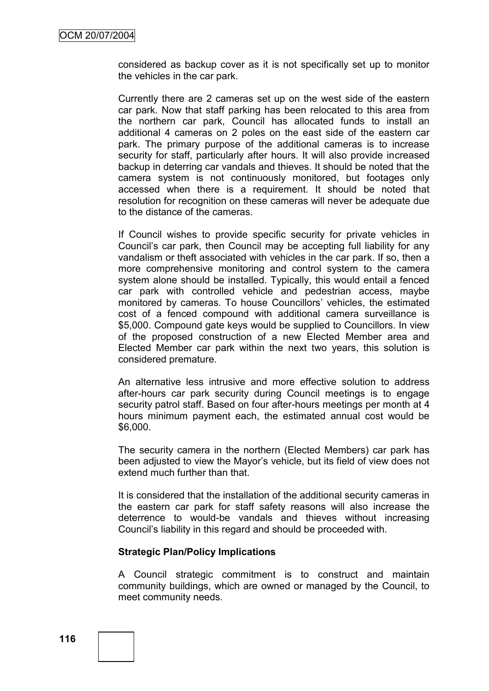considered as backup cover as it is not specifically set up to monitor the vehicles in the car park.

Currently there are 2 cameras set up on the west side of the eastern car park. Now that staff parking has been relocated to this area from the northern car park, Council has allocated funds to install an additional 4 cameras on 2 poles on the east side of the eastern car park. The primary purpose of the additional cameras is to increase security for staff, particularly after hours. It will also provide increased backup in deterring car vandals and thieves. It should be noted that the camera system is not continuously monitored, but footages only accessed when there is a requirement. It should be noted that resolution for recognition on these cameras will never be adequate due to the distance of the cameras.

If Council wishes to provide specific security for private vehicles in Council"s car park, then Council may be accepting full liability for any vandalism or theft associated with vehicles in the car park. If so, then a more comprehensive monitoring and control system to the camera system alone should be installed. Typically, this would entail a fenced car park with controlled vehicle and pedestrian access, maybe monitored by cameras. To house Councillors" vehicles, the estimated cost of a fenced compound with additional camera surveillance is \$5,000. Compound gate keys would be supplied to Councillors. In view of the proposed construction of a new Elected Member area and Elected Member car park within the next two years, this solution is considered premature.

An alternative less intrusive and more effective solution to address after-hours car park security during Council meetings is to engage security patrol staff. Based on four after-hours meetings per month at 4 hours minimum payment each, the estimated annual cost would be \$6,000.

The security camera in the northern (Elected Members) car park has been adjusted to view the Mayor"s vehicle, but its field of view does not extend much further than that.

It is considered that the installation of the additional security cameras in the eastern car park for staff safety reasons will also increase the deterrence to would-be vandals and thieves without increasing Council"s liability in this regard and should be proceeded with.

#### **Strategic Plan/Policy Implications**

A Council strategic commitment is to construct and maintain community buildings, which are owned or managed by the Council, to meet community needs.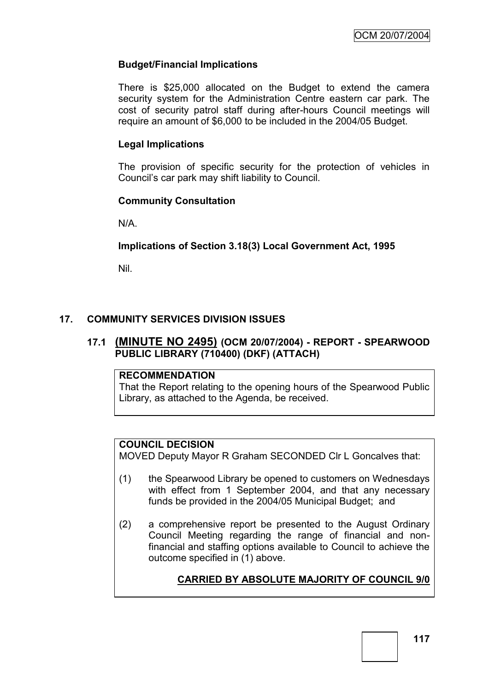## **Budget/Financial Implications**

There is \$25,000 allocated on the Budget to extend the camera security system for the Administration Centre eastern car park. The cost of security patrol staff during after-hours Council meetings will require an amount of \$6,000 to be included in the 2004/05 Budget.

### **Legal Implications**

The provision of specific security for the protection of vehicles in Council"s car park may shift liability to Council.

### **Community Consultation**

N/A.

### **Implications of Section 3.18(3) Local Government Act, 1995**

Nil.

## **17. COMMUNITY SERVICES DIVISION ISSUES**

### **17.1 (MINUTE NO 2495) (OCM 20/07/2004) - REPORT - SPEARWOOD PUBLIC LIBRARY (710400) (DKF) (ATTACH)**

#### **RECOMMENDATION**

That the Report relating to the opening hours of the Spearwood Public Library, as attached to the Agenda, be received.

### **COUNCIL DECISION**

MOVED Deputy Mayor R Graham SECONDED Clr L Goncalves that:

- (1) the Spearwood Library be opened to customers on Wednesdays with effect from 1 September 2004, and that any necessary funds be provided in the 2004/05 Municipal Budget; and
- (2) a comprehensive report be presented to the August Ordinary Council Meeting regarding the range of financial and nonfinancial and staffing options available to Council to achieve the outcome specified in (1) above.

## **CARRIED BY ABSOLUTE MAJORITY OF COUNCIL 9/0**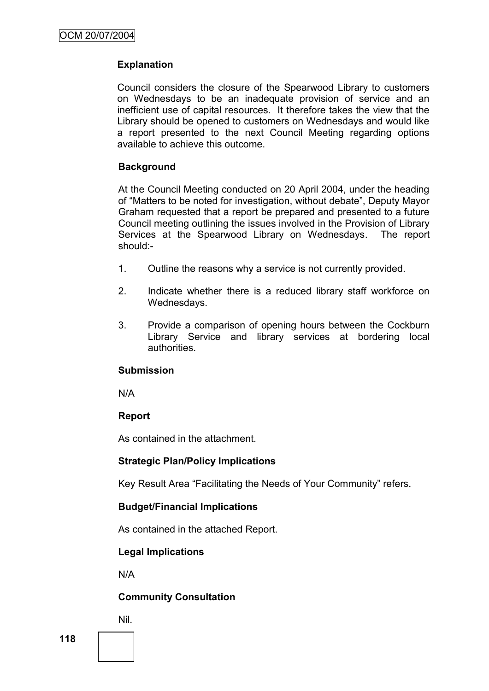## **Explanation**

Council considers the closure of the Spearwood Library to customers on Wednesdays to be an inadequate provision of service and an inefficient use of capital resources. It therefore takes the view that the Library should be opened to customers on Wednesdays and would like a report presented to the next Council Meeting regarding options available to achieve this outcome.

## **Background**

At the Council Meeting conducted on 20 April 2004, under the heading of "Matters to be noted for investigation, without debate", Deputy Mayor Graham requested that a report be prepared and presented to a future Council meeting outlining the issues involved in the Provision of Library Services at the Spearwood Library on Wednesdays. The report should:-

- 1. Outline the reasons why a service is not currently provided.
- 2. Indicate whether there is a reduced library staff workforce on Wednesdays.
- 3. Provide a comparison of opening hours between the Cockburn Library Service and library services at bordering local authorities.

### **Submission**

N/A

## **Report**

As contained in the attachment.

### **Strategic Plan/Policy Implications**

Key Result Area "Facilitating the Needs of Your Community" refers.

## **Budget/Financial Implications**

As contained in the attached Report.

## **Legal Implications**

N/A

## **Community Consultation**

Nil.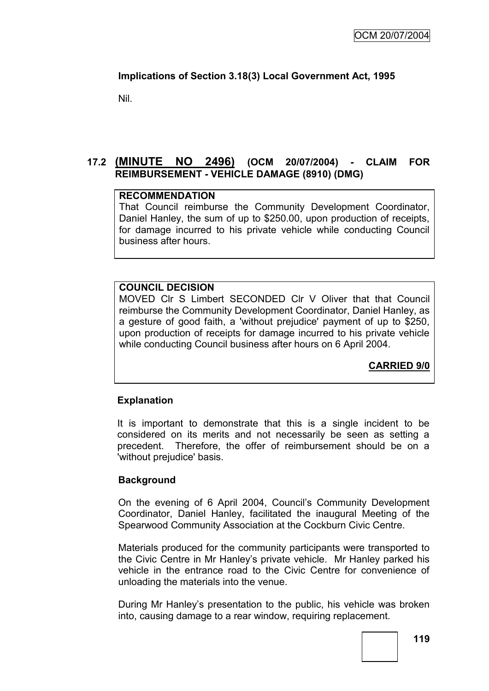## **Implications of Section 3.18(3) Local Government Act, 1995**

Nil.

## **17.2 (MINUTE NO 2496) (OCM 20/07/2004) - CLAIM FOR REIMBURSEMENT - VEHICLE DAMAGE (8910) (DMG)**

### **RECOMMENDATION**

That Council reimburse the Community Development Coordinator, Daniel Hanley, the sum of up to \$250.00, upon production of receipts, for damage incurred to his private vehicle while conducting Council business after hours.

### **COUNCIL DECISION**

MOVED Clr S Limbert SECONDED Clr V Oliver that that Council reimburse the Community Development Coordinator, Daniel Hanley, as a gesture of good faith, a 'without prejudice' payment of up to \$250, upon production of receipts for damage incurred to his private vehicle while conducting Council business after hours on 6 April 2004.

**CARRIED 9/0**

### **Explanation**

It is important to demonstrate that this is a single incident to be considered on its merits and not necessarily be seen as setting a precedent. Therefore, the offer of reimbursement should be on a 'without prejudice' basis.

### **Background**

On the evening of 6 April 2004, Council"s Community Development Coordinator, Daniel Hanley, facilitated the inaugural Meeting of the Spearwood Community Association at the Cockburn Civic Centre.

Materials produced for the community participants were transported to the Civic Centre in Mr Hanley"s private vehicle. Mr Hanley parked his vehicle in the entrance road to the Civic Centre for convenience of unloading the materials into the venue.

During Mr Hanley"s presentation to the public, his vehicle was broken into, causing damage to a rear window, requiring replacement.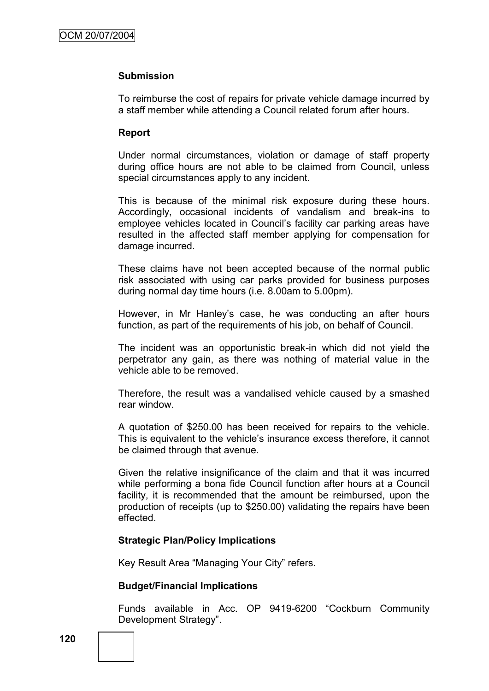#### **Submission**

To reimburse the cost of repairs for private vehicle damage incurred by a staff member while attending a Council related forum after hours.

#### **Report**

Under normal circumstances, violation or damage of staff property during office hours are not able to be claimed from Council, unless special circumstances apply to any incident.

This is because of the minimal risk exposure during these hours. Accordingly, occasional incidents of vandalism and break-ins to employee vehicles located in Council's facility car parking areas have resulted in the affected staff member applying for compensation for damage incurred.

These claims have not been accepted because of the normal public risk associated with using car parks provided for business purposes during normal day time hours (i.e. 8.00am to 5.00pm).

However, in Mr Hanley"s case, he was conducting an after hours function, as part of the requirements of his job, on behalf of Council.

The incident was an opportunistic break-in which did not yield the perpetrator any gain, as there was nothing of material value in the vehicle able to be removed.

Therefore, the result was a vandalised vehicle caused by a smashed rear window.

A quotation of \$250.00 has been received for repairs to the vehicle. This is equivalent to the vehicle"s insurance excess therefore, it cannot be claimed through that avenue.

Given the relative insignificance of the claim and that it was incurred while performing a bona fide Council function after hours at a Council facility, it is recommended that the amount be reimbursed, upon the production of receipts (up to \$250.00) validating the repairs have been effected.

#### **Strategic Plan/Policy Implications**

Key Result Area "Managing Your City" refers.

#### **Budget/Financial Implications**

Funds available in Acc. OP 9419-6200 "Cockburn Community Development Strategy".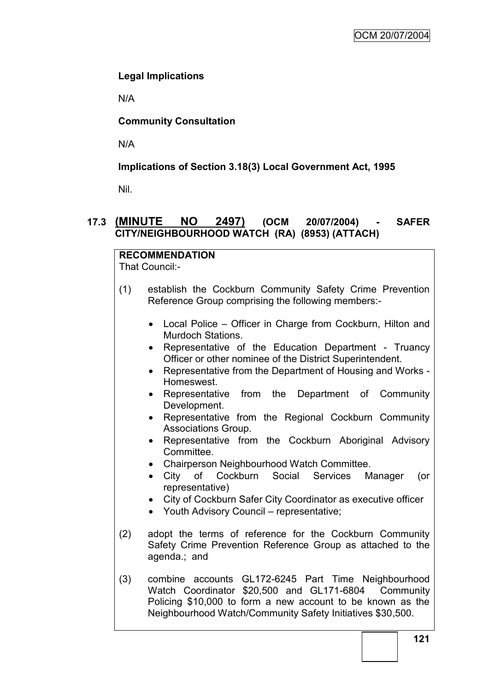## **Legal Implications**

N/A

## **Community Consultation**

N/A

## **Implications of Section 3.18(3) Local Government Act, 1995**

Nil.

## **17.3 (MINUTE NO 2497) (OCM 20/07/2004) - SAFER CITY/NEIGHBOURHOOD WATCH (RA) (8953) (ATTACH)**

# **RECOMMENDATION**

That Council:-

- (1) establish the Cockburn Community Safety Crime Prevention Reference Group comprising the following members:-
	- Local Police Officer in Charge from Cockburn, Hilton and Murdoch Stations.
	- Representative of the Education Department Truancy Officer or other nominee of the District Superintendent.
	- Representative from the Department of Housing and Works Homeswest.
	- Representative from the Department of Community Development.
	- Representative from the Regional Cockburn Community Associations Group.
	- Representative from the Cockburn Aboriginal Advisory Committee.
	- Chairperson Neighbourhood Watch Committee.
	- City of Cockburn Social Services Manager (or representative)
	- City of Cockburn Safer City Coordinator as executive officer
	- Youth Advisory Council representative;
- (2) adopt the terms of reference for the Cockburn Community Safety Crime Prevention Reference Group as attached to the agenda.; and
- (3) combine accounts GL172-6245 Part Time Neighbourhood Watch Coordinator \$20,500 and GL171-6804 Community Policing \$10,000 to form a new account to be known as the Neighbourhood Watch/Community Safety Initiatives \$30,500.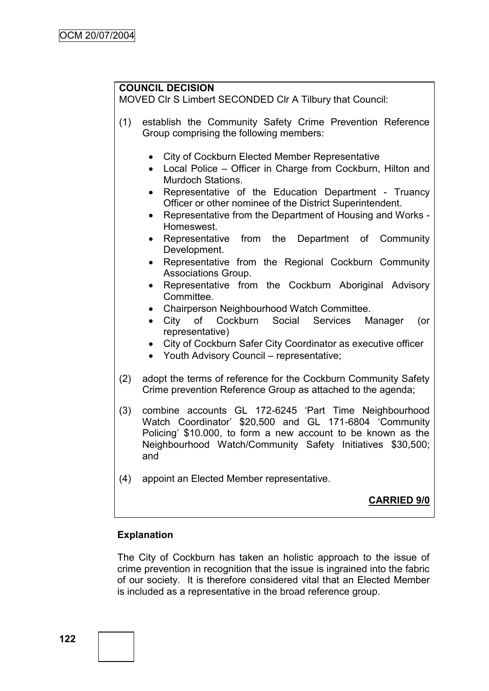## **COUNCIL DECISION**

MOVED Clr S Limbert SECONDED Clr A Tilbury that Council:

- (1) establish the Community Safety Crime Prevention Reference Group comprising the following members:
	- City of Cockburn Elected Member Representative
	- Local Police Officer in Charge from Cockburn, Hilton and Murdoch Stations.
	- Representative of the Education Department Truancy Officer or other nominee of the District Superintendent.
	- Representative from the Department of Housing and Works Homeswest.
	- Representative from the Department of Community Development.
	- Representative from the Regional Cockburn Community Associations Group.
	- Representative from the Cockburn Aboriginal Advisory Committee.
	- Chairperson Neighbourhood Watch Committee.
	- City of Cockburn Social Services Manager (or representative)
	- City of Cockburn Safer City Coordinator as executive officer
	- Youth Advisory Council representative;
- (2) adopt the terms of reference for the Cockburn Community Safety Crime prevention Reference Group as attached to the agenda;
- (3) combine accounts GL 172-6245 "Part Time Neighbourhood Watch Coordinator" \$20,500 and GL 171-6804 "Community Policing" \$10.000, to form a new account to be known as the Neighbourhood Watch/Community Safety Initiatives \$30,500; and
- (4) appoint an Elected Member representative.

## **CARRIED 9/0**

## **Explanation**

The City of Cockburn has taken an holistic approach to the issue of crime prevention in recognition that the issue is ingrained into the fabric of our society. It is therefore considered vital that an Elected Member is included as a representative in the broad reference group.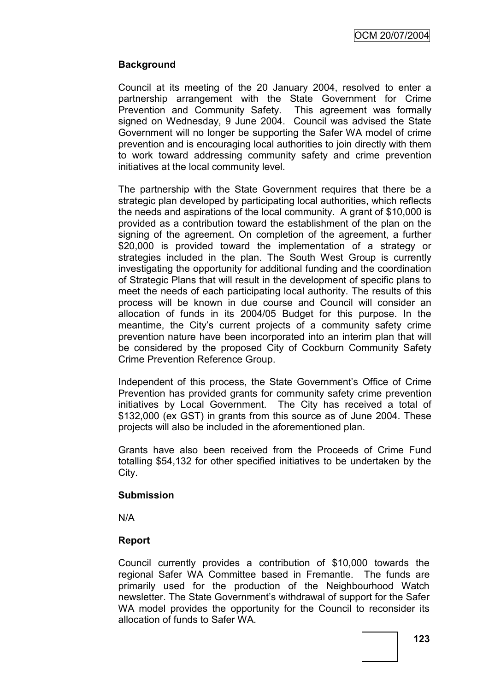OCM 20/07/2004

### **Background**

Council at its meeting of the 20 January 2004, resolved to enter a partnership arrangement with the State Government for Crime Prevention and Community Safety. This agreement was formally signed on Wednesday, 9 June 2004. Council was advised the State Government will no longer be supporting the Safer WA model of crime prevention and is encouraging local authorities to join directly with them to work toward addressing community safety and crime prevention initiatives at the local community level.

The partnership with the State Government requires that there be a strategic plan developed by participating local authorities, which reflects the needs and aspirations of the local community. A grant of \$10,000 is provided as a contribution toward the establishment of the plan on the signing of the agreement. On completion of the agreement, a further \$20,000 is provided toward the implementation of a strategy or strategies included in the plan. The South West Group is currently investigating the opportunity for additional funding and the coordination of Strategic Plans that will result in the development of specific plans to meet the needs of each participating local authority. The results of this process will be known in due course and Council will consider an allocation of funds in its 2004/05 Budget for this purpose. In the meantime, the City's current projects of a community safety crime prevention nature have been incorporated into an interim plan that will be considered by the proposed City of Cockburn Community Safety Crime Prevention Reference Group.

Independent of this process, the State Government"s Office of Crime Prevention has provided grants for community safety crime prevention initiatives by Local Government. The City has received a total of \$132,000 (ex GST) in grants from this source as of June 2004. These projects will also be included in the aforementioned plan.

Grants have also been received from the Proceeds of Crime Fund totalling \$54,132 for other specified initiatives to be undertaken by the City.

#### **Submission**

N/A

### **Report**

Council currently provides a contribution of \$10,000 towards the regional Safer WA Committee based in Fremantle. The funds are primarily used for the production of the Neighbourhood Watch newsletter. The State Government"s withdrawal of support for the Safer WA model provides the opportunity for the Council to reconsider its allocation of funds to Safer WA.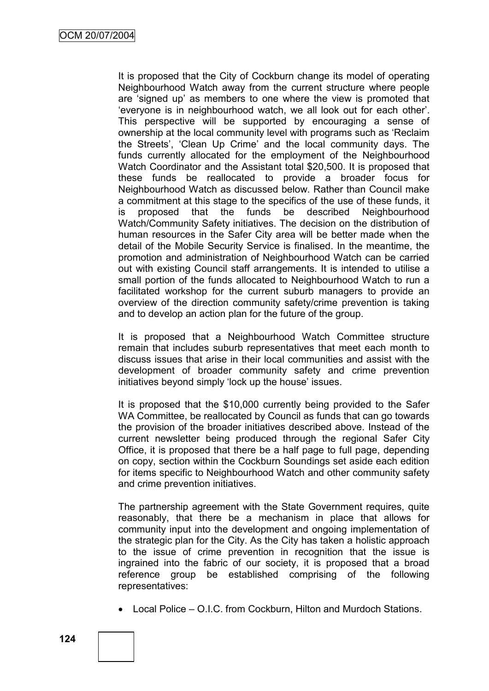It is proposed that the City of Cockburn change its model of operating Neighbourhood Watch away from the current structure where people are "signed up" as members to one where the view is promoted that "everyone is in neighbourhood watch, we all look out for each other". This perspective will be supported by encouraging a sense of ownership at the local community level with programs such as "Reclaim the Streets", "Clean Up Crime" and the local community days. The funds currently allocated for the employment of the Neighbourhood Watch Coordinator and the Assistant total \$20,500. It is proposed that these funds be reallocated to provide a broader focus for Neighbourhood Watch as discussed below. Rather than Council make a commitment at this stage to the specifics of the use of these funds, it is proposed that the funds be described Neighbourhood Watch/Community Safety initiatives. The decision on the distribution of human resources in the Safer City area will be better made when the detail of the Mobile Security Service is finalised. In the meantime, the promotion and administration of Neighbourhood Watch can be carried out with existing Council staff arrangements. It is intended to utilise a small portion of the funds allocated to Neighbourhood Watch to run a facilitated workshop for the current suburb managers to provide an overview of the direction community safety/crime prevention is taking and to develop an action plan for the future of the group.

It is proposed that a Neighbourhood Watch Committee structure remain that includes suburb representatives that meet each month to discuss issues that arise in their local communities and assist with the development of broader community safety and crime prevention initiatives beyond simply 'lock up the house' issues.

It is proposed that the \$10,000 currently being provided to the Safer WA Committee, be reallocated by Council as funds that can go towards the provision of the broader initiatives described above. Instead of the current newsletter being produced through the regional Safer City Office, it is proposed that there be a half page to full page, depending on copy, section within the Cockburn Soundings set aside each edition for items specific to Neighbourhood Watch and other community safety and crime prevention initiatives.

The partnership agreement with the State Government requires, quite reasonably, that there be a mechanism in place that allows for community input into the development and ongoing implementation of the strategic plan for the City. As the City has taken a holistic approach to the issue of crime prevention in recognition that the issue is ingrained into the fabric of our society, it is proposed that a broad reference group be established comprising of the following representatives:

Local Police – O.I.C. from Cockburn, Hilton and Murdoch Stations.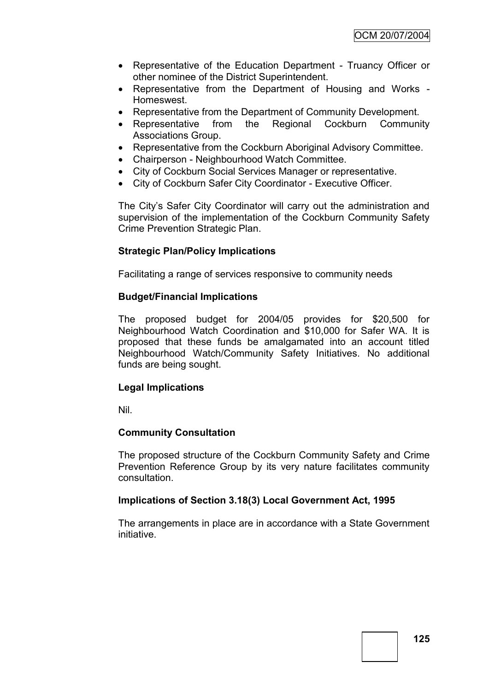- Representative of the Education Department Truancy Officer or other nominee of the District Superintendent.
- Representative from the Department of Housing and Works Homeswest.
- Representative from the Department of Community Development.
- Representative from the Regional Cockburn Community Associations Group.
- Representative from the Cockburn Aboriginal Advisory Committee.
- Chairperson Neighbourhood Watch Committee.
- City of Cockburn Social Services Manager or representative.
- City of Cockburn Safer City Coordinator Executive Officer.

The City"s Safer City Coordinator will carry out the administration and supervision of the implementation of the Cockburn Community Safety Crime Prevention Strategic Plan.

### **Strategic Plan/Policy Implications**

Facilitating a range of services responsive to community needs

### **Budget/Financial Implications**

The proposed budget for 2004/05 provides for \$20,500 for Neighbourhood Watch Coordination and \$10,000 for Safer WA. It is proposed that these funds be amalgamated into an account titled Neighbourhood Watch/Community Safety Initiatives. No additional funds are being sought.

### **Legal Implications**

Nil.

### **Community Consultation**

The proposed structure of the Cockburn Community Safety and Crime Prevention Reference Group by its very nature facilitates community consultation.

### **Implications of Section 3.18(3) Local Government Act, 1995**

The arrangements in place are in accordance with a State Government initiative.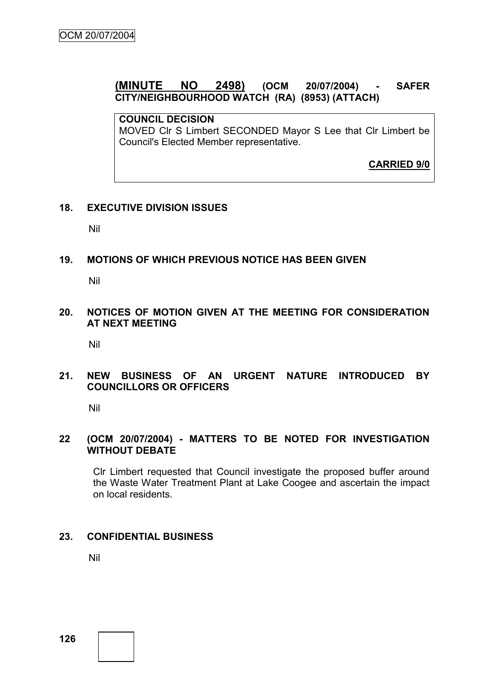## **(MINUTE NO 2498) (OCM 20/07/2004) - SAFER CITY/NEIGHBOURHOOD WATCH (RA) (8953) (ATTACH)**

## **COUNCIL DECISION**

MOVED Clr S Limbert SECONDED Mayor S Lee that Clr Limbert be Council's Elected Member representative.

**CARRIED 9/0**

### **18. EXECUTIVE DIVISION ISSUES**

Nil

### **19. MOTIONS OF WHICH PREVIOUS NOTICE HAS BEEN GIVEN**

Nil

### **20. NOTICES OF MOTION GIVEN AT THE MEETING FOR CONSIDERATION AT NEXT MEETING**

Nil

### **21. NEW BUSINESS OF AN URGENT NATURE INTRODUCED BY COUNCILLORS OR OFFICERS**

Nil

### **22 (OCM 20/07/2004) - MATTERS TO BE NOTED FOR INVESTIGATION WITHOUT DEBATE**

Clr Limbert requested that Council investigate the proposed buffer around the Waste Water Treatment Plant at Lake Coogee and ascertain the impact on local residents.

### **23. CONFIDENTIAL BUSINESS**

Nil

**126**